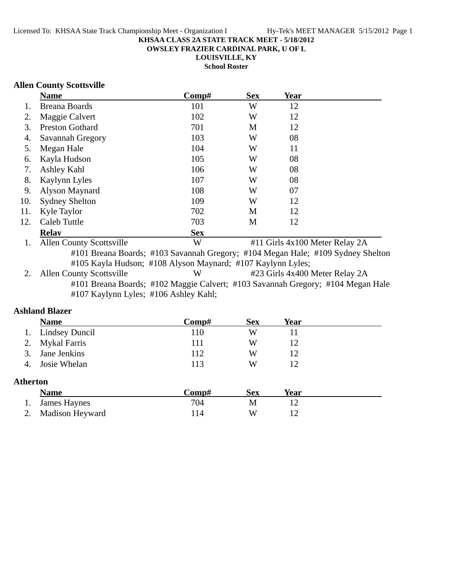**OWSLEY FRAZIER CARDINAL PARK, U OF L**

**LOUISVILLE, KY**

**School Roster**

## **Allen County Scottsville**

|     | <b>Name</b>            | Comp#      | <b>Sex</b> | Year |  |
|-----|------------------------|------------|------------|------|--|
|     | <b>Breana Boards</b>   | 101        | W          | 12   |  |
| 2.  | Maggie Calvert         | 102        | W          | 12   |  |
| 3.  | <b>Preston Gothard</b> | 701        | M          | 12   |  |
| 4.  | Savannah Gregory       | 103        | W          | 08   |  |
| 5.  | Megan Hale             | 104        | W          | 11   |  |
| 6.  | Kayla Hudson           | 105        | W          | 08   |  |
| 7.  | Ashley Kahl            | 106        | W          | 08   |  |
| 8.  | Kaylynn Lyles          | 107        | W          | 08   |  |
| 9.  | Alyson Maynard         | 108        | W          | 07   |  |
| 10. | <b>Sydney Shelton</b>  | 109        | W          | 12   |  |
| 11. | Kyle Taylor            | 702        | M          | 12   |  |
| 12. | Caleb Tuttle           | 703        | M          | 12   |  |
|     | <b>Relay</b>           | <b>Sex</b> |            |      |  |

1. Allen County Scottsville W #11 Girls 4x100 Meter Relay 2A #101 Breana Boards; #103 Savannah Gregory; #104 Megan Hale; #109 Sydney Shelton #105 Kayla Hudson; #108 Alyson Maynard; #107 Kaylynn Lyles;<br>2. Allen County Scottsville W #23 Girls 4x400

W #23 Girls 4x400 Meter Relay 2A #101 Breana Boards; #102 Maggie Calvert; #103 Savannah Gregory; #104 Megan Hale #107 Kaylynn Lyles; #106 Ashley Kahl;

## **Ashland Blazer**

|                 | <b>Name</b>           | Comp# | <b>Sex</b> | Year |  |
|-----------------|-----------------------|-------|------------|------|--|
|                 | <b>Lindsey Duncil</b> | 110   | W          | 11   |  |
| 2.              | <b>Mykal Farris</b>   | 111   | W          | 12   |  |
| 3.              | Jane Jenkins          | 112   | W          | 12   |  |
| 4.              | Josie Whelan          | 113   | W          | 12   |  |
| <b>Atherton</b> |                       |       |            |      |  |
|                 | <b>Name</b>           | Comp# | <b>Sex</b> | Year |  |
|                 | <b>James Haynes</b>   | 704   | M          | 12   |  |
|                 | Madison Heyward       | 114   | W          | 12   |  |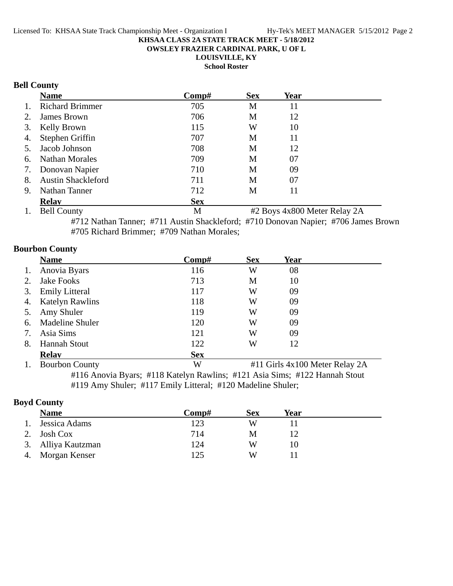**OWSLEY FRAZIER CARDINAL PARK, U OF L**

**LOUISVILLE, KY**

**School Roster**

# **Bell County**

|    | <b>Name</b>               | Comp#      | <b>Sex</b> | Year |  |
|----|---------------------------|------------|------------|------|--|
| 1. | <b>Richard Brimmer</b>    | 705        | M          | 11   |  |
| 2. | James Brown               | 706        | M          | 12   |  |
| 3. | Kelly Brown               | 115        | W          | 10   |  |
| 4. | Stephen Griffin           | 707        | M          | 11   |  |
|    | 5. Jacob Johnson          | 708        | M          | 12   |  |
| 6. | <b>Nathan Morales</b>     | 709        | M          | 07   |  |
| 7. | Donovan Napier            | 710        | M          | 09   |  |
| 8. | <b>Austin Shackleford</b> | 711        | M          | 07   |  |
| 9. | Nathan Tanner             | 712        | M          | 11   |  |
|    | <b>Relav</b>              | <b>Sex</b> |            |      |  |

1. Bell County M #2 Boys 4x800 Meter Relay 2A #712 Nathan Tanner; #711 Austin Shackleford; #710 Donovan Napier; #706 James Brown #705 Richard Brimmer; #709 Nathan Morales;

## **Bourbon County**

|    | <b>Name</b>            | Comp#      | <b>Sex</b> | Year                           |  |
|----|------------------------|------------|------------|--------------------------------|--|
| 1. | Anovia Byars           | 116        | W          | 08                             |  |
| 2. | Jake Fooks             | 713        | M          | 10                             |  |
| 3. | <b>Emily Litteral</b>  | 117        | W          | 09                             |  |
| 4. | <b>Katelyn Rawlins</b> | 118        | W          | 09                             |  |
| 5. | Amy Shuler             | 119        | W          | 09                             |  |
| 6. | <b>Madeline Shuler</b> | 120        | W          | 09                             |  |
| 7. | Asia Sims              | 121        | W          | 09                             |  |
| 8. | <b>Hannah Stout</b>    | 122        | W          | 12                             |  |
|    | <b>Relay</b>           | <b>Sex</b> |            |                                |  |
| 1. | <b>Bourbon County</b>  | W          |            | #11 Girls 4x100 Meter Relay 2A |  |

#116 Anovia Byars; #118 Katelyn Rawlins; #121 Asia Sims; #122 Hannah Stout #119 Amy Shuler; #117 Emily Litteral; #120 Madeline Shuler;

## **Boyd County**

|    | <b>Name</b>        | Comp# | Sex | Year |  |
|----|--------------------|-------|-----|------|--|
| 1. | Jessica Adams      | 123   | W   |      |  |
| 2. | Josh Cox           | 714   | M   |      |  |
|    | 3. Alliya Kautzman | 124   | W   |      |  |
| 4. | Morgan Kenser      | 125   | W   |      |  |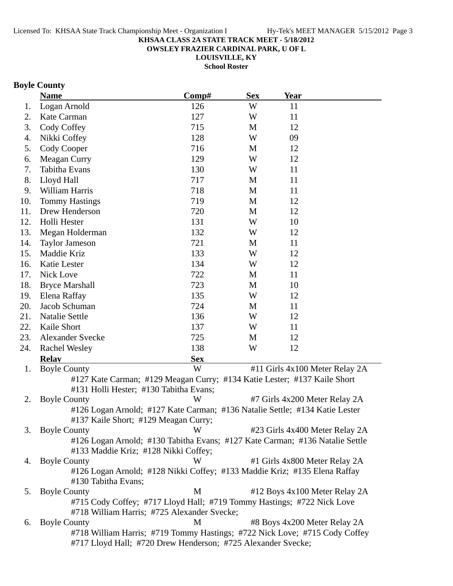**OWSLEY FRAZIER CARDINAL PARK, U OF L**

**LOUISVILLE, KY**

**School Roster**

# **Boyle County**

|     | <b>Name</b>                                                                  | Comp#      | <b>Sex</b> | <b>Year</b> |                                |
|-----|------------------------------------------------------------------------------|------------|------------|-------------|--------------------------------|
| 1.  | Logan Arnold                                                                 | 126        | W          | 11          |                                |
| 2.  | Kate Carman                                                                  | 127        | W          | 11          |                                |
| 3.  | Cody Coffey                                                                  | 715        | M          | 12          |                                |
| 4.  | Nikki Coffey                                                                 | 128        | W          | 09          |                                |
| 5.  | Cody Cooper                                                                  | 716        | M          | 12          |                                |
| 6.  | Meagan Curry                                                                 | 129        | W          | 12          |                                |
| 7.  | Tabitha Evans                                                                | 130        | W          | 11          |                                |
| 8.  | Lloyd Hall                                                                   | 717        | M          | 11          |                                |
| 9.  | William Harris                                                               | 718        | M          | 11          |                                |
| 10. | <b>Tommy Hastings</b>                                                        | 719        | M          | 12          |                                |
| 11. | Drew Henderson                                                               | 720        | M          | 12          |                                |
| 12. | Holli Hester                                                                 | 131        | W          | 10          |                                |
| 13. | Megan Holderman                                                              | 132        | W          | 12          |                                |
| 14. | <b>Taylor Jameson</b>                                                        | 721        | M          | 11          |                                |
| 15. | Maddie Kriz                                                                  | 133        | W          | 12          |                                |
| 16. | Katie Lester                                                                 | 134        | W          | 12          |                                |
| 17. | Nick Love                                                                    | 722        | M          | 11          |                                |
| 18. | <b>Bryce Marshall</b>                                                        | 723        | M          | 10          |                                |
| 19. | Elena Raffay                                                                 | 135        | W          | 12          |                                |
| 20. | Jacob Schuman                                                                | 724        | M          | 11          |                                |
| 21. | <b>Natalie Settle</b>                                                        | 136        | W          | 12          |                                |
| 22. | Kaile Short                                                                  | 137        | W          | 11          |                                |
| 23. | <b>Alexander Svecke</b>                                                      | 725        | M          | 12          |                                |
| 24. | <b>Rachel Wesley</b>                                                         | 138        | W          | 12          |                                |
|     | <b>Relay</b>                                                                 | <b>Sex</b> |            |             |                                |
| 1.  | <b>Boyle County</b>                                                          | W          |            |             | #11 Girls 4x100 Meter Relay 2A |
|     | #127 Kate Carman; #129 Meagan Curry; #134 Katie Lester; #137 Kaile Short     |            |            |             |                                |
|     | #131 Holli Hester; #130 Tabitha Evans;                                       |            |            |             |                                |
| 2.  | <b>Boyle County</b>                                                          | W          |            |             | #7 Girls 4x200 Meter Relay 2A  |
|     | #126 Logan Arnold; #127 Kate Carman; #136 Natalie Settle; #134 Katie Lester  |            |            |             |                                |
|     | #137 Kaile Short; #129 Meagan Curry;                                         |            |            |             |                                |
| 3.  | <b>Boyle County</b>                                                          | W          |            |             | #23 Girls 4x400 Meter Relay 2A |
|     | #126 Logan Arnold; #130 Tabitha Evans; #127 Kate Carman; #136 Natalie Settle |            |            |             |                                |
|     | #133 Maddie Kriz; #128 Nikki Coffey;                                         |            |            |             |                                |
| 4.  | <b>Boyle County</b>                                                          | W          |            |             | #1 Girls 4x800 Meter Relay 2A  |
|     | #126 Logan Arnold; #128 Nikki Coffey; #133 Maddie Kriz; #135 Elena Raffay    |            |            |             |                                |
|     | #130 Tabitha Evans;                                                          |            |            |             |                                |
| 5.  | <b>Boyle County</b>                                                          | M          |            |             | #12 Boys 4x100 Meter Relay 2A  |
|     | #715 Cody Coffey; #717 Lloyd Hall; #719 Tommy Hastings; #722 Nick Love       |            |            |             |                                |
|     | #718 William Harris; #725 Alexander Svecke;                                  |            |            |             |                                |
| 6.  | <b>Boyle County</b>                                                          | M          |            |             | #8 Boys 4x200 Meter Relay 2A   |
|     | #718 William Harris; #719 Tommy Hastings; #722 Nick Love; #715 Cody Coffey   |            |            |             |                                |
|     | #717 Lloyd Hall; #720 Drew Henderson; #725 Alexander Svecke;                 |            |            |             |                                |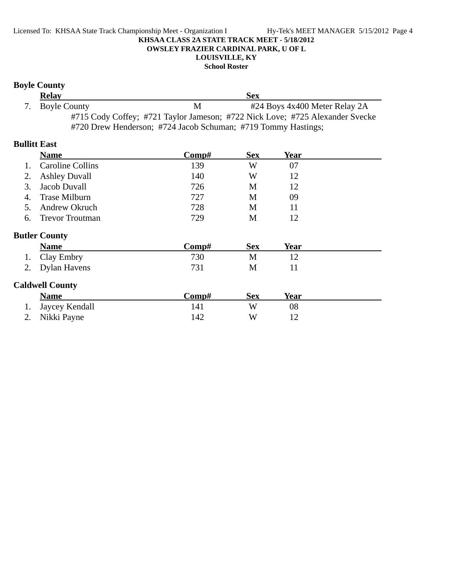#### Licensed To: KHSAA State Track Championship Meet - Organization I Hy-Tek's MEET MANAGER 5/15/2012 Page 4 **KHSAA CLASS 2A STATE TRACK MEET - 5/18/2012 OWSLEY FRAZIER CARDINAL PARK, U OF L LOUISVILLE, KY**

### **School Roster**

# **Boyle County**

| <b>Relay</b>    | <b>Sex</b> |                                                                              |  |  |
|-----------------|------------|------------------------------------------------------------------------------|--|--|
| 7. Boyle County | M          | #24 Boys 4x400 Meter Relay 2A                                                |  |  |
|                 |            | #715 Cody Coffey; #721 Taylor Jameson; #722 Nick Love; #725 Alexander Svecke |  |  |
|                 |            | #720 Drew Henderson; #724 Jacob Schuman; #719 Tommy Hastings;                |  |  |

## **Bullitt East**

|                | <b>Name</b>             | Comp# | <b>Sex</b> | <b>Year</b> |  |
|----------------|-------------------------|-------|------------|-------------|--|
| $\mathbf{1}$ . | <b>Caroline Collins</b> | 139   | W          | 07          |  |
| 2.             | <b>Ashley Duvall</b>    | 140   | W          | 12          |  |
| 3.             | Jacob Duvall            | 726   | M          | 12          |  |
| 4.             | <b>Trase Milburn</b>    | 727   | M          | 09          |  |
| 5.             | Andrew Okruch           | 728   | M          | 11          |  |
| 6.             | <b>Trevor Troutman</b>  | 729   | M          | 12          |  |
|                | <b>Butler County</b>    |       |            |             |  |
|                | <b>Name</b>             | Comp# | <b>Sex</b> | <b>Year</b> |  |
|                | Clay Embry              | 730   | M          | 12          |  |
| 2.             | <b>Dylan Havens</b>     | 731   | M          | 11          |  |
|                | <b>Caldwell County</b>  |       |            |             |  |
|                | <b>Name</b>             | Comp# | <b>Sex</b> | <b>Year</b> |  |
| 1.             | Jaycey Kendall          | 141   | W          | 08          |  |

| 2. Nikki Payne | 142 | W | 12 |
|----------------|-----|---|----|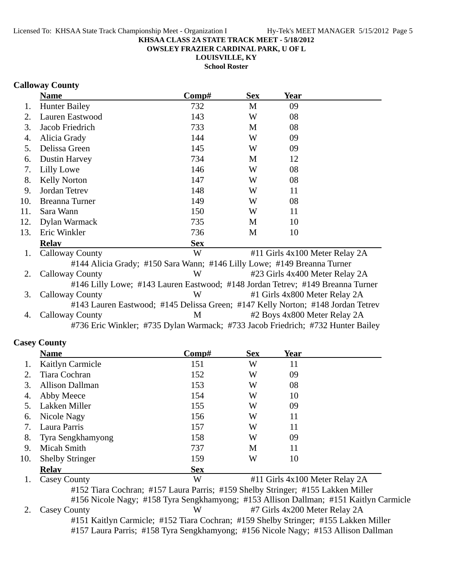**OWSLEY FRAZIER CARDINAL PARK, U OF L**

**LOUISVILLE, KY**

**School Roster**

## **Calloway County**

|     | <b>Name</b>            | Comp#                                                                   | <b>Sex</b> | Year                           |  |
|-----|------------------------|-------------------------------------------------------------------------|------------|--------------------------------|--|
|     | <b>Hunter Bailey</b>   | 732                                                                     | M          | 09                             |  |
| 2.  | Lauren Eastwood        | 143                                                                     | W          | 08                             |  |
| 3.  | Jacob Friedrich        | 733                                                                     | M          | 08                             |  |
| 4.  | Alicia Grady           | 144                                                                     | W          | 09                             |  |
| 5.  | Delissa Green          | 145                                                                     | W          | 09                             |  |
| 6.  | <b>Dustin Harvey</b>   | 734                                                                     | M          | 12                             |  |
| 7.  | Lilly Lowe             | 146                                                                     | W          | 08                             |  |
| 8.  | <b>Kelly Norton</b>    | 147                                                                     | W          | 08                             |  |
| 9.  | Jordan Tetrev          | 148                                                                     | W          | 11                             |  |
| 10. | Breanna Turner         | 149                                                                     | W          | 08                             |  |
| 11. | Sara Wann              | 150                                                                     | W          | 11                             |  |
| 12. | Dylan Warmack          | 735                                                                     | M          | 10                             |  |
| 13. | Eric Winkler           | 736                                                                     | M          | 10                             |  |
|     | <b>Relav</b>           | <b>Sex</b>                                                              |            |                                |  |
| 1.  | <b>Calloway County</b> | W                                                                       |            | #11 Girls 4x100 Meter Relay 2A |  |
|     |                        | #144 Alicia Grady; #150 Sara Wann; #146 Lilly Lowe; #149 Breanna Turner |            |                                |  |
| 2.  | Calloway County        | W                                                                       |            | #23 Girls 4x400 Meter Relay 2A |  |

#146 Lilly Lowe; #143 Lauren Eastwood; #148 Jordan Tetrev; #149 Breanna Turner 3. Calloway County W #1 Girls 4x800 Meter Relay 2A #143 Lauren Eastwood; #145 Delissa Green; #147 Kelly Norton; #148 Jordan Tetrev 4. Calloway County 1. M +2 Boys 4x800 Meter Relay 2A #736 Eric Winkler; #735 Dylan Warmack; #733 Jacob Friedrich; #732 Hunter Bailey

## **Casey County**

|     | <b>Name</b>            | Comp#      | <b>Sex</b> | Year                                                                                                                        |  |
|-----|------------------------|------------|------------|-----------------------------------------------------------------------------------------------------------------------------|--|
|     | Kaitlyn Carmicle       | 151        | W          | 11                                                                                                                          |  |
| 2.  | Tiara Cochran          | 152        | W          | 09                                                                                                                          |  |
| 3.  | Allison Dallman        | 153        | W          | 08                                                                                                                          |  |
| 4.  | Abby Meece             | 154        | W          | 10                                                                                                                          |  |
|     | Lakken Miller          | 155        | W          | 09                                                                                                                          |  |
| 6.  | Nicole Nagy            | 156        | W          | 11                                                                                                                          |  |
| 7.  | Laura Parris           | 157        | W          | 11                                                                                                                          |  |
| 8.  | Tyra Sengkhamyong      | 158        | W          | 09                                                                                                                          |  |
| 9.  | Micah Smith            | 737        | M          | 11                                                                                                                          |  |
| 10. | <b>Shelby Stringer</b> | 159        | W          | 10                                                                                                                          |  |
|     | <b>Relav</b>           | <b>Sex</b> |            |                                                                                                                             |  |
|     | $\sim$ $\sim$          | T T        |            | $\mu$ and $\sigma$ is a set of $\sigma$ is a set of $\sigma$ is a set of $\sigma$ is a set of $\sigma$ is a set of $\sigma$ |  |

1. Casey County #11 Girls 4x100 Meter Relay 2A W #152 Tiara Cochran; #157 Laura Parris; #159 Shelby Stringer; #155 Lakken Miller #156 Nicole Nagy; #158 Tyra Sengkhamyong; #153 Allison Dallman; #151 Kaitlyn Carmicle 2. Casey County W #7 Girls 4x200 Meter Relay 2A #151 Kaitlyn Carmicle; #152 Tiara Cochran; #159 Shelby Stringer; #155 Lakken Miller #157 Laura Parris; #158 Tyra Sengkhamyong; #156 Nicole Nagy; #153 Allison Dallman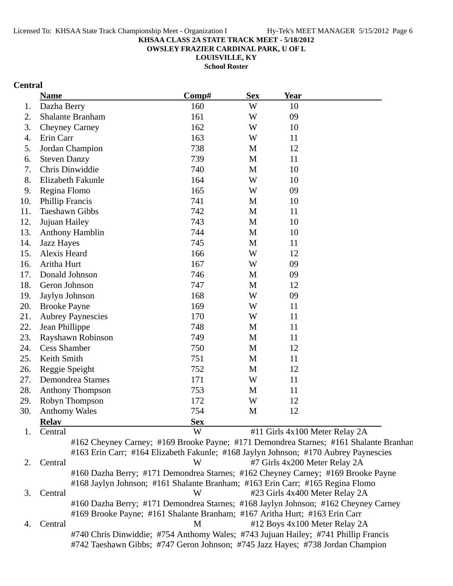**OWSLEY FRAZIER CARDINAL PARK, U OF L**

**LOUISVILLE, KY School Roster**

# **Central**

|     | <b>Name</b>                                                                         | Comp#      | <b>Sex</b> | <b>Year</b> |                                                                                       |
|-----|-------------------------------------------------------------------------------------|------------|------------|-------------|---------------------------------------------------------------------------------------|
| 1.  | Dazha Berry                                                                         | 160        | W          | 10          |                                                                                       |
| 2.  | Shalante Branham                                                                    | 161        | W          | 09          |                                                                                       |
| 3.  | <b>Cheyney Carney</b>                                                               | 162        | W          | 10          |                                                                                       |
| 4.  | Erin Carr                                                                           | 163        | W          | 11          |                                                                                       |
| 5.  | Jordan Champion                                                                     | 738        | M          | 12          |                                                                                       |
| 6.  | <b>Steven Danzy</b>                                                                 | 739        | M          | 11          |                                                                                       |
| 7.  | Chris Dinwiddie                                                                     | 740        | M          | 10          |                                                                                       |
| 8.  | Elizabeth Fakunle                                                                   | 164        | W          | 10          |                                                                                       |
| 9.  | Regina Flomo                                                                        | 165        | W          | 09          |                                                                                       |
| 10. | <b>Phillip Francis</b>                                                              | 741        | M          | 10          |                                                                                       |
| 11. | <b>Taeshawn Gibbs</b>                                                               | 742        | M          | 11          |                                                                                       |
| 12. | Jujuan Hailey                                                                       | 743        | M          | 10          |                                                                                       |
| 13. | <b>Anthony Hamblin</b>                                                              | 744        | M          | 10          |                                                                                       |
| 14. | <b>Jazz Hayes</b>                                                                   | 745        | M          | 11          |                                                                                       |
| 15. | Alexis Heard                                                                        | 166        | W          | 12          |                                                                                       |
| 16. | Aritha Hurt                                                                         | 167        | W          | 09          |                                                                                       |
| 17. | Donald Johnson                                                                      | 746        | M          | 09          |                                                                                       |
| 18. | Geron Johnson                                                                       | 747        | M          | 12          |                                                                                       |
| 19. | Jaylyn Johnson                                                                      | 168        | W          | 09          |                                                                                       |
| 20. | <b>Brooke Payne</b>                                                                 | 169        | W          | 11          |                                                                                       |
| 21. | <b>Aubrey Paynescies</b>                                                            | 170        | W          | 11          |                                                                                       |
| 22. | Jean Phillippe                                                                      | 748        | M          | 11          |                                                                                       |
| 23. | Rayshawn Robinson                                                                   | 749        | M          | 11          |                                                                                       |
| 24. | <b>Cess Shamber</b>                                                                 | 750        | M          | 12          |                                                                                       |
| 25. | Keith Smith                                                                         | 751        | M          | 11          |                                                                                       |
| 26. | Reggie Speight                                                                      | 752        | M          | 12          |                                                                                       |
| 27. | Demondrea Starnes                                                                   | 171        | W          | 11          |                                                                                       |
| 28. | Anthony Thompson                                                                    | 753        | M          | 11          |                                                                                       |
| 29. | Robyn Thompson                                                                      | 172        | W          | 12          |                                                                                       |
| 30. | <b>Anthomy Wales</b>                                                                | 754        | M          | 12          |                                                                                       |
|     | <b>Relay</b>                                                                        | <b>Sex</b> |            |             |                                                                                       |
| 1.  | Central                                                                             | W          |            |             | #11 Girls 4x100 Meter Relay 2A                                                        |
|     |                                                                                     |            |            |             | #162 Cheyney Carney; #169 Brooke Payne; #171 Demondrea Starnes; #161 Shalante Branhan |
|     | #163 Erin Carr; #164 Elizabeth Fakunle; #168 Jaylyn Johnson; #170 Aubrey Paynescies |            |            |             |                                                                                       |
| 2.  | Central                                                                             | W          |            |             | #7 Girls 4x200 Meter Relay 2A                                                         |
|     | #160 Dazha Berry; #171 Demondrea Starnes; #162 Cheyney Carney; #169 Brooke Payne    |            |            |             |                                                                                       |
|     | #168 Jaylyn Johnson; #161 Shalante Branham; #163 Erin Carr; #165 Regina Flomo       |            |            |             |                                                                                       |
| 3.  | Central                                                                             | W          |            |             | #23 Girls 4x400 Meter Relay 2A                                                        |
|     | #160 Dazha Berry; #171 Demondrea Starnes; #168 Jaylyn Johnson; #162 Cheyney Carney  |            |            |             |                                                                                       |
|     | #169 Brooke Payne; #161 Shalante Branham; #167 Aritha Hurt; #163 Erin Carr          |            |            |             |                                                                                       |
| 4.  | Central                                                                             | M          |            |             | #12 Boys 4x100 Meter Relay 2A                                                         |
|     | #740 Chris Dinwiddie; #754 Anthomy Wales; #743 Jujuan Hailey; #741 Phillip Francis  |            |            |             |                                                                                       |
|     | #742 Taeshawn Gibbs; #747 Geron Johnson; #745 Jazz Hayes; #738 Jordan Champion      |            |            |             |                                                                                       |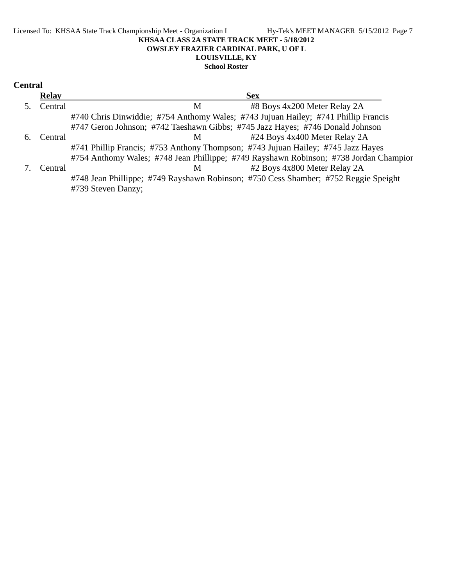#### Licensed To: KHSAA State Track Championship Meet - Organization I Hy-Tek's MEET MANAGER 5/15/2012 Page 7 **KHSAA CLASS 2A STATE TRACK MEET - 5/18/2012 OWSLEY FRAZIER CARDINAL PARK, U OF L LOUISVILLE, KY School Roster**

| Central |  |
|---------|--|
|---------|--|

|    | <b>Relay</b> | <b>Sex</b>                                                                            |
|----|--------------|---------------------------------------------------------------------------------------|
|    | Central      | #8 Boys 4x200 Meter Relay 2A<br>M                                                     |
|    |              | #740 Chris Dinwiddie; #754 Anthomy Wales; #743 Jujuan Hailey; #741 Phillip Francis    |
|    |              | #747 Geron Johnson; #742 Taeshawn Gibbs; #745 Jazz Hayes; #746 Donald Johnson         |
| 6. | Central      | #24 Boys 4x400 Meter Relay 2A<br>M                                                    |
|    |              | #741 Phillip Francis; #753 Anthony Thompson; #743 Jujuan Hailey; #745 Jazz Hayes      |
|    |              | #754 Anthomy Wales; #748 Jean Phillippe; #749 Rayshawn Robinson; #738 Jordan Champior |
|    | Central      | #2 Boys 4x800 Meter Relay 2A<br>M                                                     |
|    |              | #748 Jean Phillippe; #749 Rayshawn Robinson; #750 Cess Shamber; #752 Reggie Speight   |
|    |              | #739 Steven Danzy;                                                                    |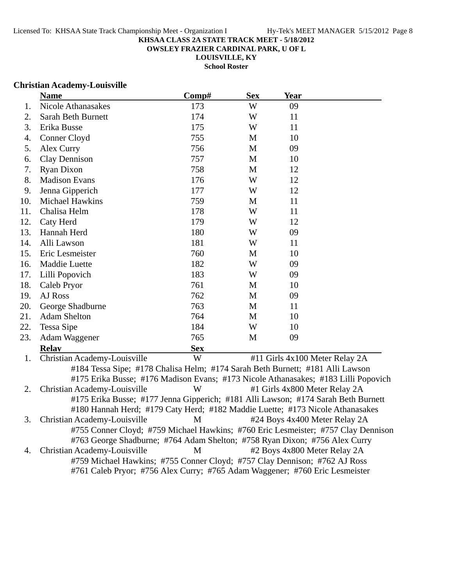**OWSLEY FRAZIER CARDINAL PARK, U OF L**

**LOUISVILLE, KY School Roster**

#### **Christian Academy-Louisville**

|     | <b>Name</b>                  | Comp#      | <b>Sex</b> | <b>Year</b>                                                                        |
|-----|------------------------------|------------|------------|------------------------------------------------------------------------------------|
| 1.  | Nicole Athanasakes           | 173        | W          | 09                                                                                 |
| 2.  | Sarah Beth Burnett           | 174        | W          | 11                                                                                 |
| 3.  | Erika Busse                  | 175        | W          | 11                                                                                 |
| 4.  | Conner Cloyd                 | 755        | M          | 10                                                                                 |
| 5.  | Alex Curry                   | 756        | M          | 09                                                                                 |
| 6.  | <b>Clay Dennison</b>         | 757        | M          | 10                                                                                 |
| 7.  | <b>Ryan Dixon</b>            | 758        | M          | 12                                                                                 |
| 8.  | <b>Madison Evans</b>         | 176        | W          | 12                                                                                 |
| 9.  | Jenna Gipperich              | 177        | W          | 12                                                                                 |
| 10. | Michael Hawkins              | 759        | M          | 11                                                                                 |
| 11. | Chalisa Helm                 | 178        | W          | 11                                                                                 |
| 12. | Caty Herd                    | 179        | W          | 12                                                                                 |
| 13. | Hannah Herd                  | 180        | W          | 09                                                                                 |
| 14. | Alli Lawson                  | 181        | W          | 11                                                                                 |
| 15. | Eric Lesmeister              | 760        | M          | 10                                                                                 |
| 16. | Maddie Luette                | 182        | W          | 09                                                                                 |
| 17. | Lilli Popovich               | 183        | W          | 09                                                                                 |
| 18. | Caleb Pryor                  | 761        | M          | 10                                                                                 |
| 19. | AJ Ross                      | 762        | M          | 09                                                                                 |
| 20. | George Shadburne             | 763        | M          | 11                                                                                 |
| 21. | <b>Adam Shelton</b>          | 764        | M          | 10                                                                                 |
| 22. | Tessa Sipe                   | 184        | W          | 10                                                                                 |
| 23. | Adam Waggener                | 765        | M          | 09                                                                                 |
|     | <b>Relav</b>                 | <b>Sex</b> |            |                                                                                    |
| 1.  | Christian Academy-Louisville | W          |            | #11 Girls 4x100 Meter Relay 2A                                                     |
|     |                              |            |            | #184 Tessa Sipe; #178 Chalisa Helm; #174 Sarah Beth Burnett; #181 Alli Lawson      |
|     |                              |            |            | #175 Erika Busse; #176 Madison Evans; #173 Nicole Athanasakes; #183 Lilli Popovich |
| 2.  | Christian Academy-Louisville | W          |            | #1 Girls 4x800 Meter Relay 2A                                                      |
|     |                              |            |            | #175 Erika Busse; #177 Jenna Gipperich; #181 Alli Lawson; #174 Sarah Beth Burnett  |
|     |                              |            |            | #180 Hannah Herd; #179 Caty Herd; #182 Maddie Luette; #173 Nicole Athanasakes      |
| 3.  | Christian Academy-Louisville | M          |            | #24 Boys 4x400 Meter Relay 2A                                                      |

#755 Conner Cloyd; #759 Michael Hawkins; #760 Eric Lesmeister; #757 Clay Dennison #763 George Shadburne; #764 Adam Shelton; #758 Ryan Dixon; #756 Alex Curry 4. Christian Academy-Louisville M #2 Boys 4x800 Meter Relay 2A

#759 Michael Hawkins; #755 Conner Cloyd; #757 Clay Dennison; #762 AJ Ross #761 Caleb Pryor; #756 Alex Curry; #765 Adam Waggener; #760 Eric Lesmeister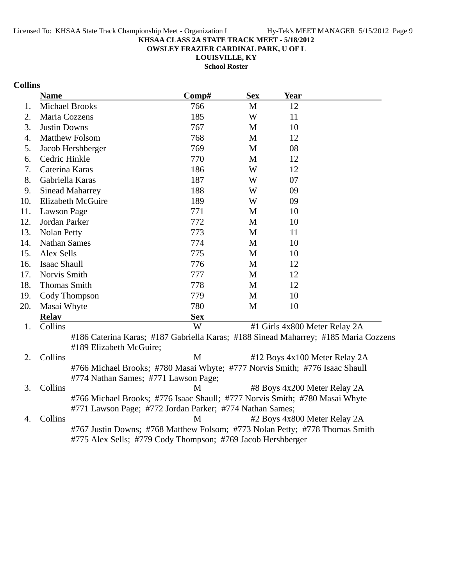**OWSLEY FRAZIER CARDINAL PARK, U OF L**

**LOUISVILLE, KY School Roster**

# **Collins**

|     | <b>Name</b>                                                                                                                                | Comp#        | <b>Sex</b>   | <b>Year</b>                   |  |
|-----|--------------------------------------------------------------------------------------------------------------------------------------------|--------------|--------------|-------------------------------|--|
| 1.  | <b>Michael Brooks</b>                                                                                                                      | 766          | M            | 12                            |  |
| 2.  | Maria Cozzens                                                                                                                              | 185          | W            | 11                            |  |
| 3.  | <b>Justin Downs</b>                                                                                                                        | 767          | M            | 10                            |  |
| 4.  | <b>Matthew Folsom</b>                                                                                                                      | 768          | M            | 12                            |  |
| 5.  | Jacob Hershberger                                                                                                                          | 769          | $\mathbf{M}$ | 08                            |  |
| 6.  | Cedric Hinkle                                                                                                                              | 770          | M            | 12                            |  |
| 7.  | Caterina Karas                                                                                                                             | 186          | W            | 12                            |  |
| 8.  | Gabriella Karas                                                                                                                            | 187          | W            | 07                            |  |
| 9.  | <b>Sinead Maharrey</b>                                                                                                                     | 188          | W            | 09                            |  |
| 10. | <b>Elizabeth McGuire</b>                                                                                                                   | 189          | W            | 09                            |  |
| 11. | Lawson Page                                                                                                                                | 771          | M            | 10                            |  |
| 12. | Jordan Parker                                                                                                                              | 772          | M            | 10                            |  |
| 13. | <b>Nolan Petty</b>                                                                                                                         | 773          | M            | 11                            |  |
| 14. | <b>Nathan Sames</b>                                                                                                                        | 774          | $\mathbf{M}$ | 10                            |  |
| 15. | Alex Sells                                                                                                                                 | 775          | M            | 10                            |  |
| 16. | <b>Isaac Shaull</b>                                                                                                                        | 776          | M            | 12                            |  |
| 17. | Norvis Smith                                                                                                                               | 777          | M            | 12                            |  |
| 18. | <b>Thomas Smith</b>                                                                                                                        | 778          | M            | 12                            |  |
| 19. | Cody Thompson                                                                                                                              | 779          | M            | 10                            |  |
| 20. | Masai Whyte                                                                                                                                | 780          | M            | 10                            |  |
|     | <b>Relay</b>                                                                                                                               | <b>Sex</b>   |              |                               |  |
| 1.  | Collins                                                                                                                                    | W            |              | #1 Girls 4x800 Meter Relay 2A |  |
|     | #186 Caterina Karas; #187 Gabriella Karas; #188 Sinead Maharrey; #185 Maria Cozzens<br>#189 Elizabeth McGuire;                             |              |              |                               |  |
| 2.  | Collins                                                                                                                                    | $\mathbf{M}$ |              | #12 Boys 4x100 Meter Relay 2A |  |
|     | #766 Michael Brooks; #780 Masai Whyte; #777 Norvis Smith; #776 Isaac Shaull                                                                |              |              |                               |  |
|     | #774 Nathan Sames; #771 Lawson Page;                                                                                                       |              |              |                               |  |
| 3.  | Collins                                                                                                                                    | M            |              | #8 Boys 4x200 Meter Relay 2A  |  |
|     | #766 Michael Brooks; #776 Isaac Shaull; #777 Norvis Smith; #780 Masai Whyte                                                                |              |              |                               |  |
|     | #771 Lawson Page; #772 Jordan Parker; #774 Nathan Sames;                                                                                   |              |              |                               |  |
| 4.  | Collins                                                                                                                                    | M            |              | #2 Boys 4x800 Meter Relay 2A  |  |
|     | #767 Justin Downs; #768 Matthew Folsom; #773 Nolan Petty; #778 Thomas Smith<br>#775 Alex Sells; #779 Cody Thompson; #769 Jacob Hershberger |              |              |                               |  |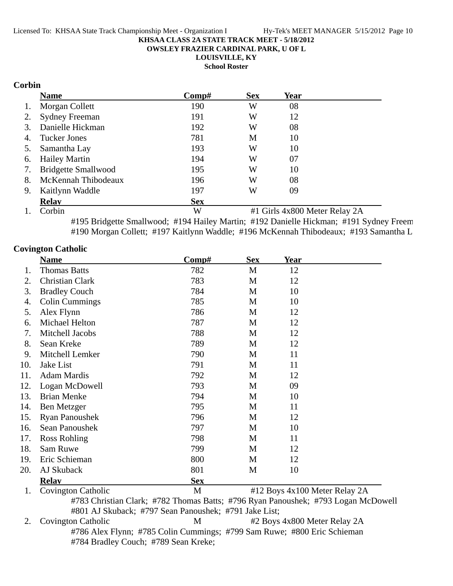**OWSLEY FRAZIER CARDINAL PARK, U OF L**

**LOUISVILLE, KY**

**School Roster**

## **Corbin**

|    | <b>Name</b>                | $\bf Comp\#$ | <b>Sex</b> | <b>Year</b> |  |
|----|----------------------------|--------------|------------|-------------|--|
| 1. | Morgan Collett             | 190          | W          | 08          |  |
| 2. | <b>Sydney Freeman</b>      | 191          | W          | 12          |  |
| 3. | Danielle Hickman           | 192          | W          | 08          |  |
| 4. | Tucker Jones               | 781          | M          | 10          |  |
| 5. | Samantha Lay               | 193          | W          | 10          |  |
|    | 6. Hailey Martin           | 194          | W          | 07          |  |
| 7. | <b>Bridgette Smallwood</b> | 195          | W          | 10          |  |
| 8. | McKennah Thibodeaux        | 196          | W          | 08          |  |
| 9. | Kaitlynn Waddle            | 197          | W          | 09          |  |
|    | <b>Relav</b>               | <b>Sex</b>   |            |             |  |

1. Corbin W #1 Girls 4x800 Meter Relay 2A #195 Bridgette Smallwood; #194 Hailey Martin; #192 Danielle Hickman; #191 Sydney Freem #190 Morgan Collett; #197 Kaitlynn Waddle; #196 McKennah Thibodeaux; #193 Samantha L

## **Covington Catholic**

|     | <b>Name</b>                                                                       | $\bf Comp\#$                                          | <b>Sex</b> | <u>Year</u>                   |  |  |
|-----|-----------------------------------------------------------------------------------|-------------------------------------------------------|------------|-------------------------------|--|--|
| 1.  | <b>Thomas Batts</b>                                                               | 782                                                   | M          | 12                            |  |  |
| 2.  | Christian Clark                                                                   | 783                                                   | M          | 12                            |  |  |
| 3.  | <b>Bradley Couch</b>                                                              | 784                                                   | M          | 10                            |  |  |
| 4.  | <b>Colin Cummings</b>                                                             | 785                                                   | M          | 10                            |  |  |
| 5.  | Alex Flynn                                                                        | 786                                                   | M          | 12                            |  |  |
| 6.  | Michael Helton                                                                    | 787                                                   | M          | 12                            |  |  |
| 7.  | Mitchell Jacobs                                                                   | 788                                                   | M          | 12                            |  |  |
| 8.  | Sean Kreke                                                                        | 789                                                   | M          | 12                            |  |  |
| 9.  | Mitchell Lemker                                                                   | 790                                                   | M          | 11                            |  |  |
| 10. | Jake List                                                                         | 791                                                   | M          | 11                            |  |  |
| 11. | <b>Adam Mardis</b>                                                                | 792                                                   | M          | 12                            |  |  |
| 12. | Logan McDowell                                                                    | 793                                                   | M          | 09                            |  |  |
| 13. | <b>Brian Menke</b>                                                                | 794                                                   | M          | 10                            |  |  |
| 14. | Ben Metzger                                                                       | 795                                                   | M          | 11                            |  |  |
| 15. | <b>Ryan Panoushek</b>                                                             | 796                                                   | M          | 12                            |  |  |
| 16. | Sean Panoushek                                                                    | 797                                                   | M          | 10                            |  |  |
| 17. | Ross Rohling                                                                      | 798                                                   | M          | 11                            |  |  |
| 18. | Sam Ruwe                                                                          | 799                                                   | M          | 12                            |  |  |
| 19. | Eric Schieman                                                                     | 800                                                   | M          | 12                            |  |  |
| 20. | AJ Skuback                                                                        | 801                                                   | M          | 10                            |  |  |
|     | <b>Relay</b>                                                                      | <b>Sex</b>                                            |            |                               |  |  |
| 1.  | <b>Covington Catholic</b>                                                         | M                                                     |            | #12 Boys 4x100 Meter Relay 2A |  |  |
|     | #783 Christian Clark; #782 Thomas Batts; #796 Ryan Panoushek; #793 Logan McDowell |                                                       |            |                               |  |  |
|     |                                                                                   | #801 AJ Skuback; #797 Sean Panoushek; #791 Jake List; |            |                               |  |  |
| 2.  | Covington Catholic                                                                | M                                                     |            | #2 Boys 4x800 Meter Relay 2A  |  |  |

#786 Alex Flynn; #785 Colin Cummings; #799 Sam Ruwe; #800 Eric Schieman #784 Bradley Couch; #789 Sean Kreke;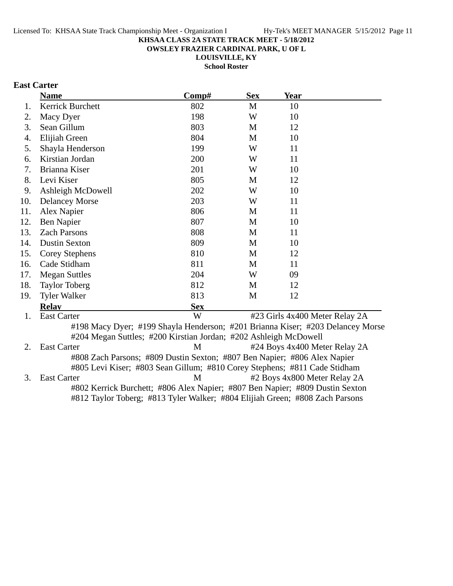**OWSLEY FRAZIER CARDINAL PARK, U OF L**

**LOUISVILLE, KY School Roster**

# **East Carter**

|     | <b>Name</b>                                                                    | Comp#      | <b>Sex</b> | <b>Year</b>                    |  |
|-----|--------------------------------------------------------------------------------|------------|------------|--------------------------------|--|
| 1.  | <b>Kerrick Burchett</b>                                                        | 802        | M          | 10                             |  |
| 2.  | Macy Dyer                                                                      | 198        | W          | 10                             |  |
| 3.  | Sean Gillum                                                                    | 803        | M          | 12                             |  |
| 4.  | Elijiah Green                                                                  | 804        | M          | 10                             |  |
| 5.  | Shayla Henderson                                                               | 199        | W          | 11                             |  |
| 6.  | Kirstian Jordan                                                                | 200        | W          | 11                             |  |
| 7.  | Brianna Kiser                                                                  | 201        | W          | 10                             |  |
| 8.  | Levi Kiser                                                                     | 805        | M          | 12                             |  |
| 9.  | Ashleigh McDowell                                                              | 202        | W          | 10                             |  |
| 10. | <b>Delancey Morse</b>                                                          | 203        | W          | 11                             |  |
| 11. | Alex Napier                                                                    | 806        | M          | 11                             |  |
| 12. | Ben Napier                                                                     | 807        | M          | 10                             |  |
| 13. | <b>Zach Parsons</b>                                                            | 808        | M          | 11                             |  |
| 14. | <b>Dustin Sexton</b>                                                           | 809        | M          | 10                             |  |
| 15. | <b>Corey Stephens</b>                                                          | 810        | M          | 12                             |  |
| 16. | Cade Stidham                                                                   | 811        | M          | 11                             |  |
| 17. | <b>Megan Suttles</b>                                                           | 204        | W          | 09                             |  |
| 18. | <b>Taylor Toberg</b>                                                           | 812        | M          | 12                             |  |
| 19. | <b>Tyler Walker</b>                                                            | 813        | M          | 12                             |  |
|     | <b>Relay</b>                                                                   | <b>Sex</b> |            |                                |  |
| 1.  | <b>East Carter</b>                                                             | W          |            | #23 Girls 4x400 Meter Relay 2A |  |
|     | #198 Macy Dyer; #199 Shayla Henderson; #201 Brianna Kiser; #203 Delancey Morse |            |            |                                |  |
|     | #204 Megan Suttles; #200 Kirstian Jordan; #202 Ashleigh McDowell               |            |            |                                |  |
| 2.  | <b>East Carter</b>                                                             | M          |            | #24 Boys 4x400 Meter Relay 2A  |  |
|     | #808 Zach Parsons; #809 Dustin Sexton; #807 Ben Napier; #806 Alex Napier       |            |            |                                |  |
|     | #805 Levi Kiser; #803 Sean Gillum; #810 Corey Stephens; #811 Cade Stidham      |            |            |                                |  |
| 3.  | <b>East Carter</b>                                                             | M          |            | #2 Boys 4x800 Meter Relay 2A   |  |
|     | #802 Kerrick Burchett; #806 Alex Napier; #807 Ben Napier; #809 Dustin Sexton   |            |            |                                |  |
|     | #812 Taylor Toberg; #813 Tyler Walker; #804 Elijiah Green; #808 Zach Parsons   |            |            |                                |  |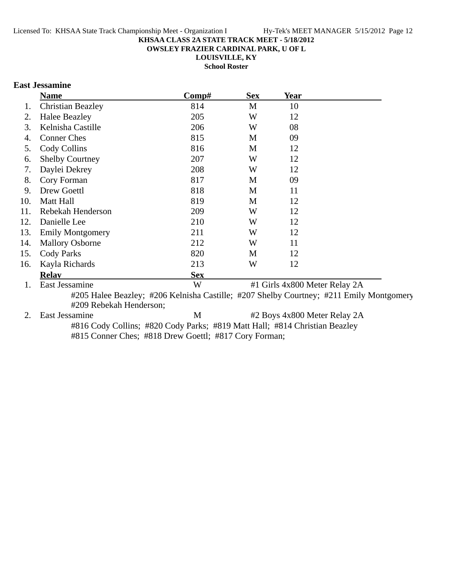**OWSLEY FRAZIER CARDINAL PARK, U OF L**

**LOUISVILLE, KY**

**School Roster**

## **East Jessamine**

|     | <b>Name</b>              | Comp#      | <b>Sex</b> | Year                          |  |
|-----|--------------------------|------------|------------|-------------------------------|--|
| 1.  | <b>Christian Beazley</b> | 814        | M          | 10                            |  |
| 2.  | <b>Halee Beazley</b>     | 205        | W          | 12                            |  |
| 3.  | Kelnisha Castille        | 206        | W          | 08                            |  |
| 4.  | <b>Conner Ches</b>       | 815        | M          | 09                            |  |
| 5.  | Cody Collins             | 816        | M          | 12                            |  |
| 6.  | <b>Shelby Courtney</b>   | 207        | W          | 12                            |  |
| 7.  | Daylei Dekrey            | 208        | W          | 12                            |  |
| 8.  | Cory Forman              | 817        | M          | 09                            |  |
| 9.  | Drew Goettl              | 818        | M          | 11                            |  |
| 10. | Matt Hall                | 819        | M          | 12                            |  |
| 11. | Rebekah Henderson        | 209        | W          | 12                            |  |
| 12. | Danielle Lee             | 210        | W          | 12                            |  |
| 13. | <b>Emily Montgomery</b>  | 211        | W          | 12                            |  |
| 14. | <b>Mallory Osborne</b>   | 212        | W          | 11                            |  |
| 15. | Cody Parks               | 820        | M          | 12                            |  |
| 16. | Kayla Richards           | 213        | W          | 12                            |  |
|     | <b>Relav</b>             | <b>Sex</b> |            |                               |  |
| 1.  | East Jessamine           | W          |            | #1 Girls 4x800 Meter Relay 2A |  |

#205 Halee Beazley; #206 Kelnisha Castille; #207 Shelby Courtney; #211 Emily Montgomery #209 Rebekah Henderson;

2. East Jessamine M  $\#2$  Boys 4x800 Meter Relay 2A #816 Cody Collins; #820 Cody Parks; #819 Matt Hall; #814 Christian Beazley #815 Conner Ches; #818 Drew Goettl; #817 Cory Forman;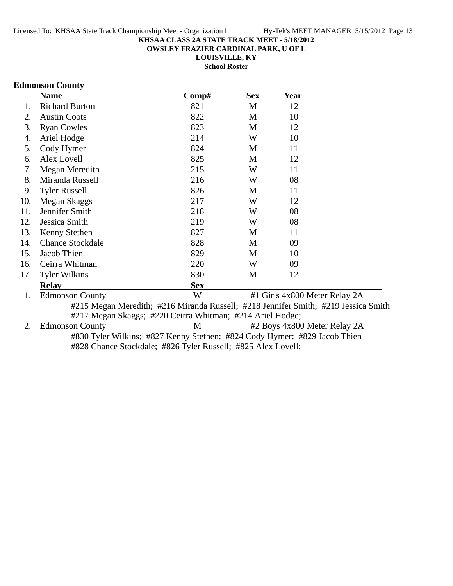**OWSLEY FRAZIER CARDINAL PARK, U OF L**

**LOUISVILLE, KY**

**School Roster**

## **Edmonson County**

|     | <b>Name</b>             | Comp#                                                                              | <b>Sex</b> | Year                          |  |
|-----|-------------------------|------------------------------------------------------------------------------------|------------|-------------------------------|--|
| 1.  | <b>Richard Burton</b>   | 821                                                                                | M          | 12                            |  |
| 2.  | <b>Austin Coots</b>     | 822                                                                                | M          | 10                            |  |
| 3.  | <b>Ryan Cowles</b>      | 823                                                                                | M          | 12                            |  |
| 4.  | Ariel Hodge             | 214                                                                                | W          | 10                            |  |
| 5.  | Cody Hymer              | 824                                                                                | M          | 11                            |  |
| 6.  | Alex Lovell             | 825                                                                                | M          | 12                            |  |
| 7.  | Megan Meredith          | 215                                                                                | W          | 11                            |  |
| 8.  | Miranda Russell         | 216                                                                                | W          | 08                            |  |
| 9.  | <b>Tyler Russell</b>    | 826                                                                                | M          | 11                            |  |
| 10. | Megan Skaggs            | 217                                                                                | W          | 12                            |  |
| 11. | Jennifer Smith          | 218                                                                                | W          | 08                            |  |
| 12. | Jessica Smith           | 219                                                                                | W          | 08                            |  |
| 13. | Kenny Stethen           | 827                                                                                | M          | 11                            |  |
| 14. | <b>Chance Stockdale</b> | 828                                                                                | M          | 09                            |  |
| 15. | Jacob Thien             | 829                                                                                | M          | 10                            |  |
| 16. | Ceirra Whitman          | 220                                                                                | W          | 09                            |  |
| 17. | <b>Tyler Wilkins</b>    | 830                                                                                | M          | 12                            |  |
|     | <b>Relav</b>            | <b>Sex</b>                                                                         |            |                               |  |
| 1.  | <b>Edmonson County</b>  | W                                                                                  |            | #1 Girls 4x800 Meter Relay 2A |  |
|     |                         | #215 Megan Meredith; #216 Miranda Russell; #218 Jennifer Smith; #219 Jessica Smith |            |                               |  |
|     |                         | #217 Megan Skaggs; #220 Ceirra Whitman; #214 Ariel Hodge;                          |            |                               |  |
| 2.  | <b>Edmonson County</b>  | M                                                                                  |            | #2 Boys 4x800 Meter Relay 2A  |  |
|     |                         | #830 Tyler Wilkins; #827 Kenny Stethen; #824 Cody Hymer; #829 Jacob Thien          |            |                               |  |

#828 Chance Stockdale; #826 Tyler Russell; #825 Alex Lovell;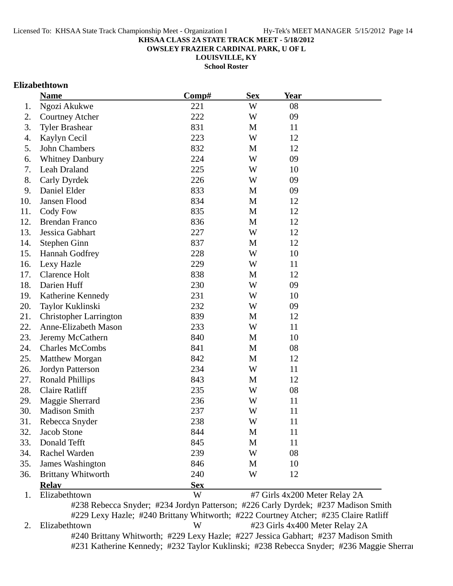**OWSLEY FRAZIER CARDINAL PARK, U OF L**

**LOUISVILLE, KY**

**School Roster**

## **Elizabethtown**

|     | <b>Name</b>                                                                       | Comp#      | <b>Sex</b> | Year                          |  |
|-----|-----------------------------------------------------------------------------------|------------|------------|-------------------------------|--|
| 1.  | Ngozi Akukwe                                                                      | 221        | W          | 08                            |  |
| 2.  | <b>Courtney Atcher</b>                                                            | 222        | W          | 09                            |  |
| 3.  | <b>Tyler Brashear</b>                                                             | 831        | M          | 11                            |  |
| 4.  | Kaylyn Cecil                                                                      | 223        | W          | 12                            |  |
| 5.  | John Chambers                                                                     | 832        | M          | 12                            |  |
| 6.  | <b>Whitney Danbury</b>                                                            | 224        | W          | 09                            |  |
| 7.  | Leah Draland                                                                      | 225        | W          | 10                            |  |
| 8.  | Carly Dyrdek                                                                      | 226        | W          | 09                            |  |
| 9.  | Daniel Elder                                                                      | 833        | M          | 09                            |  |
| 10. | Jansen Flood                                                                      | 834        | M          | 12                            |  |
| 11. | Cody Fow                                                                          | 835        | M          | 12                            |  |
| 12. | <b>Brendan Franco</b>                                                             | 836        | M          | 12                            |  |
| 13. | Jessica Gabhart                                                                   | 227        | W          | 12                            |  |
| 14. | Stephen Ginn                                                                      | 837        | M          | 12                            |  |
| 15. | <b>Hannah Godfrey</b>                                                             | 228        | W          | 10                            |  |
| 16. | Lexy Hazle                                                                        | 229        | W          | 11                            |  |
| 17. | <b>Clarence Holt</b>                                                              | 838        | M          | 12                            |  |
| 18. | Darien Huff                                                                       | 230        | W          | 09                            |  |
| 19. | Katherine Kennedy                                                                 | 231        | W          | 10                            |  |
| 20. | Taylor Kuklinski                                                                  | 232        | W          | 09                            |  |
| 21. | <b>Christopher Larrington</b>                                                     | 839        | M          | 12                            |  |
| 22. | Anne-Elizabeth Mason                                                              | 233        | W          | 11                            |  |
| 23. | Jeremy McCathern                                                                  | 840        | M          | 10                            |  |
| 24. | <b>Charles McCombs</b>                                                            | 841        | M          | 08                            |  |
| 25. | <b>Matthew Morgan</b>                                                             | 842        | M          | 12                            |  |
| 26. | Jordyn Patterson                                                                  | 234        | W          | 11                            |  |
| 27. | <b>Ronald Phillips</b>                                                            | 843        | M          | 12                            |  |
| 28. | <b>Claire Ratliff</b>                                                             | 235        | W          | 08                            |  |
| 29. | Maggie Sherrard                                                                   | 236        | W          | 11                            |  |
| 30. | <b>Madison Smith</b>                                                              | 237        | W          | 11                            |  |
| 31. | Rebecca Snyder                                                                    | 238        | W          | 11                            |  |
| 32. | Jacob Stone                                                                       | 844        | M          | 11                            |  |
| 33. | Donald Tefft                                                                      | 845        | M          | 11                            |  |
| 34. | Rachel Warden                                                                     | 239        | W          | 08                            |  |
| 35. | <b>James Washington</b>                                                           | 846        | M          | 10                            |  |
| 36. | <b>Brittany Whitworth</b>                                                         | 240        | W          | 12                            |  |
|     | <b>Relay</b>                                                                      | <b>Sex</b> |            |                               |  |
| 1.  | Elizabethtown                                                                     | W          |            | #7 Girls 4x200 Meter Relay 2A |  |
|     | #238 Rebecca Snyder; #234 Jordyn Patterson; #226 Carly Dyrdek; #237 Madison Smith |            |            |                               |  |

#229 Lexy Hazle; #240 Brittany Whitworth; #222 Courtney Atcher; #235 Claire Ratliff 2. Elizabethtown W #23 Girls 4x400 Meter Relay 2A #240 Brittany Whitworth; #229 Lexy Hazle; #227 Jessica Gabhart; #237 Madison Smith #231 Katherine Kennedy; #232 Taylor Kuklinski; #238 Rebecca Snyder; #236 Maggie Sherrar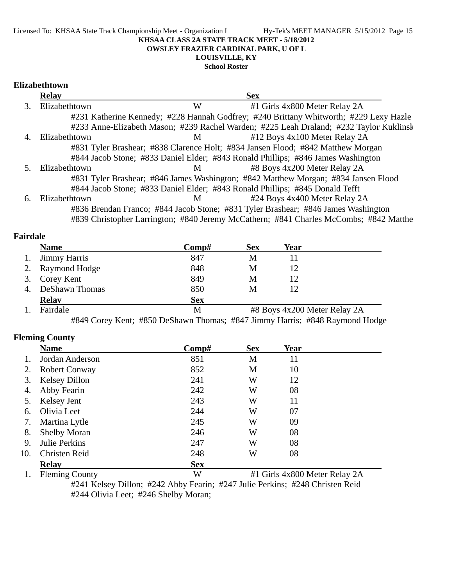Licensed To: KHSAA State Track Championship Meet - Organization I Hy-Tek's MEET MANAGER 5/15/2012 Page 15 **KHSAA CLASS 2A STATE TRACK MEET - 5/18/2012 OWSLEY FRAZIER CARDINAL PARK, U OF L**

# **LOUISVILLE, KY**

**School Roster**

## **Elizabethtown**

|                             | <b>Relay</b>  |   | <b>Sex</b>                                                                             |  |
|-----------------------------|---------------|---|----------------------------------------------------------------------------------------|--|
| $\mathcal{F}_{\mathcal{L}}$ | Elizabethtown | W | #1 Girls 4x800 Meter Relay 2A                                                          |  |
|                             |               |   | #231 Katherine Kennedy; #228 Hannah Godfrey; #240 Brittany Whitworth; #229 Lexy Hazle  |  |
|                             |               |   | #233 Anne-Elizabeth Mason; #239 Rachel Warden; #225 Leah Draland; #232 Taylor Kuklinsk |  |
|                             | Elizabethtown | M | #12 Boys 4x100 Meter Relay 2A                                                          |  |
|                             |               |   | #831 Tyler Brashear; #838 Clarence Holt; #834 Jansen Flood; #842 Matthew Morgan        |  |
|                             |               |   | #844 Jacob Stone; #833 Daniel Elder; #843 Ronald Phillips; #846 James Washington       |  |
|                             | Elizabethtown | M | #8 Boys 4x200 Meter Relay 2A                                                           |  |
|                             |               |   | #831 Tyler Brashear; #846 James Washington; #842 Matthew Morgan; #834 Jansen Flood     |  |
|                             |               |   | #844 Jacob Stone; #833 Daniel Elder; #843 Ronald Phillips; #845 Donald Tefft           |  |
| 6.                          | Elizabethtown | M | #24 Boys 4x400 Meter Relay 2A                                                          |  |
|                             |               |   | #836 Brendan Franco; #844 Jacob Stone; #831 Tyler Brashear; #846 James Washington      |  |
|                             |               |   | #839 Christopher Larrington; #840 Jeremy McCathern; #841 Charles McCombs; #842 Matthe  |  |

#### **Fairdale**

|    | <b>Name</b>         | Comp#      | <b>Sex</b> | Year                         |
|----|---------------------|------------|------------|------------------------------|
| 1. | <b>Jimmy Harris</b> | 847        | M          |                              |
| 2. | Raymond Hodge       | 848        | M          | 12                           |
|    | 3. Corey Kent       | 849        | M          | 12                           |
| 4. | DeShawn Thomas      | 850        | M          |                              |
|    | <b>Relay</b>        | <b>Sex</b> |            |                              |
|    | Fairdale            | М          |            | #8 Boys 4x200 Meter Relay 2A |

#849 Corey Kent; #850 DeShawn Thomas; #847 Jimmy Harris; #848 Raymond Hodge

## **Fleming County**

|     | <b>Name</b>           | Comp#      | <b>Sex</b>                    | <b>Year</b> |  |
|-----|-----------------------|------------|-------------------------------|-------------|--|
|     | Jordan Anderson       | 851        | M                             | 11          |  |
| 2.  | <b>Robert Conway</b>  | 852        | M                             | 10          |  |
| 3.  | <b>Kelsey Dillon</b>  | 241        | W                             | 12          |  |
| 4.  | Abby Fearin           | 242        | W                             | 08          |  |
| 5.  | Kelsey Jent           | 243        | W                             | 11          |  |
| 6.  | Olivia Leet           | 244        | W                             | 07          |  |
| 7.  | Martina Lytle         | 245        | W                             | 09          |  |
| 8.  | <b>Shelby Moran</b>   | 246        | W                             | 08          |  |
| 9.  | Julie Perkins         | 247        | W                             | 08          |  |
| 10. | <b>Christen Reid</b>  | 248        | W                             | 08          |  |
|     | <b>Relay</b>          | <b>Sex</b> |                               |             |  |
|     | <b>Fleming County</b> | W          | #1 Girls 4x800 Meter Relay 2A |             |  |

#241 Kelsey Dillon; #242 Abby Fearin; #247 Julie Perkins; #248 Christen Reid #244 Olivia Leet; #246 Shelby Moran;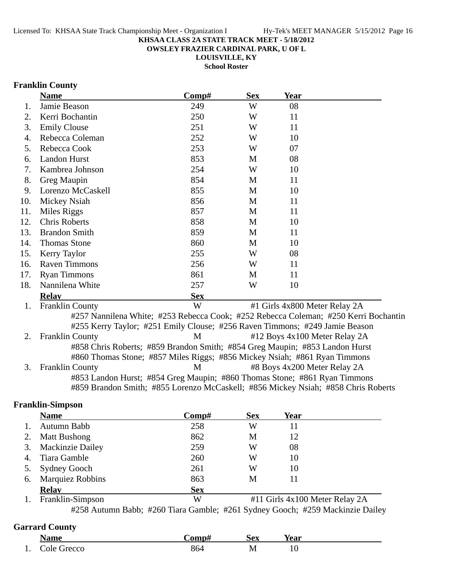**OWSLEY FRAZIER CARDINAL PARK, U OF L**

**LOUISVILLE, KY**

**School Roster**

# **Franklin County**

|     | <b>Name</b>            | Comp#      | <b>Sex</b> | <b>Year</b>                                                                         |  |
|-----|------------------------|------------|------------|-------------------------------------------------------------------------------------|--|
| 1.  | Jamie Beason           | 249        | W          | 08                                                                                  |  |
| 2.  | Kerri Bochantin        | 250        | W          | 11                                                                                  |  |
| 3.  | <b>Emily Clouse</b>    | 251        | W          | 11                                                                                  |  |
| 4.  | Rebecca Coleman        | 252        | W          | 10                                                                                  |  |
| 5.  | Rebecca Cook           | 253        | W          | 07                                                                                  |  |
| 6.  | <b>Landon Hurst</b>    | 853        | M          | 08                                                                                  |  |
| 7.  | Kambrea Johnson        | 254        | W          | 10                                                                                  |  |
| 8.  | Greg Maupin            | 854        | M          | 11                                                                                  |  |
| 9.  | Lorenzo McCaskell      | 855        | M          | 10                                                                                  |  |
| 10. | Mickey Nsiah           | 856        | M          | 11                                                                                  |  |
| 11. | Miles Riggs            | 857        | M          | 11                                                                                  |  |
| 12. | <b>Chris Roberts</b>   | 858        | M          | 10                                                                                  |  |
| 13. | <b>Brandon Smith</b>   | 859        | M          | 11                                                                                  |  |
| 14. | <b>Thomas Stone</b>    | 860        | M          | 10                                                                                  |  |
| 15. | Kerry Taylor           | 255        | W          | 08                                                                                  |  |
| 16. | <b>Raven Timmons</b>   | 256        | W          | 11                                                                                  |  |
| 17. | <b>Ryan Timmons</b>    | 861        | M          | 11                                                                                  |  |
| 18. | Nannilena White        | 257        | W          | 10                                                                                  |  |
|     | <b>Relay</b>           | <b>Sex</b> |            |                                                                                     |  |
| 1.  | <b>Franklin County</b> | W          |            | #1 Girls 4x800 Meter Relay 2A                                                       |  |
|     |                        |            |            | #257 Nannilena White; #253 Rebecca Cook; #252 Rebecca Coleman; #250 Kerri Bochantin |  |
|     |                        |            |            | #255 Kerry Taylor; #251 Emily Clouse; #256 Raven Timmons; #249 Jamie Beason         |  |
| 2.  | <b>Franklin County</b> | M          |            | #12 Boys 4x100 Meter Relay 2A                                                       |  |
|     |                        |            |            | #858 Chris Roberts; #859 Brandon Smith; #854 Greg Maupin; #853 Landon Hurst         |  |
|     |                        |            |            | #860 Thomas Stone; #857 Miles Riggs; #856 Mickey Nsiah; #861 Ryan Timmons           |  |
| 3.  | <b>Franklin County</b> | M          |            | #8 Boys 4x200 Meter Relay 2A                                                        |  |
|     |                        |            |            | #853 Landon Hurst; #854 Greg Maupin; #860 Thomas Stone; #861 Ryan Timmons           |  |
|     |                        |            |            | #859 Brandon Smith; #855 Lorenzo McCaskell; #856 Mickey Nsiah; #858 Chris Roberts   |  |
|     |                        |            |            |                                                                                     |  |

# **Franklin-Simpson**

|    | <b>Name</b>             | Comp#      | <b>Sex</b> | Year |  |
|----|-------------------------|------------|------------|------|--|
|    | Autumn Babb             | 258        | W          | 11   |  |
| 2. | <b>Matt Bushong</b>     | 862        | М          | 12   |  |
| 3. | <b>Mackinzie Dailey</b> | 259        | W          | 08   |  |
| 4. | Tiara Gamble            | 260        | W          | 10   |  |
|    | 5. Sydney Gooch         | 261        | W          | 10   |  |
| 6. | <b>Marquiez Robbins</b> | 863        | M          | 11   |  |
|    | <b>Relav</b>            | <b>Sex</b> |            |      |  |

1. Franklin-Simpson W #11 Girls 4x100 Meter Relay 2A #258 Autumn Babb; #260 Tiara Gamble; #261 Sydney Gooch; #259 Mackinzie Dailey

# **Garrard County**

|     | <b>Name</b> | `omn# | <b>Sex</b> | Year           |
|-----|-------------|-------|------------|----------------|
| . . | Cole Grecco | 864   | M<br>TAT   | ີບ<br><b>.</b> |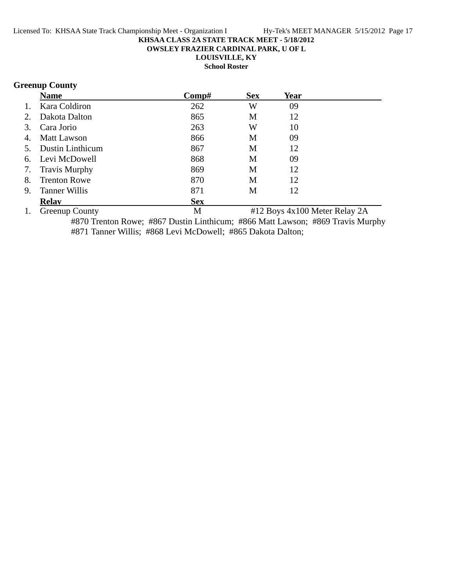**OWSLEY FRAZIER CARDINAL PARK, U OF L**

**LOUISVILLE, KY**

**School Roster**

# **Greenup County**

|                | <b>Name</b>             | Comp#      | <b>Sex</b> | Year |  |
|----------------|-------------------------|------------|------------|------|--|
| $\mathbf{1}$ . | Kara Coldiron           | 262        | W          | 09   |  |
| 2.             | Dakota Dalton           | 865        | M          | 12   |  |
| 3.             | Cara Jorio              | 263        | W          | 10   |  |
| 4.             | <b>Matt Lawson</b>      | 866        | M          | 09   |  |
| 5.             | <b>Dustin Linthicum</b> | 867        | M          | 12   |  |
| 6.             | Levi McDowell           | 868        | M          | 09   |  |
| 7.             | <b>Travis Murphy</b>    | 869        | M          | 12   |  |
| 8.             | <b>Trenton Rowe</b>     | 870        | M          | 12   |  |
| 9.             | <b>Tanner Willis</b>    | 871        | М          | 12   |  |
|                | <b>Relav</b>            | <b>Sex</b> |            |      |  |
|                |                         |            |            |      |  |

1. Greenup County 1. Solution M 412 Boys 4x100 Meter Relay 2A #870 Trenton Rowe; #867 Dustin Linthicum; #866 Matt Lawson; #869 Travis Murphy #871 Tanner Willis; #868 Levi McDowell; #865 Dakota Dalton;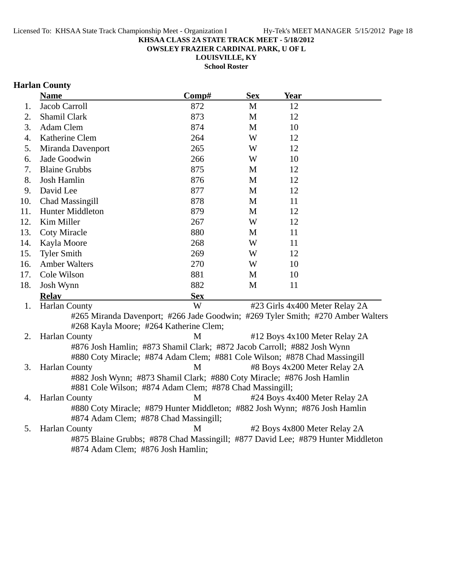**OWSLEY FRAZIER CARDINAL PARK, U OF L**

**LOUISVILLE, KY School Roster**

# **Harlan County**

|     | <b>Name</b>                                                                     | Comp#      | <b>Sex</b> | <b>Year</b>                    |  |
|-----|---------------------------------------------------------------------------------|------------|------------|--------------------------------|--|
| 1.  | Jacob Carroll                                                                   | 872        | M          | 12                             |  |
| 2.  | Shamil Clark                                                                    | 873        | M          | 12                             |  |
| 3.  | Adam Clem                                                                       | 874        | M          | 10                             |  |
| 4.  | Katherine Clem                                                                  | 264        | W          | 12                             |  |
| 5.  | Miranda Davenport                                                               | 265        | W          | 12                             |  |
| 6.  | Jade Goodwin                                                                    | 266        | W          | 10                             |  |
| 7.  | <b>Blaine Grubbs</b>                                                            | 875        | M          | 12                             |  |
| 8.  | Josh Hamlin                                                                     | 876        | M          | 12                             |  |
| 9.  | David Lee                                                                       | 877        | M          | 12                             |  |
| 10. | Chad Massingill                                                                 | 878        | M          | 11                             |  |
| 11. | Hunter Middleton                                                                | 879        | M          | 12                             |  |
| 12. | Kim Miller                                                                      | 267        | W          | 12                             |  |
| 13. | <b>Coty Miracle</b>                                                             | 880        | M          | 11                             |  |
| 14. | Kayla Moore                                                                     | 268        | W          | 11                             |  |
| 15. | <b>Tyler Smith</b>                                                              | 269        | W          | 12                             |  |
| 16. | <b>Amber Walters</b>                                                            | 270        | W          | 10                             |  |
| 17. | Cole Wilson                                                                     | 881        | M          | 10                             |  |
| 18. | Josh Wynn                                                                       | 882        | M          | 11                             |  |
|     | <b>Relay</b>                                                                    | <b>Sex</b> |            |                                |  |
| 1.  | <b>Harlan County</b>                                                            | W          |            | #23 Girls 4x400 Meter Relay 2A |  |
|     | #265 Miranda Davenport; #266 Jade Goodwin; #269 Tyler Smith; #270 Amber Walters |            |            |                                |  |
|     | #268 Kayla Moore; #264 Katherine Clem;                                          |            |            |                                |  |
| 2.  | <b>Harlan County</b>                                                            | M          |            | #12 Boys 4x100 Meter Relay 2A  |  |
|     | #876 Josh Hamlin; #873 Shamil Clark; #872 Jacob Carroll; #882 Josh Wynn         |            |            |                                |  |
|     | #880 Coty Miracle; #874 Adam Clem; #881 Cole Wilson; #878 Chad Massingill       |            |            |                                |  |
| 3.  | <b>Harlan County</b>                                                            | M          |            | #8 Boys 4x200 Meter Relay 2A   |  |
|     | #882 Josh Wynn; #873 Shamil Clark; #880 Coty Miracle; #876 Josh Hamlin          |            |            |                                |  |
|     | #881 Cole Wilson; #874 Adam Clem; #878 Chad Massingill;                         |            |            |                                |  |
| 4.  | <b>Harlan County</b>                                                            | M          |            | #24 Boys 4x400 Meter Relay 2A  |  |
|     | #880 Coty Miracle; #879 Hunter Middleton; #882 Josh Wynn; #876 Josh Hamlin      |            |            |                                |  |
|     | #874 Adam Clem; #878 Chad Massingill;                                           |            |            |                                |  |
| 5.  | <b>Harlan County</b>                                                            | M          |            | #2 Boys 4x800 Meter Relay 2A   |  |
|     | #875 Blaine Grubbs; #878 Chad Massingill; #877 David Lee; #879 Hunter Middleton |            |            |                                |  |

#874 Adam Clem; #876 Josh Hamlin;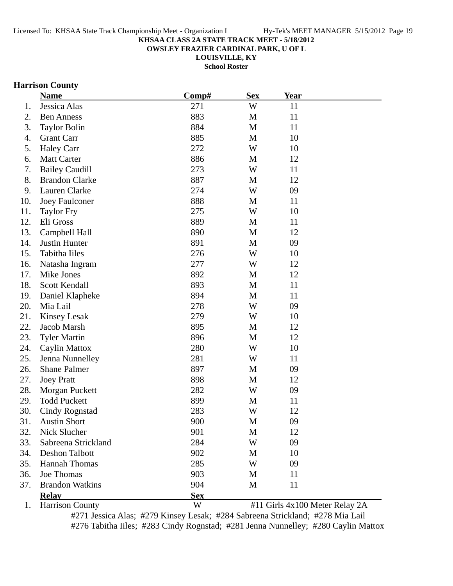**OWSLEY FRAZIER CARDINAL PARK, U OF L**

**LOUISVILLE, KY**

**School Roster**

## **Harrison County**

|     | <b>Name</b>            | Comp#      | <b>Sex</b>  | <b>Year</b> |                                |
|-----|------------------------|------------|-------------|-------------|--------------------------------|
| 1.  | Jessica Alas           | 271        | W           | 11          |                                |
| 2.  | <b>Ben Anness</b>      | 883        | M           | 11          |                                |
| 3.  | <b>Taylor Bolin</b>    | 884        | M           | 11          |                                |
| 4.  | <b>Grant Carr</b>      | 885        | M           | 10          |                                |
| 5.  | <b>Haley Carr</b>      | 272        | W           | 10          |                                |
| 6.  | <b>Matt Carter</b>     | 886        | M           | 12          |                                |
| 7.  | <b>Bailey Caudill</b>  | 273        | W           | 11          |                                |
| 8.  | <b>Brandon Clarke</b>  | 887        | M           | 12          |                                |
| 9.  | Lauren Clarke          | 274        | W           | 09          |                                |
| 10. | <b>Joey Faulconer</b>  | 888        | M           | 11          |                                |
| 11. | <b>Taylor Fry</b>      | 275        | W           | 10          |                                |
| 12. | Eli Gross              | 889        | M           | 11          |                                |
| 13. | Campbell Hall          | 890        | M           | 12          |                                |
| 14. | Justin Hunter          | 891        | M           | 09          |                                |
| 15. | Tabitha Iiles          | 276        | W           | 10          |                                |
| 16. | Natasha Ingram         | 277        | W           | 12          |                                |
| 17. | Mike Jones             | 892        | M           | 12          |                                |
| 18. | Scott Kendall          | 893        | M           | 11          |                                |
| 19. | Daniel Klapheke        | 894        | $\mathbf M$ | 11          |                                |
| 20. | Mia Lail               | 278        | W           | 09          |                                |
| 21. | <b>Kinsey Lesak</b>    | 279        | W           | 10          |                                |
| 22. | Jacob Marsh            | 895        | M           | 12          |                                |
| 23. | <b>Tyler Martin</b>    | 896        | M           | 12          |                                |
| 24. | Caylin Mattox          | 280        | W           | 10          |                                |
| 25. | Jenna Nunnelley        | 281        | W           | 11          |                                |
| 26. | <b>Shane Palmer</b>    | 897        | M           | 09          |                                |
| 27. | <b>Joey Pratt</b>      | 898        | M           | 12          |                                |
| 28. | Morgan Puckett         | 282        | W           | 09          |                                |
| 29. | <b>Todd Puckett</b>    | 899        | M           | 11          |                                |
| 30. | Cindy Rognstad         | 283        | W           | 12          |                                |
| 31. | <b>Austin Short</b>    | 900        | M           | 09          |                                |
| 32. | Nick Slucher           | 901        | M           | 12          |                                |
| 33. | Sabreena Strickland    | 284        | W           | 09          |                                |
| 34. | Deshon Talbott         | 902        | M           | 10          |                                |
| 35. | <b>Hannah Thomas</b>   | 285        | W           | 09          |                                |
| 36. | Joe Thomas             | 903        | M           | 11          |                                |
| 37. | <b>Brandon Watkins</b> | 904        | M           | 11          |                                |
|     | <b>Relay</b>           | <b>Sex</b> |             |             |                                |
| 1.  | <b>Harrison County</b> | W          |             |             | #11 Girls 4x100 Meter Relay 2A |

#271 Jessica Alas; #279 Kinsey Lesak; #284 Sabreena Strickland; #278 Mia Lail #276 Tabitha Iiles; #283 Cindy Rognstad; #281 Jenna Nunnelley; #280 Caylin Mattox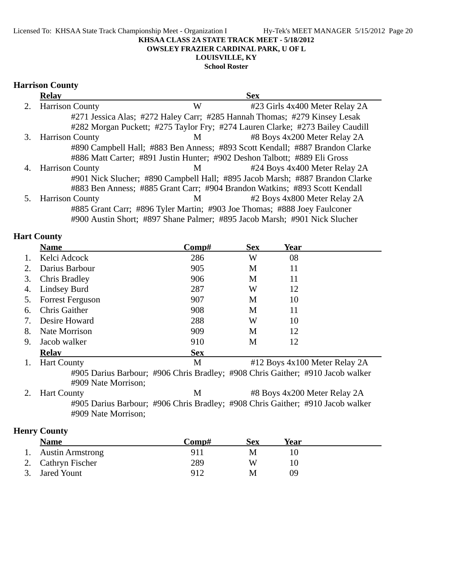**OWSLEY FRAZIER CARDINAL PARK, U OF L**

# **LOUISVILLE, KY**

# **School Roster**

## **Harrison County**

|    | <b>Relay</b>           |                | <b>Sex</b>                                                                    |
|----|------------------------|----------------|-------------------------------------------------------------------------------|
|    | 2. Harrison County     | W              | #23 Girls 4x400 Meter Relay 2A                                                |
|    |                        |                | #271 Jessica Alas; #272 Haley Carr; #285 Hannah Thomas; #279 Kinsey Lesak     |
|    |                        |                | #282 Morgan Puckett; #275 Taylor Fry; #274 Lauren Clarke; #273 Bailey Caudill |
| 3. | <b>Harrison County</b> | $M \sim$       | #8 Boys 4x200 Meter Relay 2A                                                  |
|    |                        |                | #890 Campbell Hall; #883 Ben Anness; #893 Scott Kendall; #887 Brandon Clarke  |
|    |                        |                | #886 Matt Carter; #891 Justin Hunter; #902 Deshon Talbott; #889 Eli Gross     |
| 4. | <b>Harrison County</b> | M <sub>1</sub> | #24 Boys 4x400 Meter Relay 2A                                                 |
|    |                        |                | #901 Nick Slucher; #890 Campbell Hall; #895 Jacob Marsh; #887 Brandon Clarke  |
|    |                        |                | #883 Ben Anness; #885 Grant Carr; #904 Brandon Watkins; #893 Scott Kendall    |
|    | 5. Harrison County     | M <sub>N</sub> | #2 Boys 4x800 Meter Relay 2A                                                  |
|    |                        |                | #885 Grant Carr; #896 Tyler Martin; #903 Joe Thomas; #888 Joey Faulconer      |
|    |                        |                | #900 Austin Short; #897 Shane Palmer; #895 Jacob Marsh; #901 Nick Slucher     |

## **Hart County**

|    | <b>Name</b>             | Comp#      | <b>Sex</b> | Year                          |  |
|----|-------------------------|------------|------------|-------------------------------|--|
| 1. | Kelci Adcock            | 286        | W          | 08                            |  |
| 2. | Darius Barbour          | 905        | M          | 11                            |  |
| 3. | Chris Bradley           | 906        | M          | 11                            |  |
|    | 4. Lindsey Burd         | 287        | W          | 12                            |  |
| 5. | <b>Forrest Ferguson</b> | 907        | M          | 10                            |  |
| 6. | Chris Gaither           | 908        | M          | 11                            |  |
| 7. | Desire Howard           | 288        | W          | 10                            |  |
| 8. | Nate Morrison           | 909        | M          | 12                            |  |
| 9. | Jacob walker            | 910        | M          | 12                            |  |
|    | <b>Relav</b>            | <b>Sex</b> |            |                               |  |
| 1. | <b>Hart County</b>      | M          |            | #12 Boys 4x100 Meter Relay 2A |  |

#905 Darius Barbour; #906 Chris Bradley; #908 Chris Gaither; #910 Jacob walker #909 Nate Morrison;

2. Hart County **M** #8 Boys 4x200 Meter Relay 2A #905 Darius Barbour; #906 Chris Bradley; #908 Chris Gaither; #910 Jacob walker #909 Nate Morrison;

# **Henry County**

| <b>Name</b>         | Comp# | Sex | Year |  |
|---------------------|-------|-----|------|--|
| 1. Austin Armstrong | 911   |     |      |  |
| 2. Cathryn Fischer  | 289   | W   |      |  |
| 3. Jared Yount      | 912   |     | ΩO   |  |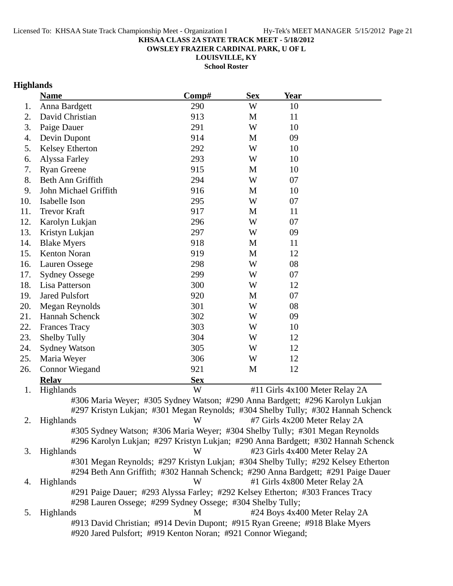**OWSLEY FRAZIER CARDINAL PARK, U OF L**

**LOUISVILLE, KY**

**School Roster**

# **Highlands**

|     | <b>Name</b>                                                                       | Comp#      | <b>Sex</b> | <b>Year</b>                   |                                |
|-----|-----------------------------------------------------------------------------------|------------|------------|-------------------------------|--------------------------------|
| 1.  | Anna Bardgett                                                                     | 290        | W          | 10                            |                                |
| 2.  | David Christian                                                                   | 913        | M          | 11                            |                                |
| 3.  | Paige Dauer                                                                       | 291        | W          | 10                            |                                |
| 4.  | Devin Dupont                                                                      | 914        | M          | 09                            |                                |
| 5.  | Kelsey Etherton                                                                   | 292        | W          | 10                            |                                |
| 6.  | Alyssa Farley                                                                     | 293        | W          | 10                            |                                |
| 7.  | <b>Ryan Greene</b>                                                                | 915        | M          | 10                            |                                |
| 8.  | Beth Ann Griffith                                                                 | 294        | W          | 07                            |                                |
| 9.  | John Michael Griffith                                                             | 916        | M          | 10                            |                                |
| 10. | Isabelle Ison                                                                     | 295        | W          | 07                            |                                |
| 11. | <b>Trevor Kraft</b>                                                               | 917        | M          | 11                            |                                |
| 12. | Karolyn Lukjan                                                                    | 296        | W          | 07                            |                                |
| 13. | Kristyn Lukjan                                                                    | 297        | W          | 09                            |                                |
| 14. | <b>Blake Myers</b>                                                                | 918        | M          | 11                            |                                |
| 15. | Kenton Noran                                                                      | 919        | M          | 12                            |                                |
| 16. | Lauren Ossege                                                                     | 298        | W          | 08                            |                                |
| 17. | <b>Sydney Ossege</b>                                                              | 299        | W          | 07                            |                                |
| 18. | Lisa Patterson                                                                    | 300        | W          | 12                            |                                |
| 19. | <b>Jared Pulsfort</b>                                                             | 920        | M          | 07                            |                                |
| 20. | Megan Reynolds                                                                    | 301        | W          | 08                            |                                |
| 21. | Hannah Schenck                                                                    | 302        | W          | 09                            |                                |
| 22. | <b>Frances Tracy</b>                                                              | 303        | W          | 10                            |                                |
| 23. | <b>Shelby Tully</b>                                                               | 304        | W          | 12                            |                                |
| 24. | <b>Sydney Watson</b>                                                              | 305        | W          | 12                            |                                |
| 25. | Maria Weyer                                                                       | 306        | W          | 12                            |                                |
| 26. | <b>Connor Wiegand</b>                                                             | 921        | M          | 12                            |                                |
|     | <b>Relay</b>                                                                      | <b>Sex</b> |            |                               |                                |
| 1.  | Highlands                                                                         | W          |            |                               | #11 Girls 4x100 Meter Relay 2A |
|     | #306 Maria Weyer; #305 Sydney Watson; #290 Anna Bardgett; #296 Karolyn Lukjan     |            |            |                               |                                |
|     | #297 Kristyn Lukjan; #301 Megan Reynolds; #304 Shelby Tully; #302 Hannah Schenck  |            |            |                               |                                |
| 2.  | Highlands                                                                         | W          |            | #7 Girls 4x200 Meter Relay 2A |                                |
|     | #305 Sydney Watson; #306 Maria Weyer; #304 Shelby Tully; #301 Megan Reynolds      |            |            |                               |                                |
|     | #296 Karolyn Lukjan; #297 Kristyn Lukjan; #290 Anna Bardgett; #302 Hannah Schenck |            |            |                               |                                |
| 3.  | Highlands                                                                         | W          |            |                               | #23 Girls 4x400 Meter Relay 2A |
|     | #301 Megan Reynolds; #297 Kristyn Lukjan; #304 Shelby Tully; #292 Kelsey Etherton |            |            |                               |                                |
|     | #294 Beth Ann Griffith; #302 Hannah Schenck; #290 Anna Bardgett; #291 Paige Dauer |            |            |                               |                                |
| 4.  | Highlands                                                                         | W          |            | #1 Girls 4x800 Meter Relay 2A |                                |
|     | #291 Paige Dauer; #293 Alyssa Farley; #292 Kelsey Etherton; #303 Frances Tracy    |            |            |                               |                                |
|     | #298 Lauren Ossege; #299 Sydney Ossege; #304 Shelby Tully;                        |            |            |                               |                                |
| 5.  | Highlands                                                                         | M          |            |                               | #24 Boys 4x400 Meter Relay 2A  |
|     | #913 David Christian; #914 Devin Dupont; #915 Ryan Greene; #918 Blake Myers       |            |            |                               |                                |
|     | #920 Jared Pulsfort; #919 Kenton Noran; #921 Connor Wiegand;                      |            |            |                               |                                |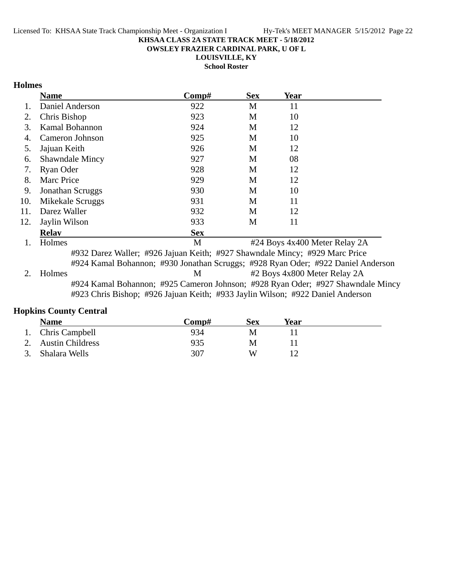**OWSLEY FRAZIER CARDINAL PARK, U OF L**

**LOUISVILLE, KY**

**School Roster**

## **Holmes**

|     | <b>Name</b>            | Comp#          | <b>Sex</b>                | Year                                                                                                                                                                                                                                                                                                                                                                                 |                  |
|-----|------------------------|----------------|---------------------------|--------------------------------------------------------------------------------------------------------------------------------------------------------------------------------------------------------------------------------------------------------------------------------------------------------------------------------------------------------------------------------------|------------------|
|     | Daniel Anderson        | 922            | M                         | 11                                                                                                                                                                                                                                                                                                                                                                                   |                  |
| 2.  | Chris Bishop           | 923            | M                         | 10                                                                                                                                                                                                                                                                                                                                                                                   |                  |
| 3.  | Kamal Bohannon         | 924            | M                         | 12                                                                                                                                                                                                                                                                                                                                                                                   |                  |
| 4.  | Cameron Johnson        | 925            | M                         | 10                                                                                                                                                                                                                                                                                                                                                                                   |                  |
| 5.  | Jajuan Keith           | 926            | M                         | 12                                                                                                                                                                                                                                                                                                                                                                                   |                  |
| 6.  | <b>Shawndale Mincy</b> | 927            | M                         | 08                                                                                                                                                                                                                                                                                                                                                                                   |                  |
| 7.  | Ryan Oder              | 928            | M                         | 12                                                                                                                                                                                                                                                                                                                                                                                   |                  |
| 8.  | <b>Marc Price</b>      | 929            | M                         | 12                                                                                                                                                                                                                                                                                                                                                                                   |                  |
| 9.  | Jonathan Scruggs       | 930            | M                         | 10                                                                                                                                                                                                                                                                                                                                                                                   |                  |
| 10. | Mikekale Scruggs       | 931            | M                         | 11                                                                                                                                                                                                                                                                                                                                                                                   |                  |
| 11. | Darez Waller           | 932            | M                         | 12                                                                                                                                                                                                                                                                                                                                                                                   |                  |
| 12. | Jaylin Wilson          | 933            | M                         | 11                                                                                                                                                                                                                                                                                                                                                                                   |                  |
|     | <b>Relav</b>           | <b>Sex</b>     |                           |                                                                                                                                                                                                                                                                                                                                                                                      |                  |
|     | $TT-1$                 | $\blacksquare$ | $\mathbf{u}$ $\mathbf{v}$ | $\overline{1}$ $\overline{1}$ $\overline{0}$ $\overline{1}$ $\overline{1}$ $\overline{1}$ $\overline{1}$ $\overline{1}$ $\overline{1}$ $\overline{1}$ $\overline{1}$ $\overline{1}$ $\overline{1}$ $\overline{1}$ $\overline{1}$ $\overline{1}$ $\overline{1}$ $\overline{1}$ $\overline{1}$ $\overline{1}$ $\overline{1}$ $\overline{1}$ $\overline{1}$ $\overline{1}$ $\overline{$ | $\sim$ $\lambda$ |

1. Holmes M #24 Boys 4x400 Meter Relay 2A #932 Darez Waller; #926 Jajuan Keith; #927 Shawndale Mincy; #929 Marc Price #924 Kamal Bohannon; #930 Jonathan Scruggs; #928 Ryan Oder; #922 Daniel Anderson 2. Holmes M #2 Boys 4x800 Meter Relay 2A #924 Kamal Bohannon; #925 Cameron Johnson; #928 Ryan Oder; #927 Shawndale Mincy

#923 Chris Bishop; #926 Jajuan Keith; #933 Jaylin Wilson; #922 Daniel Anderson

## **Hopkins County Central**

| <b>Name</b>         | Comp# | Sex | Year |  |
|---------------------|-------|-----|------|--|
| 1. Chris Campbell   | 934   |     |      |  |
| 2. Austin Childress | 935   | M   |      |  |
| 3. Shalara Wells    | 307   | W   |      |  |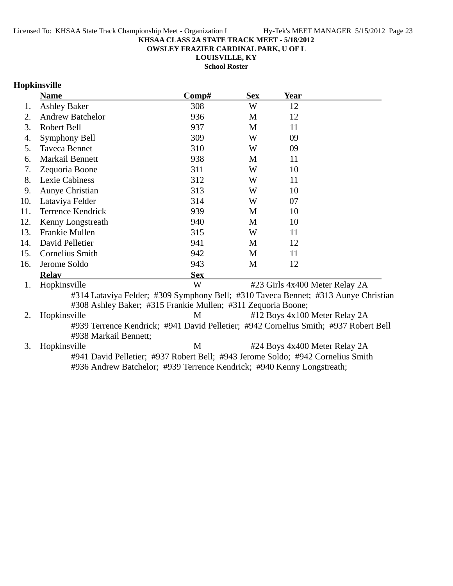**OWSLEY FRAZIER CARDINAL PARK, U OF L**

**LOUISVILLE, KY**

**School Roster**

# **Hopkinsville**

|     | <b>Name</b>                                                                          | Comp#      | <b>Sex</b> | <b>Year</b> |                                |
|-----|--------------------------------------------------------------------------------------|------------|------------|-------------|--------------------------------|
| 1.  | <b>Ashley Baker</b>                                                                  | 308        | W          | 12          |                                |
| 2.  | <b>Andrew Batchelor</b>                                                              | 936        | M          | 12          |                                |
| 3.  | Robert Bell                                                                          | 937        | M          | 11          |                                |
| 4.  | Symphony Bell                                                                        | 309        | W          | 09          |                                |
| 5.  | Taveca Bennet                                                                        | 310        | W          | 09          |                                |
| 6.  | Markail Bennett                                                                      | 938        | M          | 11          |                                |
| 7.  | Zequoria Boone                                                                       | 311        | W          | 10          |                                |
| 8.  | Lexie Cabiness                                                                       | 312        | W          | 11          |                                |
| 9.  | Aunye Christian                                                                      | 313        | W          | 10          |                                |
| 10. | Lataviya Felder                                                                      | 314        | W          | 07          |                                |
| 11. | <b>Terrence Kendrick</b>                                                             | 939        | M          | 10          |                                |
| 12. | Kenny Longstreath                                                                    | 940        | M          | 10          |                                |
| 13. | Frankie Mullen                                                                       | 315        | W          | 11          |                                |
| 14. | David Pelletier                                                                      | 941        | M          | 12          |                                |
| 15. | Cornelius Smith                                                                      | 942        | M          | 11          |                                |
| 16. | Jerome Soldo                                                                         | 943        | M          | 12          |                                |
|     | <b>Relay</b>                                                                         | <b>Sex</b> |            |             |                                |
| 1.  | Hopkinsville                                                                         | W          |            |             | #23 Girls 4x400 Meter Relay 2A |
|     | #314 Lataviya Felder; #309 Symphony Bell; #310 Taveca Bennet; #313 Aunye Christian   |            |            |             |                                |
|     | #308 Ashley Baker; #315 Frankie Mullen; #311 Zequoria Boone;                         |            |            |             |                                |
| 2.  | Hopkinsville                                                                         | M          |            |             | #12 Boys 4x100 Meter Relay 2A  |
|     | #939 Terrence Kendrick; #941 David Pelletier; #942 Cornelius Smith; #937 Robert Bell |            |            |             |                                |
|     | #938 Markail Bennett;                                                                |            |            |             |                                |
| 3.  | Hopkinsville                                                                         | M          |            |             | #24 Boys 4x400 Meter Relay 2A  |
|     | #941 David Pelletier; #937 Robert Bell; #943 Jerome Soldo; #942 Cornelius Smith      |            |            |             |                                |
|     | #936 Andrew Batchelor; #939 Terrence Kendrick; #940 Kenny Longstreath;               |            |            |             |                                |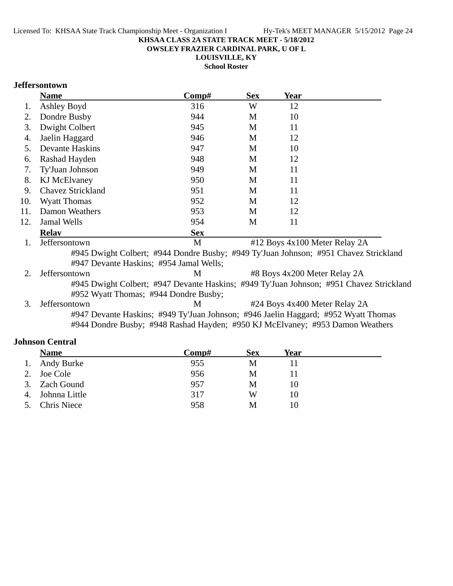**OWSLEY FRAZIER CARDINAL PARK, U OF L**

**LOUISVILLE, KY**

**School Roster**

## **Jeffersontown**

|     | <b>Name</b>                                                                             | Comp#      | <b>Sex</b> | Year                          |  |
|-----|-----------------------------------------------------------------------------------------|------------|------------|-------------------------------|--|
| 1.  | Ashley Boyd                                                                             | 316        | W          | 12                            |  |
| 2.  | Dondre Busby                                                                            | 944        | M          | 10                            |  |
| 3.  | Dwight Colbert                                                                          | 945        | M          | 11                            |  |
| 4.  | Jaelin Haggard                                                                          | 946        | M          | 12                            |  |
| 5.  | <b>Devante Haskins</b>                                                                  | 947        | M          | 10                            |  |
| 6.  | Rashad Hayden                                                                           | 948        | M          | 12                            |  |
| 7.  | Ty'Juan Johnson                                                                         | 949        | M          | 11                            |  |
| 8.  | <b>KJ</b> McElvaney                                                                     | 950        | M          | 11                            |  |
| 9.  | <b>Chavez Strickland</b>                                                                | 951        | M          | 11                            |  |
| 10. | <b>Wyatt Thomas</b>                                                                     | 952        | M          | 12                            |  |
| 11. | <b>Damon Weathers</b>                                                                   | 953        | M          | 12                            |  |
| 12. | <b>Jamal Wells</b>                                                                      | 954        | M          | 11                            |  |
|     | <b>Relav</b>                                                                            | <b>Sex</b> |            |                               |  |
| 1.  | Jeffersontown                                                                           | M          |            | #12 Boys 4x100 Meter Relay 2A |  |
|     | #945 Dwight Colbert; #944 Dondre Busby; #949 Ty'Juan Johnson; #951 Chavez Strickland    |            |            |                               |  |
|     | #947 Devante Haskins; #954 Jamal Wells;                                                 |            |            |                               |  |
|     | Jeffersontown                                                                           | M          |            | #8 Boys 4x200 Meter Relay 2A  |  |
|     | #945 Dwight Colbert; #947 Devante Haskins; #949 Ty'Juan Johnson; #951 Chavez Strickland |            |            |                               |  |
|     | #952 Wyatt Thomas; #944 Dondre Busby;                                                   |            |            |                               |  |
|     |                                                                                         |            |            |                               |  |

3. Jeffersontown M #24 Boys 4x400 Meter Relay 2A #947 Devante Haskins; #949 Ty'Juan Johnson; #946 Jaelin Haggard; #952 Wyatt Thomas #944 Dondre Busby; #948 Rashad Hayden; #950 KJ McElvaney; #953 Damon Weathers

#### **Johnson Central**

|    | <b>Name</b>        | Comp# | <b>Sex</b> | Year |
|----|--------------------|-------|------------|------|
|    | 1. Andy Burke      | 955   | M          |      |
|    | 2. Joe Cole        | 956   | M          |      |
|    | 3. Zach Gound      | 957   | M          | 10   |
| 4. | Johnna Little      | 317   | W          | 10   |
| 5. | <b>Chris Niece</b> | 958   | M          | 10   |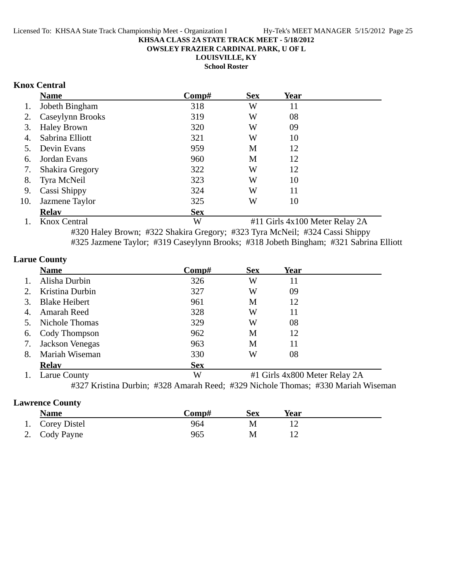**OWSLEY FRAZIER CARDINAL PARK, U OF L**

**LOUISVILLE, KY**

**School Roster**

## **Knox Central**

|                | <b>Name</b>                        | Comp#      | <b>Sex</b> | Year                                                                                                                                                      |  |
|----------------|------------------------------------|------------|------------|-----------------------------------------------------------------------------------------------------------------------------------------------------------|--|
| 1.             | Jobeth Bingham                     | 318        | W          | 11                                                                                                                                                        |  |
| 2.             | Caseylynn Brooks                   | 319        | W          | 08                                                                                                                                                        |  |
| 3.             | <b>Haley Brown</b>                 | 320        | W          | 09                                                                                                                                                        |  |
| 4.             | Sabrina Elliott                    | 321        | W          | 10                                                                                                                                                        |  |
| 5.             | Devin Evans                        | 959        | M          | 12                                                                                                                                                        |  |
| 6.             | Jordan Evans                       | 960        | M          | 12                                                                                                                                                        |  |
| 7.             | <b>Shakira Gregory</b>             | 322        | W          | 12                                                                                                                                                        |  |
| 8.             | Tyra McNeil                        | 323        | W          | 10                                                                                                                                                        |  |
| 9.             | Cassi Shippy                       | 324        | W          | 11                                                                                                                                                        |  |
| 10.            | Jazmene Taylor                     | 325        | W          | 10                                                                                                                                                        |  |
|                | <b>Relav</b>                       | <b>Sex</b> |            |                                                                                                                                                           |  |
| $\blacksquare$ | $\mathbf{r}$ $\alpha$ $\mathbf{r}$ | <b>TTT</b> |            | $\frac{1}{4}$ $\frac{1}{4}$ $\frac{1}{4}$ $\frac{1}{4}$ $\frac{1}{4}$ $\frac{1}{4}$ $\frac{1}{4}$ $\frac{1}{4}$ $\frac{1}{4}$ $\frac{1}{4}$ $\frac{1}{4}$ |  |

1. Knox Central W #11 Girls 4x100 Meter Relay 2A #320 Haley Brown; #322 Shakira Gregory; #323 Tyra McNeil; #324 Cassi Shippy #325 Jazmene Taylor; #319 Caseylynn Brooks; #318 Jobeth Bingham; #321 Sabrina Elliott

## **Larue County**

|                | <b>Name</b>                     | Comp#        | <b>Sex</b> | Year                                                    |  |
|----------------|---------------------------------|--------------|------------|---------------------------------------------------------|--|
| $\mathbf{1}$ . | Alisha Durbin                   | 326          | W          | 11                                                      |  |
| 2.             | Kristina Durbin                 | 327          | W          | 09                                                      |  |
| 3.             | <b>Blake Heibert</b>            | 961          | М          | 12                                                      |  |
| 4.             | Amarah Reed                     | 328          | W          | 11                                                      |  |
| 5.             | Nichole Thomas                  | 329          | W          | 08                                                      |  |
| 6.             | Cody Thompson                   | 962          | М          | 12                                                      |  |
| 7.             | Jackson Venegas                 | 963          | M          | 11                                                      |  |
| 8.             | Mariah Wiseman                  | 330          | W          | 08                                                      |  |
|                | <b>Relav</b>                    | <b>Sex</b>   |            |                                                         |  |
|                | $L_{\text{out}} C_{\text{out}}$ | $\mathbf{X}$ |            | $#1$ Cirls $A_{\mathbf{v}}$ COM Motor Dolove $2\Lambda$ |  |

1. Larue County **W** #1 Girls 4x800 Meter Relay 2A

#327 Kristina Durbin; #328 Amarah Reed; #329 Nichole Thomas; #330 Mariah Wiseman

## **Lawrence County**

| <b>Name</b>     | Comp# | <b>Sex</b> | Year |  |
|-----------------|-------|------------|------|--|
| 1. Corey Distel | 964   | М          |      |  |
| 2. Cody Payne   | 965   | М          |      |  |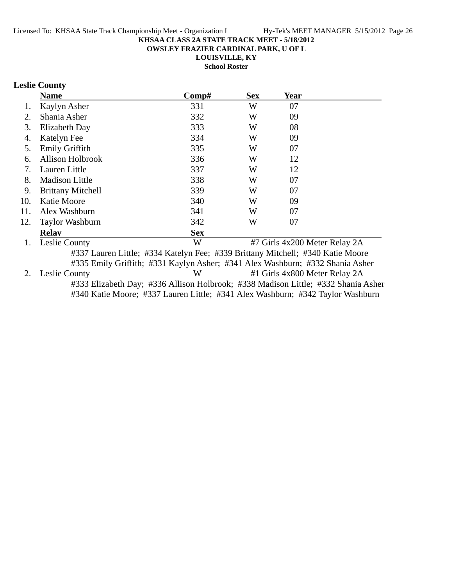**OWSLEY FRAZIER CARDINAL PARK, U OF L**

**LOUISVILLE, KY**

**School Roster**

## **Leslie County**

|     | <b>Name</b>              | Comp#      | <b>Sex</b> | Year                                                                                                                        |  |
|-----|--------------------------|------------|------------|-----------------------------------------------------------------------------------------------------------------------------|--|
|     | Kaylyn Asher             | 331        | W          | 07                                                                                                                          |  |
| 2.  | Shania Asher             | 332        | W          | 09                                                                                                                          |  |
| 3.  | Elizabeth Day            | 333        | W          | 08                                                                                                                          |  |
| 4.  | Katelyn Fee              | 334        | W          | 09                                                                                                                          |  |
| 5.  | Emily Griffith           | 335        | W          | 07                                                                                                                          |  |
| 6.  | <b>Allison Holbrook</b>  | 336        | W          | 12                                                                                                                          |  |
| 7.  | Lauren Little            | 337        | W          | 12                                                                                                                          |  |
| 8.  | <b>Madison Little</b>    | 338        | W          | 07                                                                                                                          |  |
| 9.  | <b>Brittany Mitchell</b> | 339        | W          | 07                                                                                                                          |  |
| 10. | Katie Moore              | 340        | W          | 09                                                                                                                          |  |
| 11. | Alex Washburn            | 341        | W          | 07                                                                                                                          |  |
| 12. | Taylor Washburn          | 342        | W          | 07                                                                                                                          |  |
|     | <b>Relav</b>             | <b>Sex</b> |            |                                                                                                                             |  |
|     | $\sim$                   | <b>TTT</b> |            | $\mathbf{u} = \alpha \mathbf{u} + \alpha \alpha \mathbf{u} + \beta \alpha \mathbf{u} + \gamma \mathbf{u}$<br>$\sim$ $\cdot$ |  |

1. Leslie County W #7 Girls 4x200 Meter Relay 2A #337 Lauren Little; #334 Katelyn Fee; #339 Brittany Mitchell; #340 Katie Moore #335 Emily Griffith; #331 Kaylyn Asher; #341 Alex Washburn; #332 Shania Asher 2. Leslie County W #1 Girls 4x800 Meter Relay 2A #333 Elizabeth Day; #336 Allison Holbrook; #338 Madison Little; #332 Shania Asher #340 Katie Moore; #337 Lauren Little; #341 Alex Washburn; #342 Taylor Washburn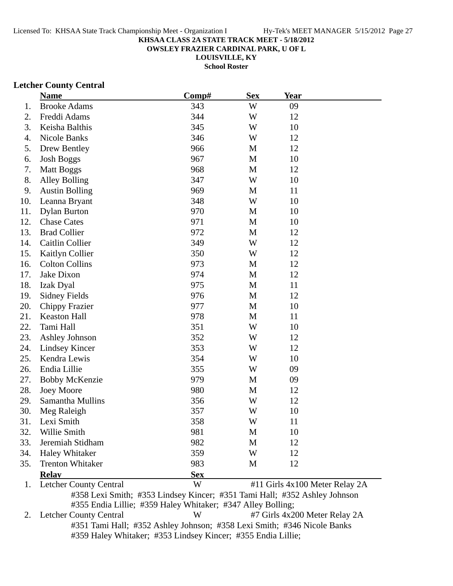**OWSLEY FRAZIER CARDINAL PARK, U OF L**

**LOUISVILLE, KY**

**School Roster**

#### **Letcher County Central**

|     | <b>Name</b>                   | Comp#      | <b>Sex</b> | <u>Year</u> |                                |
|-----|-------------------------------|------------|------------|-------------|--------------------------------|
| 1.  | <b>Brooke Adams</b>           | 343        | W          | 09          |                                |
| 2.  | Freddi Adams                  | 344        | W          | 12          |                                |
| 3.  | Keisha Balthis                | 345        | W          | 10          |                                |
| 4.  | Nicole Banks                  | 346        | W          | 12          |                                |
| 5.  | Drew Bentley                  | 966        | M          | 12          |                                |
| 6.  | <b>Josh Boggs</b>             | 967        | M          | 10          |                                |
| 7.  | <b>Matt Boggs</b>             | 968        | M          | 12          |                                |
| 8.  | <b>Alley Bolling</b>          | 347        | W          | 10          |                                |
| 9.  | <b>Austin Bolling</b>         | 969        | M          | 11          |                                |
| 10. | Leanna Bryant                 | 348        | W          | 10          |                                |
| 11. | <b>Dylan Burton</b>           | 970        | M          | 10          |                                |
| 12. | <b>Chase Cates</b>            | 971        | M          | 10          |                                |
| 13. | <b>Brad Collier</b>           | 972        | M          | 12          |                                |
| 14. | Caitlin Collier               | 349        | W          | 12          |                                |
| 15. | Kaitlyn Collier               | 350        | W          | 12          |                                |
| 16. | <b>Colton Collins</b>         | 973        | M          | 12          |                                |
| 17. | Jake Dixon                    | 974        | M          | 12          |                                |
| 18. | Izak Dyal                     | 975        | M          | 11          |                                |
| 19. | <b>Sidney Fields</b>          | 976        | M          | 12          |                                |
| 20. | <b>Chippy Frazier</b>         | 977        | M          | 10          |                                |
| 21. | Keaston Hall                  | 978        | M          | 11          |                                |
| 22. | Tami Hall                     | 351        | W          | 10          |                                |
| 23. | Ashley Johnson                | 352        | W          | 12          |                                |
| 24. | Lindsey Kincer                | 353        | W          | 12          |                                |
| 25. | Kendra Lewis                  | 354        | W          | 10          |                                |
| 26. | Endia Lillie                  | 355        | W          | 09          |                                |
| 27. | <b>Bobby McKenzie</b>         | 979        | M          | 09          |                                |
| 28. | <b>Joey Moore</b>             | 980        | M          | 12          |                                |
| 29. | Samantha Mullins              | 356        | W          | 12          |                                |
| 30. | Meg Raleigh                   | 357        | W          | 10          |                                |
| 31  | Lexi Smith                    | 358        | W          | 11          |                                |
| 32. | Willie Smith                  | 981        | M          | 10          |                                |
| 33. | Jeremiah Stidham              | 982        | M          | 12          |                                |
| 34. | <b>Haley Whitaker</b>         | 359        | W          | 12          |                                |
| 35. | <b>Trenton Whitaker</b>       | 983        | M          | 12          |                                |
|     | <b>Relay</b>                  | <b>Sex</b> |            |             |                                |
| 1.  | <b>Letcher County Central</b> | W          |            |             | #11 Girls 4x100 Meter Relay 2A |

#358 Lexi Smith; #353 Lindsey Kincer; #351 Tami Hall; #352 Ashley Johnson #355 Endia Lillie; #359 Haley Whitaker; #347 Alley Bolling;<br>2. Letcher County Central W #7 Girls 4x20

 $W$  #7 Girls 4x200 Meter Relay 2A #351 Tami Hall; #352 Ashley Johnson; #358 Lexi Smith; #346 Nicole Banks #359 Haley Whitaker; #353 Lindsey Kincer; #355 Endia Lillie;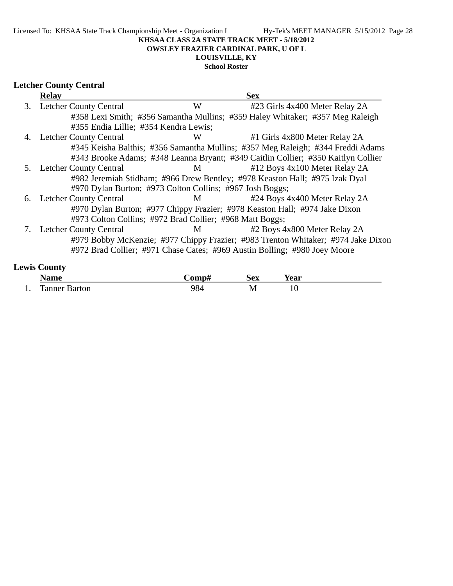#### Licensed To: KHSAA State Track Championship Meet - Organization I Hy-Tek's MEET MANAGER 5/15/2012 Page 28

## **KHSAA CLASS 2A STATE TRACK MEET - 5/18/2012**

#### **OWSLEY FRAZIER CARDINAL PARK, U OF L**

# **LOUISVILLE, KY**

# **School Roster**

# **Letcher County Central**

|    | <b>Relay</b>                          |                                                          | <b>Sex</b>                                                                        |  |
|----|---------------------------------------|----------------------------------------------------------|-----------------------------------------------------------------------------------|--|
| 3. | <b>Letcher County Central</b>         | W                                                        | #23 Girls 4x400 Meter Relay 2A                                                    |  |
|    |                                       |                                                          | #358 Lexi Smith; #356 Samantha Mullins; #359 Haley Whitaker; #357 Meg Raleigh     |  |
|    | #355 Endia Lillie; #354 Kendra Lewis; |                                                          |                                                                                   |  |
|    | 4. Letcher County Central             | W                                                        | #1 Girls 4x800 Meter Relay 2A                                                     |  |
|    |                                       |                                                          | #345 Keisha Balthis; #356 Samantha Mullins; #357 Meg Raleigh; #344 Freddi Adams   |  |
|    |                                       |                                                          | #343 Brooke Adams; #348 Leanna Bryant; #349 Caitlin Collier; #350 Kaitlyn Collier |  |
| 5. | Letcher County Central                | M <sub>1</sub>                                           | #12 Boys 4x100 Meter Relay 2A                                                     |  |
|    |                                       |                                                          | #982 Jeremiah Stidham; #966 Drew Bentley; #978 Keaston Hall; #975 Izak Dyal       |  |
|    |                                       | #970 Dylan Burton; #973 Colton Collins; #967 Josh Boggs; |                                                                                   |  |
|    | 6. Letcher County Central             | M                                                        | #24 Boys 4x400 Meter Relay 2A                                                     |  |
|    |                                       |                                                          | #970 Dylan Burton; #977 Chippy Frazier; #978 Keaston Hall; #974 Jake Dixon        |  |
|    |                                       | #973 Colton Collins; #972 Brad Collier; #968 Matt Boggs; |                                                                                   |  |
| 7. | <b>Letcher County Central</b>         | $M \sim$                                                 | #2 Boys 4x800 Meter Relay 2A                                                      |  |
|    |                                       |                                                          | #979 Bobby McKenzie; #977 Chippy Frazier; #983 Trenton Whitaker; #974 Jake Dixon  |  |
|    |                                       |                                                          | #972 Brad Collier; #971 Chase Cates; #969 Austin Bolling; #980 Joey Moore         |  |
|    | $\sim$ $\sim$ $\sim$ $\sim$           |                                                          |                                                                                   |  |

# **Lewis County**

|     | ممسما            | $\sim$ m $\sim$ t $\sim$ | -<br>óΩV<br>DСА | rear |  |
|-----|------------------|--------------------------|-----------------|------|--|
| . . | ranner<br>sarton | $\sim$<br>$\cup$ 1       | M               | ΙV   |  |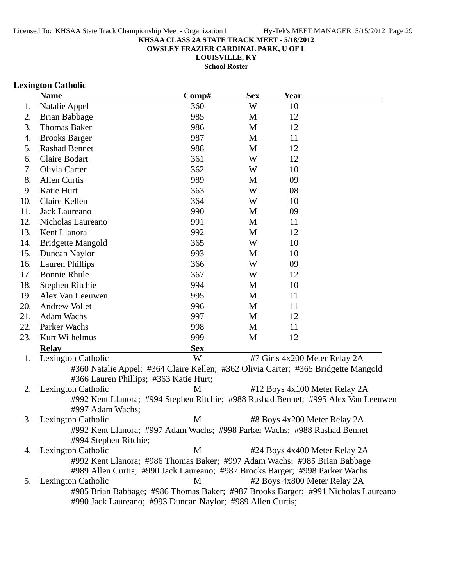**OWSLEY FRAZIER CARDINAL PARK, U OF L**

**LOUISVILLE, KY School Roster**

## **Lexington Catholic**

|     | <b>Name</b>                                                                                        | Comp#      | <b>Sex</b> | <b>Year</b>                   |  |
|-----|----------------------------------------------------------------------------------------------------|------------|------------|-------------------------------|--|
| 1.  | Natalie Appel                                                                                      | 360        | W          | 10                            |  |
| 2.  | <b>Brian Babbage</b>                                                                               | 985        | M          | 12                            |  |
| 3.  | <b>Thomas Baker</b>                                                                                | 986        | M          | 12                            |  |
| 4.  | <b>Brooks Barger</b>                                                                               | 987        | M          | 11                            |  |
| 5.  | <b>Rashad Bennet</b>                                                                               | 988        | M          | 12                            |  |
| 6.  | Claire Bodart                                                                                      | 361        | W          | 12                            |  |
| 7.  | Olivia Carter                                                                                      | 362        | W          | 10                            |  |
| 8.  | <b>Allen Curtis</b>                                                                                | 989        | M          | 09                            |  |
| 9.  | Katie Hurt                                                                                         | 363        | W          | 08                            |  |
| 10. | Claire Kellen                                                                                      | 364        | W          | 10                            |  |
| 11. | Jack Laureano                                                                                      | 990        | M          | 09                            |  |
| 12. | Nicholas Laureano                                                                                  | 991        | M          | 11                            |  |
| 13. | Kent Llanora                                                                                       | 992        | M          | 12                            |  |
| 14. | <b>Bridgette Mangold</b>                                                                           | 365        | W          | 10                            |  |
| 15. | Duncan Naylor                                                                                      | 993        | M          | 10                            |  |
| 16. | <b>Lauren Phillips</b>                                                                             | 366        | W          | 09                            |  |
| 17. | <b>Bonnie Rhule</b>                                                                                | 367        | W          | 12                            |  |
| 18. | Stephen Ritchie                                                                                    | 994        | M          | 10                            |  |
| 19. | Alex Van Leeuwen                                                                                   | 995        | M          | 11                            |  |
| 20. | <b>Andrew Vollet</b>                                                                               | 996        | M          | 11                            |  |
| 21. | <b>Adam Wachs</b>                                                                                  | 997        | M          | 12                            |  |
| 22. | Parker Wachs                                                                                       | 998        | M          | 11                            |  |
| 23. | Kurt Wilhelmus                                                                                     | 999        | M          | 12                            |  |
|     | <b>Relay</b>                                                                                       | <b>Sex</b> |            |                               |  |
| 1.  | Lexington Catholic                                                                                 | W          |            | #7 Girls 4x200 Meter Relay 2A |  |
|     | #360 Natalie Appel; #364 Claire Kellen; #362 Olivia Carter; #365 Bridgette Mangold                 |            |            |                               |  |
|     | #366 Lauren Phillips; #363 Katie Hurt;                                                             |            |            |                               |  |
| 2.  | Lexington Catholic                                                                                 | M          |            | #12 Boys 4x100 Meter Relay 2A |  |
|     | #992 Kent Llanora; #994 Stephen Ritchie; #988 Rashad Bennet; #995 Alex Van Leeuwen                 |            |            |                               |  |
|     | #997 Adam Wachs;                                                                                   |            |            |                               |  |
| 3.  | Lexington Catholic                                                                                 | M          |            | #8 Boys 4x200 Meter Relay 2A  |  |
|     | #992 Kent Llanora; #997 Adam Wachs; #998 Parker Wachs; #988 Rashad Bennet<br>#994 Stephen Ritchie; |            |            |                               |  |
| 4.  | <b>Lexington Catholic</b>                                                                          | M          |            | #24 Boys 4x400 Meter Relay 2A |  |
|     | #992 Kent Llanora; #986 Thomas Baker; #997 Adam Wachs; #985 Brian Babbage                          |            |            |                               |  |
|     | #989 Allen Curtis; #990 Jack Laureano; #987 Brooks Barger; #998 Parker Wachs                       |            |            |                               |  |
| 5.  | Lexington Catholic                                                                                 | M          |            | #2 Boys 4x800 Meter Relay 2A  |  |
|     | #985 Brian Babbage; #986 Thomas Baker; #987 Brooks Barger; #991 Nicholas Laureano                  |            |            |                               |  |
|     | #990 Jack Laureano; #993 Duncan Naylor; #989 Allen Curtis;                                         |            |            |                               |  |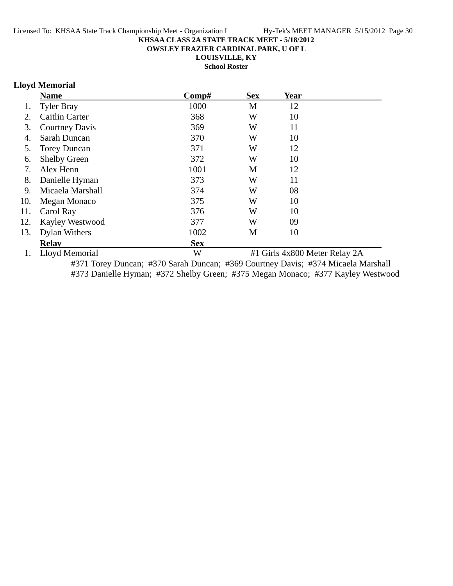**OWSLEY FRAZIER CARDINAL PARK, U OF L**

**LOUISVILLE, KY**

**School Roster**

# **Lloyd Memorial**

|     | <b>Name</b>           | Comp#      | <b>Sex</b> | <b>Year</b>                   |  |
|-----|-----------------------|------------|------------|-------------------------------|--|
| 1.  | <b>Tyler Bray</b>     | 1000       | M          | 12                            |  |
| 2.  | <b>Caitlin Carter</b> | 368        | W          | 10                            |  |
| 3.  | <b>Courtney Davis</b> | 369        | W          | 11                            |  |
| 4.  | Sarah Duncan          | 370        | W          | 10                            |  |
| 5.  | <b>Torey Duncan</b>   | 371        | W          | 12                            |  |
| 6.  | <b>Shelby Green</b>   | 372        | W          | 10                            |  |
| 7.  | Alex Henn             | 1001       | M          | 12                            |  |
| 8.  | Danielle Hyman        | 373        | W          | 11                            |  |
| 9.  | Micaela Marshall      | 374        | W          | 08                            |  |
| 10. | Megan Monaco          | 375        | W          | 10                            |  |
| 11. | Carol Ray             | 376        | W          | 10                            |  |
| 12. | Kayley Westwood       | 377        | W          | 09                            |  |
| 13. | Dylan Withers         | 1002       | M          | 10                            |  |
|     | <b>Relav</b>          | <b>Sex</b> |            |                               |  |
| 1.  | Lloyd Memorial        | W          |            | #1 Girls 4x800 Meter Relay 2A |  |

#371 Torey Duncan; #370 Sarah Duncan; #369 Courtney Davis; #374 Micaela Marshall #373 Danielle Hyman; #372 Shelby Green; #375 Megan Monaco; #377 Kayley Westwood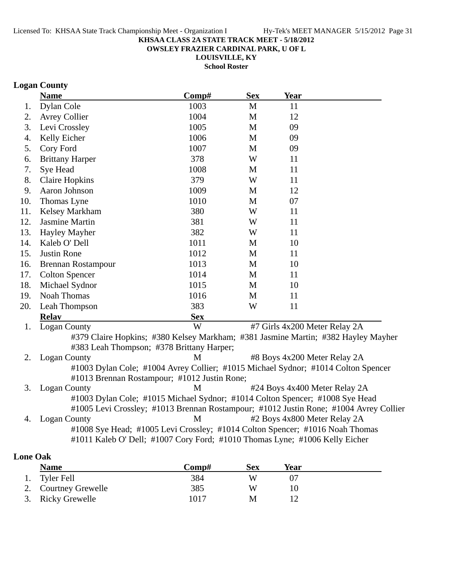**OWSLEY FRAZIER CARDINAL PARK, U OF L**

**LOUISVILLE, KY School Roster**

# **Logan County**

|     | <b>Name</b>                                                                       | Comp#      | <b>Sex</b> | <b>Year</b> |                                                                                       |
|-----|-----------------------------------------------------------------------------------|------------|------------|-------------|---------------------------------------------------------------------------------------|
| 1.  | Dylan Cole                                                                        | 1003       | M          | 11          |                                                                                       |
| 2.  | <b>Avrey Collier</b>                                                              | 1004       | M          | 12          |                                                                                       |
| 3.  | Levi Crossley                                                                     | 1005       | M          | 09          |                                                                                       |
| 4.  | Kelly Eicher                                                                      | 1006       | M          | 09          |                                                                                       |
| 5.  | Cory Ford                                                                         | 1007       | M          | 09          |                                                                                       |
| 6.  | <b>Brittany Harper</b>                                                            | 378        | W          | 11          |                                                                                       |
| 7.  | Sye Head                                                                          | 1008       | M          | 11          |                                                                                       |
| 8.  | <b>Claire Hopkins</b>                                                             | 379        | W          | 11          |                                                                                       |
| 9.  | Aaron Johnson                                                                     | 1009       | M          | 12          |                                                                                       |
| 10. | Thomas Lyne                                                                       | 1010       | M          | 07          |                                                                                       |
| 11. | Kelsey Markham                                                                    | 380        | W          | 11          |                                                                                       |
| 12. | <b>Jasmine Martin</b>                                                             | 381        | W          | 11          |                                                                                       |
| 13. | Hayley Mayher                                                                     | 382        | W          | 11          |                                                                                       |
| 14. | Kaleb O' Dell                                                                     | 1011       | M          | 10          |                                                                                       |
| 15. | <b>Justin Rone</b>                                                                | 1012       | M          | 11          |                                                                                       |
| 16. | <b>Brennan Rostampour</b>                                                         | 1013       | M          | 10          |                                                                                       |
| 17. | <b>Colton Spencer</b>                                                             | 1014       | M          | 11          |                                                                                       |
| 18. | Michael Sydnor                                                                    | 1015       | M          | 10          |                                                                                       |
| 19. | <b>Noah Thomas</b>                                                                | 1016       | M          | 11          |                                                                                       |
| 20. | Leah Thompson                                                                     | 383        | W          | 11          |                                                                                       |
|     | <b>Relay</b>                                                                      | <b>Sex</b> |            |             |                                                                                       |
| 1.  | <b>Logan County</b>                                                               | W          |            |             | #7 Girls 4x200 Meter Relay 2A                                                         |
|     | #379 Claire Hopkins; #380 Kelsey Markham; #381 Jasmine Martin; #382 Hayley Mayher |            |            |             |                                                                                       |
|     | #383 Leah Thompson; #378 Brittany Harper;                                         |            |            |             |                                                                                       |
| 2.  | <b>Logan County</b>                                                               | M          |            |             | #8 Boys 4x200 Meter Relay 2A                                                          |
|     | #1003 Dylan Cole; #1004 Avrey Collier; #1015 Michael Sydnor; #1014 Colton Spencer |            |            |             |                                                                                       |
|     | #1013 Brennan Rostampour; #1012 Justin Rone;                                      |            |            |             |                                                                                       |
| 3.  | <b>Logan County</b>                                                               | M          |            |             | #24 Boys 4x400 Meter Relay 2A                                                         |
|     | #1003 Dylan Cole; #1015 Michael Sydnor; #1014 Colton Spencer; #1008 Sye Head      |            |            |             |                                                                                       |
|     |                                                                                   |            |            |             | #1005 Levi Crossley; #1013 Brennan Rostampour; #1012 Justin Rone; #1004 Avrey Collier |
| 4.  | <b>Logan County</b>                                                               | M          |            |             | #2 Boys 4x800 Meter Relay 2A                                                          |
|     | #1008 Sye Head; #1005 Levi Crossley; #1014 Colton Spencer; #1016 Noah Thomas      |            |            |             |                                                                                       |
|     | #1011 Kaleb O' Dell; #1007 Cory Ford; #1010 Thomas Lyne; #1006 Kelly Eicher       |            |            |             |                                                                                       |

# **Lone Oak**

| <b>Name</b>          | Comp# | <b>Sex</b> | Year |  |
|----------------------|-------|------------|------|--|
| 1. Tyler Fell        | 384   | W          |      |  |
| 2. Courtney Grewelle | 385   | W          |      |  |
| 3. Ricky Grewelle    | 1017  | M          |      |  |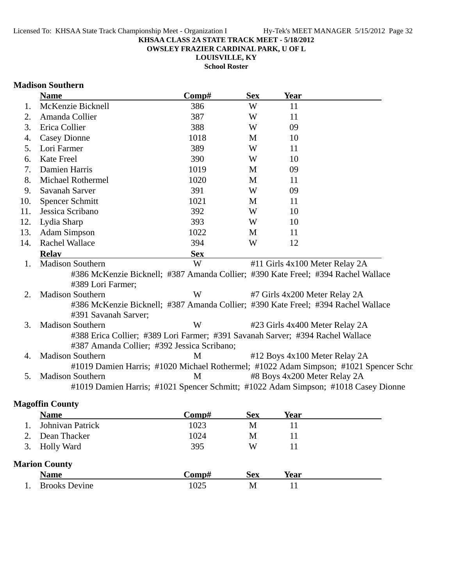**OWSLEY FRAZIER CARDINAL PARK, U OF L**

**LOUISVILLE, KY**

**School Roster**

### **Madison Southern**

|     | <b>Name</b>                                                                                                                   | Comp#      | <b>Sex</b> | <b>Year</b> |                                                                                      |
|-----|-------------------------------------------------------------------------------------------------------------------------------|------------|------------|-------------|--------------------------------------------------------------------------------------|
| 1.  | McKenzie Bicknell                                                                                                             | 386        | W          | 11          |                                                                                      |
| 2.  | Amanda Collier                                                                                                                | 387        | W          | 11          |                                                                                      |
| 3.  | Erica Collier                                                                                                                 | 388        | W          | 09          |                                                                                      |
| 4.  | <b>Casey Dionne</b>                                                                                                           | 1018       | M          | 10          |                                                                                      |
| 5.  | Lori Farmer                                                                                                                   | 389        | W          | 11          |                                                                                      |
| 6.  | <b>Kate Freel</b>                                                                                                             | 390        | W          | 10          |                                                                                      |
| 7.  | Damien Harris                                                                                                                 | 1019       | M          | 09          |                                                                                      |
| 8.  | Michael Rothermel                                                                                                             | 1020       | M          | 11          |                                                                                      |
| 9.  | Savanah Sarver                                                                                                                | 391        | W          | 09          |                                                                                      |
| 10. | <b>Spencer Schmitt</b>                                                                                                        | 1021       | M          | 11          |                                                                                      |
| 11. | Jessica Scribano                                                                                                              | 392        | W          | 10          |                                                                                      |
| 12. | Lydia Sharp                                                                                                                   | 393        | W          | 10          |                                                                                      |
| 13. | <b>Adam Simpson</b>                                                                                                           | 1022       | M          | 11          |                                                                                      |
| 14. | <b>Rachel Wallace</b>                                                                                                         | 394        | W          | 12          |                                                                                      |
|     | <b>Relav</b>                                                                                                                  | <b>Sex</b> |            |             |                                                                                      |
| 1.  | <b>Madison Southern</b>                                                                                                       | W          |            |             | #11 Girls 4x100 Meter Relay 2A                                                       |
|     | #386 McKenzie Bicknell; #387 Amanda Collier; #390 Kate Freel; #394 Rachel Wallace<br>#389 Lori Farmer;                        |            |            |             |                                                                                      |
| 2.  | <b>Madison Southern</b>                                                                                                       | W          |            |             | #7 Girls 4x200 Meter Relay 2A                                                        |
|     | #386 McKenzie Bicknell; #387 Amanda Collier; #390 Kate Freel; #394 Rachel Wallace<br>#391 Savanah Sarver;                     |            |            |             |                                                                                      |
| 3.  | <b>Madison Southern</b>                                                                                                       | W          |            |             | #23 Girls 4x400 Meter Relay 2A                                                       |
|     | #388 Erica Collier; #389 Lori Farmer; #391 Savanah Sarver; #394 Rachel Wallace<br>#387 Amanda Collier; #392 Jessica Scribano; |            |            |             |                                                                                      |
| 4.  | <b>Madison Southern</b>                                                                                                       | M          |            |             | #12 Boys 4x100 Meter Relay 2A                                                        |
|     |                                                                                                                               |            |            |             | #1019 Damien Harris; #1020 Michael Rothermel; #1022 Adam Simpson; #1021 Spencer Schr |
| 5.  | <b>Madison Southern</b>                                                                                                       | M          |            |             | #8 Boys 4x200 Meter Relay 2A                                                         |
|     |                                                                                                                               |            |            |             | #1019 Damien Harris; #1021 Spencer Schmitt; #1022 Adam Simpson; #1018 Casey Dionne   |
|     | <b>Magoffin County</b>                                                                                                        |            |            |             |                                                                                      |
|     | <b>Name</b>                                                                                                                   | Comp#      | <b>Sex</b> | Year        |                                                                                      |
| 1.  | Johnivan Patrick                                                                                                              | 1023       | M          | 11          |                                                                                      |
| 2.  | Dean Thacker                                                                                                                  | 1024       | M          | 11          |                                                                                      |

# **Marion County**

|     | <b>Name</b>          | `omp# | Sex | rear |  |
|-----|----------------------|-------|-----|------|--|
| . . | <b>Brooks Devine</b> | 1025  | M   | . .  |  |

3. Holly Ward 395 W 11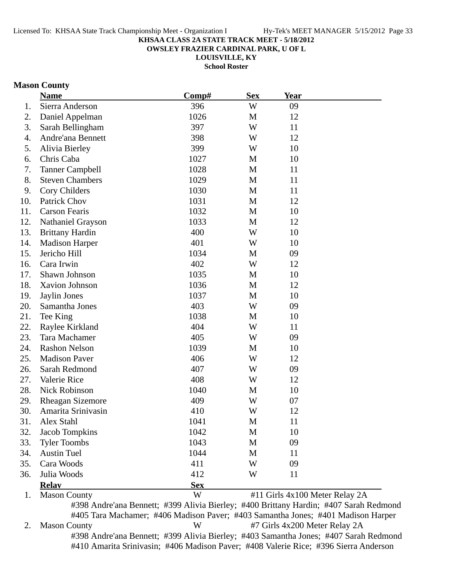**OWSLEY FRAZIER CARDINAL PARK, U OF L**

**LOUISVILLE, KY**

**School Roster**

## **Mason County**

|     | <b>Name</b>              | Comp#      | <b>Sex</b>  | Year                           |  |
|-----|--------------------------|------------|-------------|--------------------------------|--|
| 1.  | Sierra Anderson          | 396        | W           | 09                             |  |
| 2.  | Daniel Appelman          | 1026       | M           | 12                             |  |
| 3.  | Sarah Bellingham         | 397        | W           | 11                             |  |
| 4.  | Andre'ana Bennett        | 398        | W           | 12                             |  |
| 5.  | Alivia Bierley           | 399        | W           | 10                             |  |
| 6.  | Chris Caba               | 1027       | M           | 10                             |  |
| 7.  | <b>Tanner Campbell</b>   | 1028       | M           | 11                             |  |
| 8.  | <b>Steven Chambers</b>   | 1029       | M           | 11                             |  |
| 9.  | Cory Childers            | 1030       | M           | 11                             |  |
| 10. | Patrick Chov             | 1031       | M           | 12                             |  |
| 11. | <b>Carson Fearis</b>     | 1032       | M           | 10                             |  |
| 12. | <b>Nathaniel Grayson</b> | 1033       | M           | 12                             |  |
| 13. | <b>Brittany Hardin</b>   | 400        | W           | 10                             |  |
| 14. | <b>Madison Harper</b>    | 401        | W           | 10                             |  |
| 15. | Jericho Hill             | 1034       | M           | 09                             |  |
| 16. | Cara Irwin               | 402        | W           | 12                             |  |
| 17. | Shawn Johnson            | 1035       | M           | 10                             |  |
| 18. | Xavion Johnson           | 1036       | M           | 12                             |  |
| 19. | Jaylin Jones             | 1037       | $\mathbf M$ | 10                             |  |
| 20. | Samantha Jones           | 403        | W           | 09                             |  |
| 21. | Tee King                 | 1038       | M           | 10                             |  |
| 22. | Raylee Kirkland          | 404        | W           | 11                             |  |
| 23. | Tara Machamer            | 405        | W           | 09                             |  |
| 24. | <b>Rashon Nelson</b>     | 1039       | M           | 10                             |  |
| 25. | <b>Madison Paver</b>     | 406        | W           | 12                             |  |
| 26. | Sarah Redmond            | 407        | W           | 09                             |  |
| 27. | Valerie Rice             | 408        | W           | 12                             |  |
| 28. | Nick Robinson            | 1040       | M           | 10                             |  |
| 29. | <b>Rheagan Sizemore</b>  | 409        | W           | 07                             |  |
| 30. | Amarita Srinivasin       | 410        | W           | 12                             |  |
| 31. | Alex Stahl               | 1041       | M           | 11                             |  |
| 32. | Jacob Tompkins           | 1042       | M           | 10                             |  |
| 33. | <b>Tyler Toombs</b>      | 1043       | M           | 09                             |  |
| 34. | <b>Austin Tuel</b>       | 1044       | M           | 11                             |  |
| 35. | Cara Woods               | 411        | W           | 09                             |  |
| 36. | Julia Woods              | 412        | W           | 11                             |  |
|     | <b>Relay</b>             | <b>Sex</b> |             |                                |  |
| 1.  | <b>Mason County</b>      | W          |             | #11 Girls 4x100 Meter Relay 2A |  |

#398 Andre'ana Bennett; #399 Alivia Bierley; #400 Brittany Hardin; #407 Sarah Redmond #405 Tara Machamer; #406 Madison Paver; #403 Samantha Jones; #401 Madison Harper 2. Mason County W #7 Girls 4x200 Meter Relay 2A #398 Andre'ana Bennett; #399 Alivia Bierley; #403 Samantha Jones; #407 Sarah Redmond #410 Amarita Srinivasin; #406 Madison Paver; #408 Valerie Rice; #396 Sierra Anderson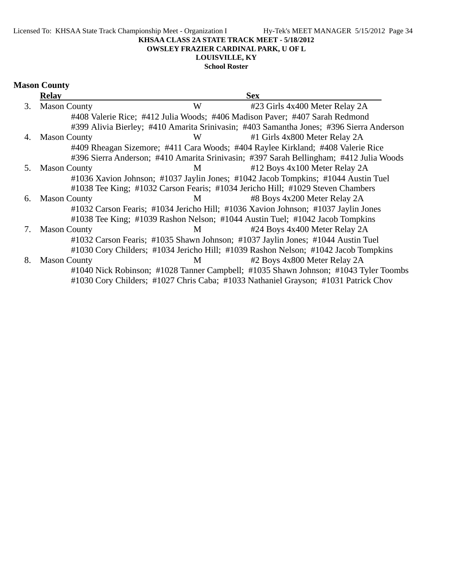Licensed To: KHSAA State Track Championship Meet - Organization I Hy-Tek's MEET MANAGER 5/15/2012 Page 34

#### **KHSAA CLASS 2A STATE TRACK MEET - 5/18/2012**

#### **OWSLEY FRAZIER CARDINAL PARK, U OF L**

# **LOUISVILLE, KY**

# **School Roster**

| <b>Mason County</b> |
|---------------------|
| Relav               |

|    | <b>Relay</b>        |   | <b>Sex</b>                                                                              |  |
|----|---------------------|---|-----------------------------------------------------------------------------------------|--|
| 3. | <b>Mason County</b> | W | #23 Girls 4x400 Meter Relay 2A                                                          |  |
|    |                     |   | #408 Valerie Rice; #412 Julia Woods; #406 Madison Paver; #407 Sarah Redmond             |  |
|    |                     |   | #399 Alivia Bierley; #410 Amarita Srinivasin; #403 Samantha Jones; #396 Sierra Anderson |  |
| 4. | <b>Mason County</b> | W | #1 Girls 4x800 Meter Relay 2A                                                           |  |
|    |                     |   | #409 Rheagan Sizemore; #411 Cara Woods; #404 Raylee Kirkland; #408 Valerie Rice         |  |
|    |                     |   | #396 Sierra Anderson; #410 Amarita Srinivasin; #397 Sarah Bellingham; #412 Julia Woods  |  |
| 5. | <b>Mason County</b> | M | #12 Boys 4x100 Meter Relay 2A                                                           |  |
|    |                     |   | #1036 Xavion Johnson; #1037 Jaylin Jones; #1042 Jacob Tompkins; #1044 Austin Tuel       |  |
|    |                     |   | #1038 Tee King; #1032 Carson Fearis; #1034 Jericho Hill; #1029 Steven Chambers          |  |
| 6. | <b>Mason County</b> | M | #8 Boys 4x200 Meter Relay 2A                                                            |  |
|    |                     |   | #1032 Carson Fearis; #1034 Jericho Hill; #1036 Xavion Johnson; #1037 Jaylin Jones       |  |
|    |                     |   | #1038 Tee King; #1039 Rashon Nelson; #1044 Austin Tuel; #1042 Jacob Tompkins            |  |
| 7. | <b>Mason County</b> | M | #24 Boys 4x400 Meter Relay 2A                                                           |  |
|    |                     |   | #1032 Carson Fearis; #1035 Shawn Johnson; #1037 Jaylin Jones; #1044 Austin Tuel         |  |
|    |                     |   | #1030 Cory Childers; #1034 Jericho Hill; #1039 Rashon Nelson; #1042 Jacob Tompkins      |  |
| 8. | <b>Mason County</b> | M | #2 Boys 4x800 Meter Relay 2A                                                            |  |
|    |                     |   | #1040 Nick Robinson; #1028 Tanner Campbell; #1035 Shawn Johnson; #1043 Tyler Toombs     |  |
|    |                     |   | #1030 Cory Childers; #1027 Chris Caba; #1033 Nathaniel Grayson; #1031 Patrick Chov      |  |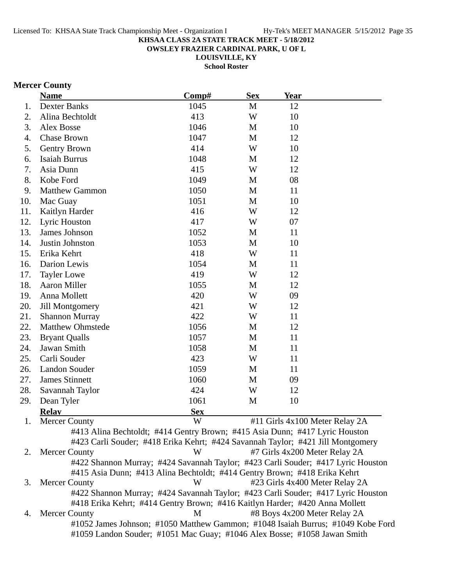**OWSLEY FRAZIER CARDINAL PARK, U OF L**

**LOUISVILLE, KY**

**School Roster**

# **Mercer County**

|     | <b>Name</b>                                                                      | Comp#      | <b>Sex</b> | <b>Year</b>                   |                                |
|-----|----------------------------------------------------------------------------------|------------|------------|-------------------------------|--------------------------------|
| 1.  | <b>Dexter Banks</b>                                                              | 1045       | M          | 12                            |                                |
| 2.  | Alina Bechtoldt                                                                  | 413        | W          | 10                            |                                |
| 3.  | Alex Bosse                                                                       | 1046       | M          | 10                            |                                |
| 4.  | <b>Chase Brown</b>                                                               | 1047       | M          | 12                            |                                |
| 5.  | Gentry Brown                                                                     | 414        | W          | 10                            |                                |
| 6.  | Isaiah Burrus                                                                    | 1048       | M          | 12                            |                                |
| 7.  | Asia Dunn                                                                        | 415        | W          | 12                            |                                |
| 8.  | Kobe Ford                                                                        | 1049       | M          | 08                            |                                |
| 9.  | <b>Matthew Gammon</b>                                                            | 1050       | M          | 11                            |                                |
| 10. | Mac Guay                                                                         | 1051       | M          | 10                            |                                |
| 11. | Kaitlyn Harder                                                                   | 416        | W          | 12                            |                                |
| 12. | Lyric Houston                                                                    | 417        | W          | 07                            |                                |
| 13. | James Johnson                                                                    | 1052       | M          | 11                            |                                |
| 14. | Justin Johnston                                                                  | 1053       | M          | 10                            |                                |
| 15. | Erika Kehrt                                                                      | 418        | W          | 11                            |                                |
| 16. | Darion Lewis                                                                     | 1054       | M          | 11                            |                                |
| 17. | <b>Tayler Lowe</b>                                                               | 419        | W          | 12                            |                                |
| 18. | <b>Aaron Miller</b>                                                              | 1055       | M          | 12                            |                                |
| 19. | Anna Mollett                                                                     | 420        | W          | 09                            |                                |
| 20. | <b>Jill Montgomery</b>                                                           | 421        | W          | 12                            |                                |
| 21. | <b>Shannon Murray</b>                                                            | 422        | W          | 11                            |                                |
| 22. | <b>Matthew Ohmstede</b>                                                          | 1056       | M          | 12                            |                                |
| 23. | <b>Bryant Qualls</b>                                                             | 1057       | M          | 11                            |                                |
| 24. | Jawan Smith                                                                      | 1058       | M          | 11                            |                                |
| 25. | Carli Souder                                                                     | 423        | W          | 11                            |                                |
| 26. | <b>Landon Souder</b>                                                             | 1059       | M          | 11                            |                                |
| 27. | <b>James Stinnett</b>                                                            | 1060       | M          | 09                            |                                |
| 28. | Savannah Taylor                                                                  | 424        | W          | 12                            |                                |
| 29. | Dean Tyler                                                                       | 1061       | M          | 10                            |                                |
|     | <b>Relay</b>                                                                     | <b>Sex</b> |            |                               |                                |
|     | 1. Mercer County                                                                 | W          |            |                               | #11 Girls 4x100 Meter Relay 2A |
|     | #413 Alina Bechtoldt; #414 Gentry Brown; #415 Asia Dunn; #417 Lyric Houston      |            |            |                               |                                |
|     | #423 Carli Souder; #418 Erika Kehrt; #424 Savannah Taylor; #421 Jill Montgomery  |            |            |                               |                                |
| 2.  | <b>Mercer County</b>                                                             | W          |            | #7 Girls 4x200 Meter Relay 2A |                                |
|     | #422 Shannon Murray; #424 Savannah Taylor; #423 Carli Souder; #417 Lyric Houston |            |            |                               |                                |
|     | #415 Asia Dunn; #413 Alina Bechtoldt; #414 Gentry Brown; #418 Erika Kehrt        |            |            |                               |                                |
| 3.  | <b>Mercer County</b>                                                             | W          |            |                               | #23 Girls 4x400 Meter Relay 2A |
|     | #422 Shannon Murray; #424 Savannah Taylor; #423 Carli Souder; #417 Lyric Houston |            |            |                               |                                |
|     | #418 Erika Kehrt; #414 Gentry Brown; #416 Kaitlyn Harder; #420 Anna Mollett      |            |            |                               |                                |
| 4.  | Mercer County                                                                    | M          |            | #8 Boys 4x200 Meter Relay 2A  |                                |
|     | #1052 James Johnson; #1050 Matthew Gammon; #1048 Isaiah Burrus; #1049 Kobe Ford  |            |            |                               |                                |
|     | #1059 Landon Souder; #1051 Mac Guay; #1046 Alex Bosse; #1058 Jawan Smith         |            |            |                               |                                |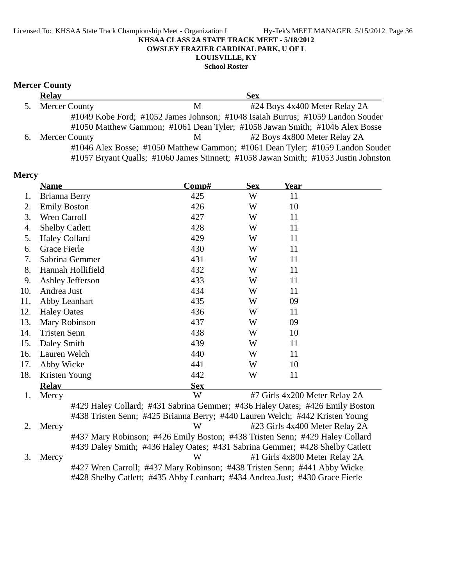## Licensed To: KHSAA State Track Championship Meet - Organization I Hy-Tek's MEET MANAGER 5/15/2012 Page 36 **KHSAA CLASS 2A STATE TRACK MEET - 5/18/2012 OWSLEY FRAZIER CARDINAL PARK, U OF L LOUISVILLE, KY**

## **School Roster**

# **Mercer County**

|    | <b>Relay</b>         |   | <b>Sex</b>                                                                          |
|----|----------------------|---|-------------------------------------------------------------------------------------|
| 5. | <b>Mercer County</b> | М | #24 Boys 4x400 Meter Relay 2A                                                       |
|    |                      |   | #1049 Kobe Ford; #1052 James Johnson; #1048 Isaiah Burrus; #1059 Landon Souder      |
|    |                      |   | #1050 Matthew Gammon; #1061 Dean Tyler; #1058 Jawan Smith; #1046 Alex Bosse         |
|    | 6. Mercer County     | M | #2 Boys 4x800 Meter Relay 2A                                                        |
|    |                      |   | #1046 Alex Bosse; #1050 Matthew Gammon; #1061 Dean Tyler; #1059 Landon Souder       |
|    |                      |   | #1057 Bryant Qualls; #1060 James Stinnett; #1058 Jawan Smith; #1053 Justin Johnston |

| <b>Name</b>  |                | Comp#                                                                                                                                                                                                                                                                                                                                               | <b>Sex</b> | <b>Year</b> |                                                                                                                                                                                                                                                                                                                                                                                                                                                                                                                                                                                               |
|--------------|----------------|-----------------------------------------------------------------------------------------------------------------------------------------------------------------------------------------------------------------------------------------------------------------------------------------------------------------------------------------------------|------------|-------------|-----------------------------------------------------------------------------------------------------------------------------------------------------------------------------------------------------------------------------------------------------------------------------------------------------------------------------------------------------------------------------------------------------------------------------------------------------------------------------------------------------------------------------------------------------------------------------------------------|
|              |                | 425                                                                                                                                                                                                                                                                                                                                                 | W          | 11          |                                                                                                                                                                                                                                                                                                                                                                                                                                                                                                                                                                                               |
|              |                | 426                                                                                                                                                                                                                                                                                                                                                 | W          | 10          |                                                                                                                                                                                                                                                                                                                                                                                                                                                                                                                                                                                               |
|              |                | 427                                                                                                                                                                                                                                                                                                                                                 | W          | 11          |                                                                                                                                                                                                                                                                                                                                                                                                                                                                                                                                                                                               |
|              |                | 428                                                                                                                                                                                                                                                                                                                                                 | W          | 11          |                                                                                                                                                                                                                                                                                                                                                                                                                                                                                                                                                                                               |
|              |                | 429                                                                                                                                                                                                                                                                                                                                                 | W          | 11          |                                                                                                                                                                                                                                                                                                                                                                                                                                                                                                                                                                                               |
|              |                | 430                                                                                                                                                                                                                                                                                                                                                 | W          | 11          |                                                                                                                                                                                                                                                                                                                                                                                                                                                                                                                                                                                               |
|              |                | 431                                                                                                                                                                                                                                                                                                                                                 | W          | 11          |                                                                                                                                                                                                                                                                                                                                                                                                                                                                                                                                                                                               |
|              |                | 432                                                                                                                                                                                                                                                                                                                                                 | W          | 11          |                                                                                                                                                                                                                                                                                                                                                                                                                                                                                                                                                                                               |
|              |                | 433                                                                                                                                                                                                                                                                                                                                                 | W          | 11          |                                                                                                                                                                                                                                                                                                                                                                                                                                                                                                                                                                                               |
|              |                | 434                                                                                                                                                                                                                                                                                                                                                 | W          | 11          |                                                                                                                                                                                                                                                                                                                                                                                                                                                                                                                                                                                               |
|              |                | 435                                                                                                                                                                                                                                                                                                                                                 | W          | 09          |                                                                                                                                                                                                                                                                                                                                                                                                                                                                                                                                                                                               |
|              |                | 436                                                                                                                                                                                                                                                                                                                                                 | W          | 11          |                                                                                                                                                                                                                                                                                                                                                                                                                                                                                                                                                                                               |
|              |                | 437                                                                                                                                                                                                                                                                                                                                                 | W          | 09          |                                                                                                                                                                                                                                                                                                                                                                                                                                                                                                                                                                                               |
|              |                | 438                                                                                                                                                                                                                                                                                                                                                 | W          | 10          |                                                                                                                                                                                                                                                                                                                                                                                                                                                                                                                                                                                               |
|              |                | 439                                                                                                                                                                                                                                                                                                                                                 | W          | 11          |                                                                                                                                                                                                                                                                                                                                                                                                                                                                                                                                                                                               |
|              |                | 440                                                                                                                                                                                                                                                                                                                                                 | W          | 11          |                                                                                                                                                                                                                                                                                                                                                                                                                                                                                                                                                                                               |
|              |                | 441                                                                                                                                                                                                                                                                                                                                                 | W          | 10          |                                                                                                                                                                                                                                                                                                                                                                                                                                                                                                                                                                                               |
|              |                | 442                                                                                                                                                                                                                                                                                                                                                 | W          | 11          |                                                                                                                                                                                                                                                                                                                                                                                                                                                                                                                                                                                               |
| <b>Relay</b> |                | <b>Sex</b>                                                                                                                                                                                                                                                                                                                                          |            |             |                                                                                                                                                                                                                                                                                                                                                                                                                                                                                                                                                                                               |
| Mercy        |                | W                                                                                                                                                                                                                                                                                                                                                   |            |             |                                                                                                                                                                                                                                                                                                                                                                                                                                                                                                                                                                                               |
|              |                |                                                                                                                                                                                                                                                                                                                                                     |            |             |                                                                                                                                                                                                                                                                                                                                                                                                                                                                                                                                                                                               |
|              |                |                                                                                                                                                                                                                                                                                                                                                     |            |             |                                                                                                                                                                                                                                                                                                                                                                                                                                                                                                                                                                                               |
|              |                |                                                                                                                                                                                                                                                                                                                                                     |            |             |                                                                                                                                                                                                                                                                                                                                                                                                                                                                                                                                                                                               |
|              |                |                                                                                                                                                                                                                                                                                                                                                     |            |             |                                                                                                                                                                                                                                                                                                                                                                                                                                                                                                                                                                                               |
|              |                |                                                                                                                                                                                                                                                                                                                                                     |            |             |                                                                                                                                                                                                                                                                                                                                                                                                                                                                                                                                                                                               |
|              |                |                                                                                                                                                                                                                                                                                                                                                     |            |             |                                                                                                                                                                                                                                                                                                                                                                                                                                                                                                                                                                                               |
|              |                |                                                                                                                                                                                                                                                                                                                                                     |            |             |                                                                                                                                                                                                                                                                                                                                                                                                                                                                                                                                                                                               |
|              |                |                                                                                                                                                                                                                                                                                                                                                     |            |             |                                                                                                                                                                                                                                                                                                                                                                                                                                                                                                                                                                                               |
|              | Mercy<br>Mercy | Brianna Berry<br><b>Emily Boston</b><br>Wren Carroll<br><b>Shelby Catlett</b><br><b>Haley Collard</b><br><b>Grace Fierle</b><br>Sabrina Gemmer<br>Hannah Hollifield<br>Ashley Jefferson<br>Andrea Just<br>Abby Leanhart<br><b>Haley Oates</b><br>Mary Robinson<br><b>Tristen Senn</b><br>Daley Smith<br>Lauren Welch<br>Abby Wicke<br>Kristen Young | W<br>W     |             | #7 Girls 4x200 Meter Relay 2A<br>#429 Haley Collard; #431 Sabrina Gemmer; #436 Haley Oates; #426 Emily Boston<br>#438 Tristen Senn; #425 Brianna Berry; #440 Lauren Welch; #442 Kristen Young<br>#23 Girls 4x400 Meter Relay 2A<br>#437 Mary Robinson; #426 Emily Boston; #438 Tristen Senn; #429 Haley Collard<br>#439 Daley Smith; #436 Haley Oates; #431 Sabrina Gemmer; #428 Shelby Catlett<br>#1 Girls 4x800 Meter Relay 2A<br>#427 Wren Carroll; #437 Mary Robinson; #438 Tristen Senn; #441 Abby Wicke<br>#428 Shelby Catlett; #435 Abby Leanhart; #434 Andrea Just; #430 Grace Fierle |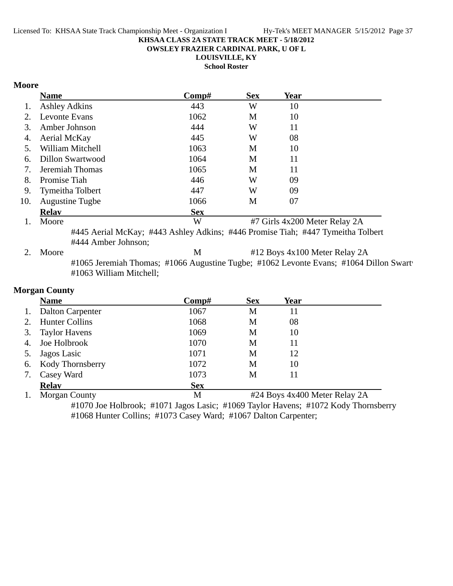**OWSLEY FRAZIER CARDINAL PARK, U OF L**

**LOUISVILLE, KY**

**School Roster**

## **Moore**

|     | <b>Name</b>             | Comp#                                                                                 | <b>Sex</b> | Year                          |  |
|-----|-------------------------|---------------------------------------------------------------------------------------|------------|-------------------------------|--|
| 1.  | <b>Ashley Adkins</b>    | 443                                                                                   | W          | 10                            |  |
| 2.  | Levonte Evans           | 1062                                                                                  | M          | 10                            |  |
| 3.  | Amber Johnson           | 444                                                                                   | W          | 11                            |  |
| 4.  | Aerial McKay            | 445                                                                                   | W          | 08                            |  |
| 5.  | William Mitchell        | 1063                                                                                  | M          | 10                            |  |
| 6.  | <b>Dillon Swartwood</b> | 1064                                                                                  | M          | 11                            |  |
| 7.  | Jeremiah Thomas         | 1065                                                                                  | M          | 11                            |  |
| 8.  | Promise Tiah            | 446                                                                                   | W          | 09                            |  |
| 9.  | Tymeitha Tolbert        | 447                                                                                   | W          | 09                            |  |
| 10. | <b>Augustine Tugbe</b>  | 1066                                                                                  | M          | 07                            |  |
|     | <b>Relay</b>            | <b>Sex</b>                                                                            |            |                               |  |
| 1.  | Moore                   | W                                                                                     |            | #7 Girls 4x200 Meter Relay 2A |  |
|     |                         | #445 Aerial McKay; #443 Ashley Adkins; #446 Promise Tiah; #447 Tymeitha Tolbert       |            |                               |  |
|     | #444 Amber Johnson;     |                                                                                       |            |                               |  |
| 2.  | Moore                   | M                                                                                     |            | #12 Boys 4x100 Meter Relay 2A |  |
|     | #1063 William Mitchell; | #1065 Jeremiah Thomas; #1066 Augustine Tugbe; #1062 Levonte Evans; #1064 Dillon Swart |            |                               |  |
|     | <b>Morgan County</b>    |                                                                                       |            |                               |  |
|     | <b>Name</b>             | Comp#                                                                                 | <b>Sex</b> | Year                          |  |
| 1.  | <b>Dalton Carpenter</b> | 1067                                                                                  | M          | 11                            |  |
| 2.  | <b>Hunter Collins</b>   | 1068                                                                                  | M          | 08                            |  |
| 3.  | <b>Taylor Havens</b>    | 1069                                                                                  | M          | 10                            |  |
| 4.  | Joe Holbrook            | 1070                                                                                  | M          | 11                            |  |

5. Jagos Lasic 1071 M 12 6. Kody Thornsberry 1072 M 10 7. Casey Ward 1073 M 11

**Relay**<br>
1. Morgan County **Sex**<br>
1. Morgan County **Sex** #24 Boys 4x400 Meter Relay 2A #1070 Joe Holbrook; #1071 Jagos Lasic; #1069 Taylor Havens; #1072 Kody Thornsberry

#1068 Hunter Collins; #1073 Casey Ward; #1067 Dalton Carpenter;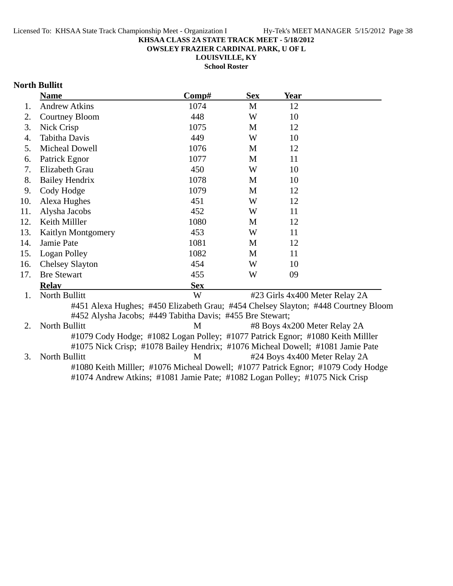**OWSLEY FRAZIER CARDINAL PARK, U OF L**

**LOUISVILLE, KY**

**School Roster**

# **North Bullitt**

|     | <b>Name</b>            | Comp#                                                                             | <b>Sex</b> | <b>Year</b>                  |                                |
|-----|------------------------|-----------------------------------------------------------------------------------|------------|------------------------------|--------------------------------|
| 1.  | <b>Andrew Atkins</b>   | 1074                                                                              | M          | 12                           |                                |
| 2.  | Courtney Bloom         | 448                                                                               | W          | 10                           |                                |
| 3.  | Nick Crisp             | 1075                                                                              | M          | 12                           |                                |
| 4.  | <b>Tabitha Davis</b>   | 449                                                                               | W          | 10                           |                                |
| 5.  | Micheal Dowell         | 1076                                                                              | M          | 12                           |                                |
| 6.  | Patrick Egnor          | 1077                                                                              | M          | 11                           |                                |
| 7.  | Elizabeth Grau         | 450                                                                               | W          | 10                           |                                |
| 8.  | <b>Bailey Hendrix</b>  | 1078                                                                              | M          | 10                           |                                |
| 9.  | Cody Hodge             | 1079                                                                              | M          | 12                           |                                |
| 10. | Alexa Hughes           | 451                                                                               | W          | 12                           |                                |
| 11. | Alysha Jacobs          | 452                                                                               | W          | 11                           |                                |
| 12. | Keith Milller          | 1080                                                                              | M          | 12                           |                                |
| 13. | Kaitlyn Montgomery     | 453                                                                               | W          | 11                           |                                |
| 14. | Jamie Pate             | 1081                                                                              | M          | 12                           |                                |
| 15. | Logan Polley           | 1082                                                                              | M          | 11                           |                                |
| 16. | <b>Chelsey Slayton</b> | 454                                                                               | W          | 10                           |                                |
| 17. | <b>Bre Stewart</b>     | 455                                                                               | W          | 09                           |                                |
|     | <b>Relav</b>           | <b>Sex</b>                                                                        |            |                              |                                |
| 1.  | North Bullitt          | W                                                                                 |            |                              | #23 Girls 4x400 Meter Relay 2A |
|     |                        | #451 Alexa Hughes; #450 Elizabeth Grau; #454 Chelsey Slayton; #448 Courtney Bloom |            |                              |                                |
|     |                        | #452 Alysha Jacobs; #449 Tabitha Davis; #455 Bre Stewart;                         |            |                              |                                |
| 2.  | North Bullitt          | M                                                                                 |            | #8 Boys 4x200 Meter Relay 2A |                                |
|     |                        | #1079 Cody Hodge; #1082 Logan Polley; #1077 Patrick Egnor; #1080 Keith Miller     |            |                              |                                |
|     |                        | #1075 Nick Crisp; #1078 Bailey Hendrix; #1076 Micheal Dowell; #1081 Jamie Pate    |            |                              |                                |
| 3.  | North Bullitt          | M                                                                                 |            |                              | #24 Boys 4x400 Meter Relay 2A  |
|     |                        | #1080 Keith Miller; #1076 Micheal Dowell; #1077 Patrick Egnor; #1079 Cody Hodge   |            |                              |                                |
|     |                        | #1074 Andrew Atkins; #1081 Jamie Pate; #1082 Logan Polley; #1075 Nick Crisp       |            |                              |                                |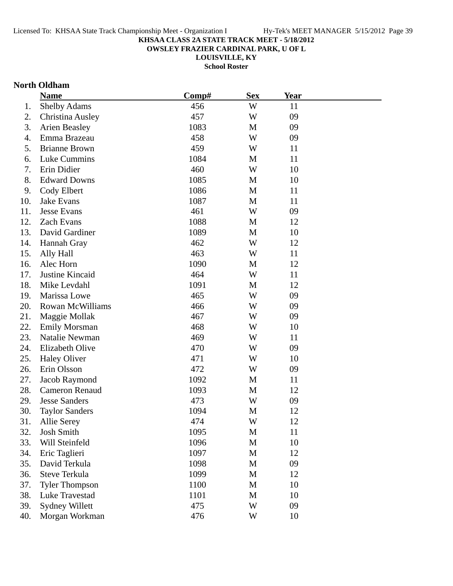**OWSLEY FRAZIER CARDINAL PARK, U OF L**

**LOUISVILLE, KY**

**School Roster**

## **North Oldham**

|     | <b>Name</b>           | Comp# | <b>Sex</b> | Year |  |
|-----|-----------------------|-------|------------|------|--|
| 1.  | Shelby Adams          | 456   | W          | 11   |  |
| 2.  | Christina Ausley      | 457   | W          | 09   |  |
| 3.  | <b>Arien Beasley</b>  | 1083  | M          | 09   |  |
| 4.  | Emma Brazeau          | 458   | W          | 09   |  |
| 5.  | <b>Brianne Brown</b>  | 459   | W          | 11   |  |
| 6.  | Luke Cummins          | 1084  | M          | 11   |  |
| 7.  | Erin Didier           | 460   | W          | 10   |  |
| 8.  | <b>Edward Downs</b>   | 1085  | M          | 10   |  |
| 9.  | Cody Elbert           | 1086  | M          | 11   |  |
| 10. | Jake Evans            | 1087  | M          | 11   |  |
| 11. | <b>Jesse Evans</b>    | 461   | W          | 09   |  |
| 12. | Zach Evans            | 1088  | M          | 12   |  |
| 13. | David Gardiner        | 1089  | M          | 10   |  |
| 14. | Hannah Gray           | 462   | W          | 12   |  |
| 15. | Ally Hall             | 463   | W          | 11   |  |
| 16. | Alec Horn             | 1090  | M          | 12   |  |
| 17. | Justine Kincaid       | 464   | W          | 11   |  |
| 18. | Mike Levdahl          | 1091  | M          | 12   |  |
| 19. | Marissa Lowe          | 465   | W          | 09   |  |
| 20. | Rowan McWilliams      | 466   | W          | 09   |  |
| 21. | Maggie Mollak         | 467   | W          | 09   |  |
| 22. | <b>Emily Morsman</b>  | 468   | W          | 10   |  |
| 23. | Natalie Newman        | 469   | W          | 11   |  |
| 24. | Elizabeth Olive       | 470   | W          | 09   |  |
| 25. | <b>Haley Oliver</b>   | 471   | W          | 10   |  |
| 26. | Erin Olsson           | 472   | W          | 09   |  |
| 27. | Jacob Raymond         | 1092  | M          | 11   |  |
| 28. | <b>Cameron Renaud</b> | 1093  | M          | 12   |  |
| 29. | <b>Jesse Sanders</b>  | 473   | W          | 09   |  |
| 30. | <b>Taylor Sanders</b> | 1094  | M          | 12   |  |
| 31. | <b>Allie Serey</b>    | 474   | W          | 12   |  |
| 32. | <b>Josh Smith</b>     | 1095  | M          | 11   |  |
| 33. | Will Steinfeld        | 1096  | M          | 10   |  |
| 34. | Eric Taglieri         | 1097  | M          | 12   |  |
| 35. | David Terkula         | 1098  | M          | 09   |  |
| 36. | Steve Terkula         | 1099  | M          | 12   |  |
| 37. | <b>Tyler Thompson</b> | 1100  | M          | 10   |  |
| 38. | Luke Travestad        | 1101  | M          | 10   |  |
| 39. | <b>Sydney Willett</b> | 475   | W          | 09   |  |
| 40. | Morgan Workman        | 476   | W          | 10   |  |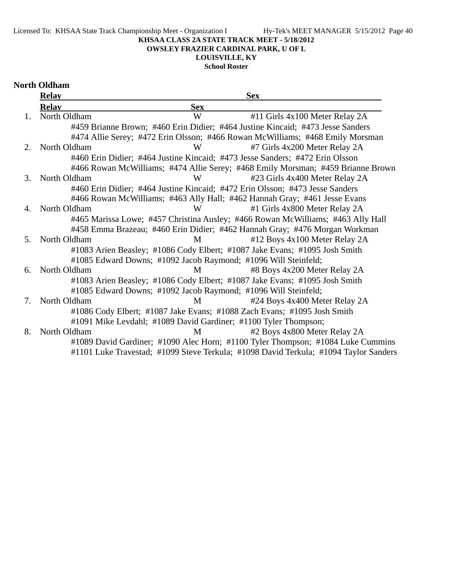Licensed To: KHSAA State Track Championship Meet - Organization I Hy-Tek's MEET MANAGER 5/15/2012 Page 40

# **KHSAA CLASS 2A STATE TRACK MEET - 5/18/2012**

**OWSLEY FRAZIER CARDINAL PARK, U OF L**

# **LOUISVILLE, KY**

**School Roster**

# **North Oldham**

|                | <b>Relay</b> |                                                                              | <b>Sex</b>                                                                           |
|----------------|--------------|------------------------------------------------------------------------------|--------------------------------------------------------------------------------------|
|                | <b>Relay</b> | <b>Sex</b>                                                                   |                                                                                      |
| 1.             | North Oldham | W                                                                            | #11 Girls 4x100 Meter Relay 2A                                                       |
|                |              |                                                                              | #459 Brianne Brown; #460 Erin Didier; #464 Justine Kincaid; #473 Jesse Sanders       |
|                |              |                                                                              | #474 Allie Serey; #472 Erin Olsson; #466 Rowan McWilliams; #468 Emily Morsman        |
| 2.             | North Oldham | W                                                                            | #7 Girls 4x200 Meter Relay 2A                                                        |
|                |              | #460 Erin Didier; #464 Justine Kincaid; #473 Jesse Sanders; #472 Erin Olsson |                                                                                      |
|                |              |                                                                              | #466 Rowan McWilliams; #474 Allie Serey; #468 Emily Morsman; #459 Brianne Brown      |
| 3.             | North Oldham | W                                                                            | #23 Girls 4x400 Meter Relay 2A                                                       |
|                |              | #460 Erin Didier; #464 Justine Kincaid; #472 Erin Olsson; #473 Jesse Sanders |                                                                                      |
|                |              | #466 Rowan McWilliams; #463 Ally Hall; #462 Hannah Gray; #461 Jesse Evans    |                                                                                      |
| 4.             | North Oldham | W                                                                            | #1 Girls 4x800 Meter Relay 2A                                                        |
|                |              |                                                                              | #465 Marissa Lowe; #457 Christina Ausley; #466 Rowan McWilliams; #463 Ally Hall      |
|                |              |                                                                              | #458 Emma Brazeau; #460 Erin Didier; #462 Hannah Gray; #476 Morgan Workman           |
| 5 <sub>1</sub> | North Oldham | M                                                                            | #12 Boys 4x100 Meter Relay 2A                                                        |
|                |              | #1083 Arien Beasley; #1086 Cody Elbert; #1087 Jake Evans; #1095 Josh Smith   |                                                                                      |
|                |              | #1085 Edward Downs; #1092 Jacob Raymond; #1096 Will Steinfeld;               |                                                                                      |
| 6.             | North Oldham | M                                                                            | #8 Boys 4x200 Meter Relay 2A                                                         |
|                |              | #1083 Arien Beasley; #1086 Cody Elbert; #1087 Jake Evans; #1095 Josh Smith   |                                                                                      |
|                |              | #1085 Edward Downs; #1092 Jacob Raymond; #1096 Will Steinfeld;               |                                                                                      |
| 7.             | North Oldham | M                                                                            | #24 Boys 4x400 Meter Relay 2A                                                        |
|                |              | #1086 Cody Elbert; #1087 Jake Evans; #1088 Zach Evans; #1095 Josh Smith      |                                                                                      |
|                |              | #1091 Mike Levdahl; #1089 David Gardiner; #1100 Tyler Thompson;              |                                                                                      |
| 8.             | North Oldham | M                                                                            | #2 Boys 4x800 Meter Relay 2A                                                         |
|                |              |                                                                              | #1089 David Gardiner; #1090 Alec Horn; #1100 Tyler Thompson; #1084 Luke Cummins      |
|                |              |                                                                              | #1101 Luke Travestad; #1099 Steve Terkula; #1098 David Terkula; #1094 Taylor Sanders |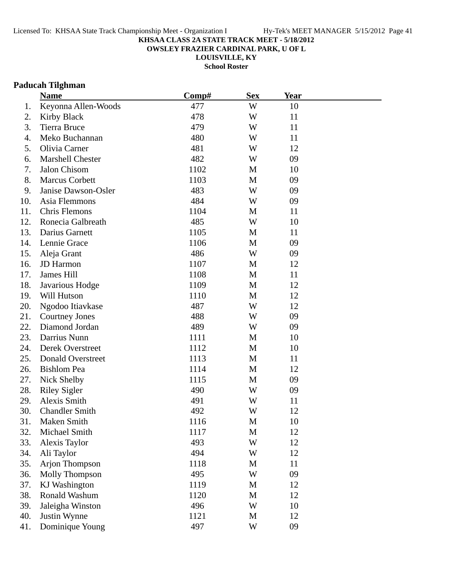**OWSLEY FRAZIER CARDINAL PARK, U OF L**

**LOUISVILLE, KY**

**School Roster**

# **Paducah Tilghman**

|     | <b>Name</b>           | Comp# | <b>Sex</b>   | <b>Year</b> |  |
|-----|-----------------------|-------|--------------|-------------|--|
| 1.  | Keyonna Allen-Woods   | 477   | W            | 10          |  |
| 2.  | <b>Kirby Black</b>    | 478   | W            | 11          |  |
| 3.  | <b>Tierra Bruce</b>   | 479   | W            | 11          |  |
| 4.  | Meko Buchannan        | 480   | W            | 11          |  |
| 5.  | Olivia Carner         | 481   | W            | 12          |  |
| 6.  | Marshell Chester      | 482   | W            | 09          |  |
| 7.  | Jalon Chisom          | 1102  | M            | 10          |  |
| 8.  | <b>Marcus Corbett</b> | 1103  | M            | 09          |  |
| 9.  | Janise Dawson-Osler   | 483   | W            | 09          |  |
| 10. | Asia Flemmons         | 484   | W            | 09          |  |
| 11. | Chris Flemons         | 1104  | M            | 11          |  |
| 12. | Ronecia Galbreath     | 485   | W            | 10          |  |
| 13. | Darius Garnett        | 1105  | M            | 11          |  |
| 14. | Lennie Grace          | 1106  | M            | 09          |  |
| 15. | Aleja Grant           | 486   | W            | 09          |  |
| 16. | JD Harmon             | 1107  | M            | 12          |  |
| 17. | James Hill            | 1108  | M            | 11          |  |
| 18. | Javarious Hodge       | 1109  | M            | 12          |  |
| 19. | Will Hutson           | 1110  | M            | 12          |  |
| 20. | Ngodoo Itiavkase      | 487   | W            | 12          |  |
| 21. | <b>Courtney Jones</b> | 488   | W            | 09          |  |
| 22. | Diamond Jordan        | 489   | W            | 09          |  |
| 23. | Darrius Nunn          | 1111  | M            | 10          |  |
| 24. | Derek Overstreet      | 1112  | M            | 10          |  |
| 25. | Donald Overstreet     | 1113  | M            | 11          |  |
| 26. | <b>Bishlom Pea</b>    | 1114  | M            | 12          |  |
| 27. | Nick Shelby           | 1115  | M            | 09          |  |
| 28. | <b>Riley Sigler</b>   | 490   | W            | 09          |  |
| 29. | Alexis Smith          | 491   | W            | 11          |  |
| 30. | <b>Chandler Smith</b> | 492   | W            | 12          |  |
| 31. | Maken Smith           | 1116  | М            | 10          |  |
| 32. | Michael Smith         | 1117  | M            | 12          |  |
| 33. | Alexis Taylor         | 493   | W            | 12          |  |
| 34. | Ali Taylor            | 494   | W            | 12          |  |
| 35. | Arjon Thompson        | 1118  | M            | 11          |  |
| 36. | Molly Thompson        | 495   | W            | 09          |  |
| 37. | KJ Washington         | 1119  | M            | 12          |  |
| 38. | Ronald Washum         | 1120  | $\mathbf{M}$ | 12          |  |
| 39. | Jaleigha Winston      | 496   | W            | 10          |  |
| 40. | Justin Wynne          | 1121  | M            | 12          |  |
| 41. | Dominique Young       | 497   | W            | 09          |  |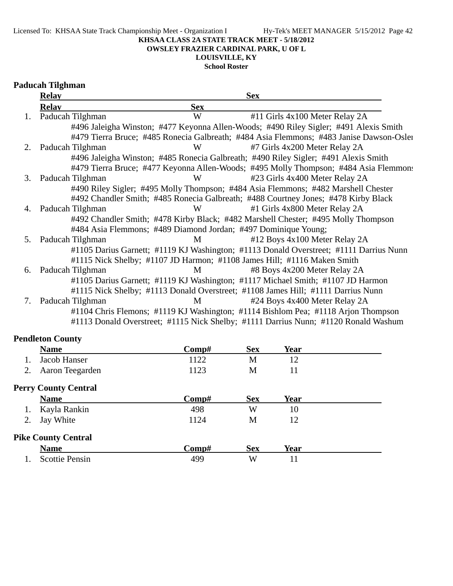**OWSLEY FRAZIER CARDINAL PARK, U OF L**

# **LOUISVILLE, KY**

**School Roster**

# **Paducah Tilghman**

|    | <b>Relay</b>     |            | <b>Sex</b>                                                                              |
|----|------------------|------------|-----------------------------------------------------------------------------------------|
|    | <b>Relav</b>     | <b>Sex</b> |                                                                                         |
| 1. | Paducah Tilghman | W          | #11 Girls 4x100 Meter Relay 2A                                                          |
|    |                  |            | #496 Jaleigha Winston; #477 Keyonna Allen-Woods; #490 Riley Sigler; #491 Alexis Smith   |
|    |                  |            | #479 Tierra Bruce; #485 Ronecia Galbreath; #484 Asia Flemmons; #483 Janise Dawson-Osler |
| 2. | Paducah Tilghman | W          | #7 Girls 4x200 Meter Relay 2A                                                           |
|    |                  |            | #496 Jaleigha Winston; #485 Ronecia Galbreath; #490 Riley Sigler; #491 Alexis Smith     |
|    |                  |            | #479 Tierra Bruce; #477 Keyonna Allen-Woods; #495 Molly Thompson; #484 Asia Flemmons    |
| 3. | Paducah Tilghman | W          | #23 Girls 4x400 Meter Relay 2A                                                          |
|    |                  |            | #490 Riley Sigler; #495 Molly Thompson; #484 Asia Flemmons; #482 Marshell Chester       |
|    |                  |            | #492 Chandler Smith; #485 Ronecia Galbreath; #488 Courtney Jones; #478 Kirby Black      |
| 4. | Paducah Tilghman | W          | #1 Girls 4x800 Meter Relay 2A                                                           |
|    |                  |            | #492 Chandler Smith; #478 Kirby Black; #482 Marshell Chester; #495 Molly Thompson       |
|    |                  |            | #484 Asia Flemmons; #489 Diamond Jordan; #497 Dominique Young;                          |
| 5. | Paducah Tilghman | M          | #12 Boys 4x100 Meter Relay 2A                                                           |
|    |                  |            | #1105 Darius Garnett; #1119 KJ Washington; #1113 Donald Overstreet; #1111 Darrius Nunn  |
|    |                  |            | #1115 Nick Shelby; #1107 JD Harmon; #1108 James Hill; #1116 Maken Smith                 |
| 6. | Paducah Tilghman | M          | #8 Boys 4x200 Meter Relay 2A                                                            |
|    |                  |            | #1105 Darius Garnett; #1119 KJ Washington; #1117 Michael Smith; #1107 JD Harmon         |
|    |                  |            | #1115 Nick Shelby; #1113 Donald Overstreet; #1108 James Hill; #1111 Darrius Nunn        |
| 7. | Paducah Tilghman | M          | #24 Boys 4x400 Meter Relay 2A                                                           |
|    |                  |            | #1104 Chris Flemons; #1119 KJ Washington; #1114 Bishlom Pea; #1118 Arjon Thompson       |
|    |                  |            | #1113 Donald Overstreet; #1115 Nick Shelby; #1111 Darrius Nunn; #1120 Ronald Washum     |

# **Pendleton County**

|    | <b>Name</b>                 | Comp# | <b>Sex</b> | Year |  |
|----|-----------------------------|-------|------------|------|--|
|    | Jacob Hanser                | 1122  | M          | 12   |  |
| 2. | Aaron Teegarden             | 1123  | M          | 11   |  |
|    | <b>Perry County Central</b> |       |            |      |  |
|    | <b>Name</b>                 | Comp# | <b>Sex</b> | Year |  |
| 1. | Kayla Rankin                | 498   | W          | 10   |  |
| 2. | Jay White                   | 1124  | M          | 12   |  |
|    | <b>Pike County Central</b>  |       |            |      |  |
|    | <b>Name</b>                 | Comp# | <b>Sex</b> | Year |  |
|    | <b>Scottie Pensin</b>       | 499   | W          | 11   |  |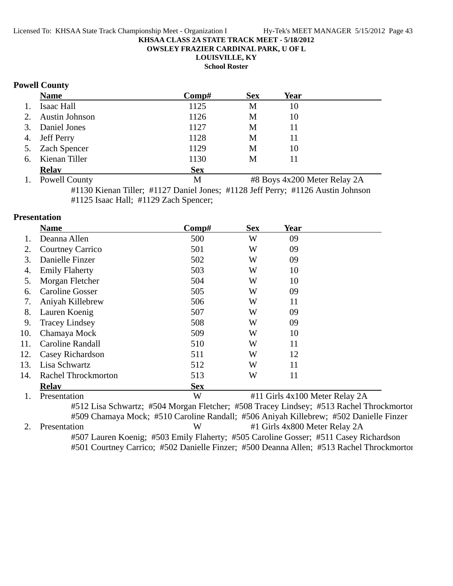**OWSLEY FRAZIER CARDINAL PARK, U OF L**

**LOUISVILLE, KY**

**School Roster**

## **Powell County**

|    | <b>Name</b>       | Comp#      | <b>Sex</b> | Year |  |
|----|-------------------|------------|------------|------|--|
| 1. | Isaac Hall        | 1125       | M          | 10   |  |
|    | 2. Austin Johnson | 1126       | М          | 10   |  |
|    | 3. Daniel Jones   | 1127       | M          | 11   |  |
|    | 4. Jeff Perry     | 1128       | M          | 11   |  |
|    | 5. Zach Spencer   | 1129       | М          | 10   |  |
|    | 6. Kienan Tiller  | 1130       | M          | 11   |  |
|    | <b>Relay</b>      | <b>Sex</b> |            |      |  |
|    |                   |            |            | .    |  |

1. Powell County M #8 Boys 4x200 Meter Relay 2A #1130 Kienan Tiller; #1127 Daniel Jones; #1128 Jeff Perry; #1126 Austin Johnson #1125 Isaac Hall; #1129 Zach Spencer;

## **Presentation**

|     | <b>Name</b>                | Comp#      | <b>Sex</b> | <b>Year</b>                    |  |
|-----|----------------------------|------------|------------|--------------------------------|--|
|     | Deanna Allen               | 500        | W          | 09                             |  |
| 2.  | <b>Courtney Carrico</b>    | 501        | W          | 09                             |  |
| 3.  | Danielle Finzer            | 502        | W          | 09                             |  |
| 4.  | <b>Emily Flaherty</b>      | 503        | W          | 10                             |  |
| 5.  | Morgan Fletcher            | 504        | W          | 10                             |  |
| 6.  | <b>Caroline Gosser</b>     | 505        | W          | 09                             |  |
| 7.  | Aniyah Killebrew           | 506        | W          | 11                             |  |
| 8.  | Lauren Koenig              | 507        | W          | 09                             |  |
| 9.  | <b>Tracey Lindsey</b>      | 508        | W          | 09                             |  |
| 10. | Chamaya Mock               | 509        | W          | 10                             |  |
| 11. | Caroline Randall           | 510        | W          | 11                             |  |
| 12. | Casey Richardson           | 511        | W          | 12                             |  |
| 13. | Lisa Schwartz              | 512        | W          | 11                             |  |
| 14. | <b>Rachel Throckmorton</b> | 513        | W          | 11                             |  |
|     | <b>Relav</b>               | <b>Sex</b> |            |                                |  |
|     | Presentation               | W          |            | #11 Girls 4x100 Meter Relay 2A |  |

#512 Lisa Schwartz; #504 Morgan Fletcher; #508 Tracey Lindsey; #513 Rachel Throckmorton #509 Chamaya Mock; #510 Caroline Randall; #506 Aniyah Killebrew; #502 Danielle Finzer 2. Presentation W #1 Girls 4x800 Meter Relay 2A #507 Lauren Koenig; #503 Emily Flaherty; #505 Caroline Gosser; #511 Casey Richardson #501 Courtney Carrico; #502 Danielle Finzer; #500 Deanna Allen; #513 Rachel Throckmorton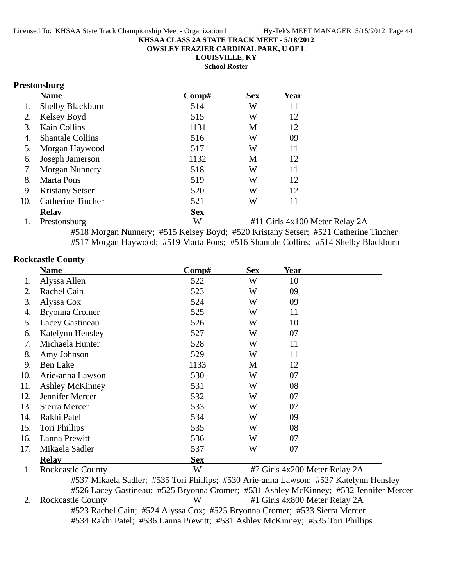**OWSLEY FRAZIER CARDINAL PARK, U OF L**

**LOUISVILLE, KY**

**School Roster**

# **Prestonsburg**

|     | <b>Name</b>                   | Comp#      | <b>Sex</b> | Year                                                                                                                        |  |
|-----|-------------------------------|------------|------------|-----------------------------------------------------------------------------------------------------------------------------|--|
|     | Shelby Blackburn              | 514        | W          | 11                                                                                                                          |  |
| 2.  | Kelsey Boyd                   | 515        | W          | 12                                                                                                                          |  |
|     | Kain Collins                  | 1131       | M          | 12                                                                                                                          |  |
| 4.  | <b>Shantale Collins</b>       | 516        | W          | 09                                                                                                                          |  |
| 5.  | Morgan Haywood                | 517        | W          | 11                                                                                                                          |  |
| 6.  | Joseph Jamerson               | 1132       | M          | 12                                                                                                                          |  |
| 7.  | <b>Morgan Nunnery</b>         | 518        | W          | 11                                                                                                                          |  |
| 8.  | Marta Pons                    | 519        | W          | 12                                                                                                                          |  |
| 9.  | <b>Kristany Setser</b>        | 520        | W          | 12                                                                                                                          |  |
| 10. | <b>Catherine Tincher</b>      | 521        | W          | 11                                                                                                                          |  |
|     | <b>Relav</b>                  | <b>Sex</b> |            |                                                                                                                             |  |
|     | $\sim$ $\sim$<br>$\mathbf{H}$ | $T$ $T$    |            | $\mu$ and $\sigma$ is a set of $\sigma$ is a set of $\sigma$ is a set of $\sigma$ is a set of $\sigma$ is a set of $\sigma$ |  |

1. Prestonsburg W #11 Girls 4x100 Meter Relay 2A #518 Morgan Nunnery; #515 Kelsey Boyd; #520 Kristany Setser; #521 Catherine Tincher #517 Morgan Haywood; #519 Marta Pons; #516 Shantale Collins; #514 Shelby Blackburn

## **Rockcastle County**

|     | <b>Name</b>              | Comp#      | <b>Sex</b> | <b>Year</b>                   |  |
|-----|--------------------------|------------|------------|-------------------------------|--|
| 1.  | Alyssa Allen             | 522        | W          | 10                            |  |
| 2.  | Rachel Cain              | 523        | W          | 09                            |  |
| 3.  | Alyssa Cox               | 524        | W          | 09                            |  |
| 4.  | <b>Bryonna Cromer</b>    | 525        | W          | 11                            |  |
| 5.  | Lacey Gastineau          | 526        | W          | 10                            |  |
| 6.  | Katelynn Hensley         | 527        | W          | 07                            |  |
| 7.  | Michaela Hunter          | 528        | W          | 11                            |  |
| 8.  | Amy Johnson              | 529        | W          | 11                            |  |
| 9.  | <b>Ben Lake</b>          | 1133       | M          | 12                            |  |
| 10. | Arie-anna Lawson         | 530        | W          | 07                            |  |
| 11. | <b>Ashley McKinney</b>   | 531        | W          | 08                            |  |
| 12. | Jennifer Mercer          | 532        | W          | 07                            |  |
| 13. | Sierra Mercer            | 533        | W          | 07                            |  |
| 14. | Rakhi Patel              | 534        | W          | 09                            |  |
| 15. | Tori Phillips            | 535        | W          | 08                            |  |
| 16. | Lanna Prewitt            | 536        | W          | 07                            |  |
| 17. | Mikaela Sadler           | 537        | W          | 07                            |  |
|     | <b>Relav</b>             | <b>Sex</b> |            |                               |  |
| 1.  | <b>Rockcastle County</b> | W          |            | #7 Girls 4x200 Meter Relay 2A |  |

#537 Mikaela Sadler; #535 Tori Phillips; #530 Arie-anna Lawson; #527 Katelynn Hensley #526 Lacey Gastineau; #525 Bryonna Cromer; #531 Ashley McKinney; #532 Jennifer Mercer 2. Rockcastle County W #1 Girls 4x800 Meter Relay 2A #523 Rachel Cain; #524 Alyssa Cox; #525 Bryonna Cromer; #533 Sierra Mercer #534 Rakhi Patel; #536 Lanna Prewitt; #531 Ashley McKinney; #535 Tori Phillips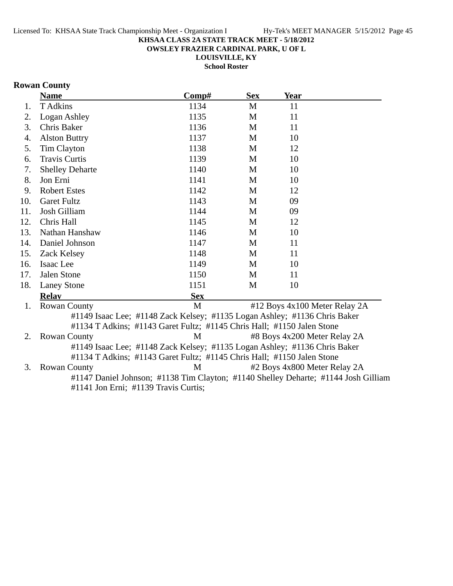**OWSLEY FRAZIER CARDINAL PARK, U OF L**

**LOUISVILLE, KY**

**School Roster**

# **Rowan County**

|     | <b>Name</b>                                                                        | Comp#      | <b>Sex</b> | <b>Year</b> |                               |
|-----|------------------------------------------------------------------------------------|------------|------------|-------------|-------------------------------|
| 1.  | T Adkins                                                                           | 1134       | M          | 11          |                               |
| 2.  | Logan Ashley                                                                       | 1135       | M          | 11          |                               |
| 3.  | Chris Baker                                                                        | 1136       | M          | 11          |                               |
| 4.  | <b>Alston Buttry</b>                                                               | 1137       | M          | 10          |                               |
| 5.  | <b>Tim Clayton</b>                                                                 | 1138       | M          | 12          |                               |
| 6.  | <b>Travis Curtis</b>                                                               | 1139       | M          | 10          |                               |
| 7.  | <b>Shelley Deharte</b>                                                             | 1140       | M          | 10          |                               |
| 8.  | Jon Erni                                                                           | 1141       | M          | 10          |                               |
| 9.  | <b>Robert Estes</b>                                                                | 1142       | M          | 12          |                               |
| 10. | <b>Garet Fultz</b>                                                                 | 1143       | M          | 09          |                               |
| 11. | Josh Gilliam                                                                       | 1144       | M          | 09          |                               |
| 12. | Chris Hall                                                                         | 1145       | M          | 12          |                               |
| 13. | Nathan Hanshaw                                                                     | 1146       | M          | 10          |                               |
| 14. | Daniel Johnson                                                                     | 1147       | M          | 11          |                               |
| 15. | Zack Kelsey                                                                        | 1148       | M          | 11          |                               |
| 16. | Isaac Lee                                                                          | 1149       | M          | 10          |                               |
| 17. | Jalen Stone                                                                        | 1150       | M          | 11          |                               |
| 18. | <b>Laney Stone</b>                                                                 | 1151       | M          | 10          |                               |
|     | <b>Relay</b>                                                                       | <b>Sex</b> |            |             |                               |
| 1.  | <b>Rowan County</b>                                                                | M          |            |             | #12 Boys 4x100 Meter Relay 2A |
|     | #1149 Isaac Lee; #1148 Zack Kelsey; #1135 Logan Ashley; #1136 Chris Baker          |            |            |             |                               |
|     | #1134 T Adkins; #1143 Garet Fultz; #1145 Chris Hall; #1150 Jalen Stone             |            |            |             |                               |
| 2.  | <b>Rowan County</b>                                                                | M          |            |             | #8 Boys 4x200 Meter Relay 2A  |
|     | #1149 Isaac Lee; #1148 Zack Kelsey; #1135 Logan Ashley; #1136 Chris Baker          |            |            |             |                               |
|     | #1134 T Adkins; #1143 Garet Fultz; #1145 Chris Hall; #1150 Jalen Stone             |            |            |             |                               |
| 3.  | <b>Rowan County</b>                                                                | M          |            |             | #2 Boys 4x800 Meter Relay 2A  |
|     | #1147 Daniel Johnson; #1138 Tim Clayton; #1140 Shelley Deharte; #1144 Josh Gilliam |            |            |             |                               |
|     | #1141 Jon Erni; #1139 Travis Curtis;                                               |            |            |             |                               |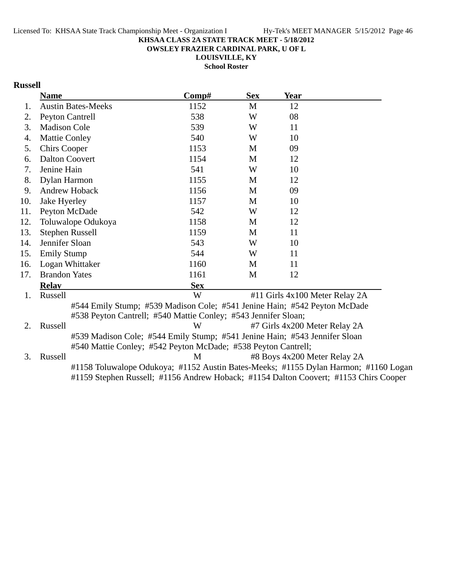**OWSLEY FRAZIER CARDINAL PARK, U OF L**

**LOUISVILLE, KY School Roster**

# **Russell**

|     | <b>Name</b>               | Comp#                                                          | <b>Sex</b> | <b>Year</b>                                                                                                                                                                 |  |
|-----|---------------------------|----------------------------------------------------------------|------------|-----------------------------------------------------------------------------------------------------------------------------------------------------------------------------|--|
| 1.  | <b>Austin Bates-Meeks</b> | 1152                                                           | M          | 12                                                                                                                                                                          |  |
| 2.  | <b>Peyton Cantrell</b>    | 538                                                            | W          | 08                                                                                                                                                                          |  |
| 3.  | <b>Madison Cole</b>       | 539                                                            | W          | 11                                                                                                                                                                          |  |
| 4.  | <b>Mattie Conley</b>      | 540                                                            | W          | 10                                                                                                                                                                          |  |
| 5.  | <b>Chirs Cooper</b>       | 1153                                                           | M          | 09                                                                                                                                                                          |  |
| 6.  | <b>Dalton Coovert</b>     | 1154                                                           | M          | 12                                                                                                                                                                          |  |
| 7.  | Jenine Hain               | 541                                                            | W          | 10                                                                                                                                                                          |  |
| 8.  | Dylan Harmon              | 1155                                                           | M          | 12                                                                                                                                                                          |  |
| 9.  | Andrew Hoback             | 1156                                                           | M          | 09                                                                                                                                                                          |  |
| 10. | Jake Hyerley              | 1157                                                           | M          | 10                                                                                                                                                                          |  |
| 11. | Peyton McDade             | 542                                                            | W          | 12                                                                                                                                                                          |  |
| 12. | Toluwalope Odukoya        | 1158                                                           | M          | 12                                                                                                                                                                          |  |
| 13. | <b>Stephen Russell</b>    | 1159                                                           | M          | 11                                                                                                                                                                          |  |
| 14. | Jennifer Sloan            | 543                                                            | W          | 10                                                                                                                                                                          |  |
| 15. | <b>Emily Stump</b>        | 544                                                            | W          | 11                                                                                                                                                                          |  |
| 16. | Logan Whittaker           | 1160                                                           | M          | 11                                                                                                                                                                          |  |
| 17. | <b>Brandon Yates</b>      | 1161                                                           | M          | 12                                                                                                                                                                          |  |
|     | <b>Relav</b>              | <b>Sex</b>                                                     |            |                                                                                                                                                                             |  |
| 1.  | Russell                   | W                                                              |            | #11 Girls 4x100 Meter Relay 2A                                                                                                                                              |  |
|     |                           |                                                                |            | #544 Emily Stump; #539 Madison Cole; #541 Jenine Hain; #542 Peyton McDade                                                                                                   |  |
|     |                           | #538 Peyton Cantrell; #540 Mattie Conley; #543 Jennifer Sloan; |            |                                                                                                                                                                             |  |
| 2.  | Russell                   | W                                                              |            | #7 Girls 4x200 Meter Relay 2A                                                                                                                                               |  |
|     |                           |                                                                |            | #539 Madison Cole; #544 Emily Stump; #541 Jenine Hain; #543 Jennifer Sloan                                                                                                  |  |
|     |                           | #540 Mattie Conley; #542 Peyton McDade; #538 Peyton Cantrell;  |            |                                                                                                                                                                             |  |
| 3.  | Russell                   | M                                                              |            | #8 Boys 4x200 Meter Relay 2A                                                                                                                                                |  |
|     |                           |                                                                |            | #1158 Toluwalope Odukoya; #1152 Austin Bates-Meeks; #1155 Dylan Harmon; #1160 Logan<br>#1159 Stephen Russell; #1156 Andrew Hoback; #1154 Dalton Coovert; #1153 Chirs Cooper |  |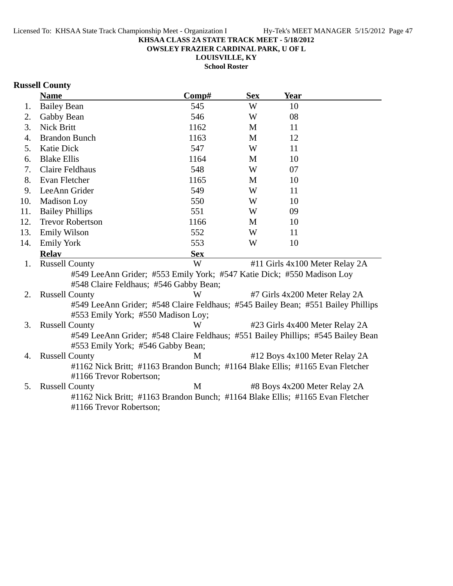**OWSLEY FRAZIER CARDINAL PARK, U OF L**

**LOUISVILLE, KY**

**School Roster**

# **Russell County**

|     | <b>Name</b>                                                                      | Comp#      | <b>Sex</b> | <b>Year</b> |                                |
|-----|----------------------------------------------------------------------------------|------------|------------|-------------|--------------------------------|
| 1.  | <b>Bailey Bean</b>                                                               | 545        | W          | 10          |                                |
| 2.  | Gabby Bean                                                                       | 546        | W          | 08          |                                |
| 3.  | <b>Nick Britt</b>                                                                | 1162       | M          | 11          |                                |
| 4.  | <b>Brandon Bunch</b>                                                             | 1163       | M          | 12          |                                |
| 5.  | <b>Katie Dick</b>                                                                | 547        | W          | 11          |                                |
| 6.  | <b>Blake Ellis</b>                                                               | 1164       | M          | 10          |                                |
| 7.  | <b>Claire Feldhaus</b>                                                           | 548        | W          | 07          |                                |
| 8.  | Evan Fletcher                                                                    | 1165       | M          | 10          |                                |
| 9.  | LeeAnn Grider                                                                    | 549        | W          | 11          |                                |
| 10. | <b>Madison Loy</b>                                                               | 550        | W          | 10          |                                |
| 11. | <b>Bailey Phillips</b>                                                           | 551        | W          | 09          |                                |
| 12. | <b>Trevor Robertson</b>                                                          | 1166       | M          | 10          |                                |
| 13. | <b>Emily Wilson</b>                                                              | 552        | W          | 11          |                                |
| 14. | <b>Emily York</b>                                                                | 553        | W          | 10          |                                |
|     | <b>Relav</b>                                                                     | <b>Sex</b> |            |             |                                |
| 1.  | <b>Russell County</b>                                                            | W          |            |             | #11 Girls 4x100 Meter Relay 2A |
|     | #549 LeeAnn Grider; #553 Emily York; #547 Katie Dick; #550 Madison Loy           |            |            |             |                                |
|     | #548 Claire Feldhaus; #546 Gabby Bean;                                           |            |            |             |                                |
| 2.  | <b>Russell County</b>                                                            | W          |            |             | #7 Girls 4x200 Meter Relay 2A  |
|     | #549 LeeAnn Grider; #548 Claire Feldhaus; #545 Bailey Bean; #551 Bailey Phillips |            |            |             |                                |
|     | #553 Emily York; #550 Madison Loy;                                               |            |            |             |                                |
| 3.  | <b>Russell County</b>                                                            | W          |            |             | #23 Girls 4x400 Meter Relay 2A |
|     | #549 LeeAnn Grider; #548 Claire Feldhaus; #551 Bailey Phillips; #545 Bailey Bean |            |            |             |                                |
|     | #553 Emily York; #546 Gabby Bean;                                                |            |            |             |                                |
| 4.  | <b>Russell County</b>                                                            | M          |            |             | #12 Boys 4x100 Meter Relay 2A  |
|     | #1162 Nick Britt; #1163 Brandon Bunch; #1164 Blake Ellis; #1165 Evan Fletcher    |            |            |             |                                |
|     | #1166 Trevor Robertson;                                                          |            |            |             |                                |
| 5.  | <b>Russell County</b>                                                            | M          |            |             | #8 Boys 4x200 Meter Relay 2A   |
|     | #1162 Nick Britt; #1163 Brandon Bunch; #1164 Blake Ellis; #1165 Evan Fletcher    |            |            |             |                                |
|     | #1166 Trevor Robertson;                                                          |            |            |             |                                |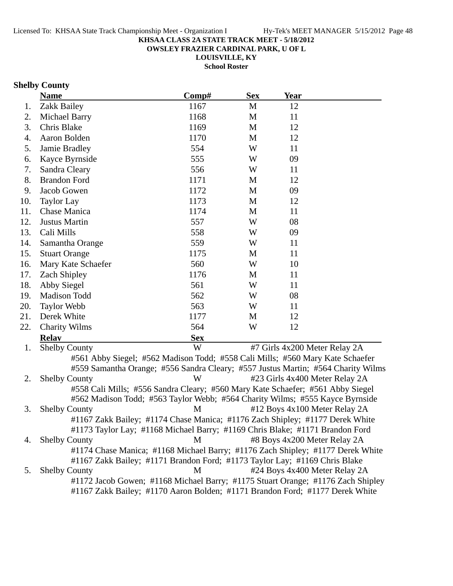**OWSLEY FRAZIER CARDINAL PARK, U OF L**

**LOUISVILLE, KY**

**School Roster**

## **Shelby County**

|     | <b>Name</b>                                                                                                        | Comp#      | <b>Sex</b> | Year                                                                                     |  |
|-----|--------------------------------------------------------------------------------------------------------------------|------------|------------|------------------------------------------------------------------------------------------|--|
| 1.  | Zakk Bailey                                                                                                        | 1167       | M          | 12                                                                                       |  |
| 2.  | Michael Barry                                                                                                      | 1168       | M          | 11                                                                                       |  |
| 3.  | Chris Blake                                                                                                        | 1169       | M          | 12                                                                                       |  |
| 4.  | Aaron Bolden                                                                                                       | 1170       | M          | 12                                                                                       |  |
| 5.  | Jamie Bradley                                                                                                      | 554        | W          | 11                                                                                       |  |
| 6.  | Kayce Byrnside                                                                                                     | 555        | W          | 09                                                                                       |  |
| 7.  | Sandra Cleary                                                                                                      | 556        | W          | 11                                                                                       |  |
| 8.  | <b>Brandon Ford</b>                                                                                                | 1171       | M          | 12                                                                                       |  |
| 9.  | Jacob Gowen                                                                                                        | 1172       | M          | 09                                                                                       |  |
| 10. | <b>Taylor Lay</b>                                                                                                  | 1173       | M          | 12                                                                                       |  |
| 11. | Chase Manica                                                                                                       | 1174       | M          | 11                                                                                       |  |
| 12. | Justus Martin                                                                                                      | 557        | W          | 08                                                                                       |  |
| 13. | Cali Mills                                                                                                         | 558        | W          | 09                                                                                       |  |
| 14. | Samantha Orange                                                                                                    | 559        | W          | 11                                                                                       |  |
| 15. | <b>Stuart Orange</b>                                                                                               | 1175       | M          | 11                                                                                       |  |
| 16. | Mary Kate Schaefer                                                                                                 | 560        | W          | 10                                                                                       |  |
| 17. | <b>Zach Shipley</b>                                                                                                | 1176       | M          | 11                                                                                       |  |
| 18. | Abby Siegel                                                                                                        | 561        | W          | 11                                                                                       |  |
| 19. | Madison Todd                                                                                                       | 562        | W          | 08                                                                                       |  |
| 20. | <b>Taylor Webb</b>                                                                                                 | 563        | W          | 11                                                                                       |  |
| 21. | Derek White                                                                                                        | 1177       | M          | 12                                                                                       |  |
| 22. | <b>Charity Wilms</b>                                                                                               | 564        | W          | 12                                                                                       |  |
|     | <b>Relay</b>                                                                                                       | <b>Sex</b> |            |                                                                                          |  |
| 1.  | <b>Shelby County</b>                                                                                               | W          |            | #7 Girls 4x200 Meter Relay 2A                                                            |  |
|     | $\mu \varepsilon$ (1) A like $\Omega$ is a light $\mu \varepsilon$ (0) M is $\Omega$ is a set $\Gamma$ in the like |            |            | $\text{HFCO}$ $\text{C-1}$ : M:11 $\text{HFCO}$ M $\text{V}_{\text{eff}}$ $\text{C-1}$ C |  |

#561 Abby Siegel; #562 Madison Todd; #558 Cali Mills; #560 Mary Kate Schaefer #559 Samantha Orange; #556 Sandra Cleary; #557 Justus Martin; #564 Charity Wilms 2. Shelby County W #23 Girls 4x400 Meter Relay 2A #558 Cali Mills; #556 Sandra Cleary; #560 Mary Kate Schaefer; #561 Abby Siegel #562 Madison Todd; #563 Taylor Webb; #564 Charity Wilms; #555 Kayce Byrnside 3. Shelby County M #12 Boys 4x100 Meter Relay 2A #1167 Zakk Bailey; #1174 Chase Manica; #1176 Zach Shipley; #1177 Derek White #1173 Taylor Lay; #1168 Michael Barry; #1169 Chris Blake; #1171 Brandon Ford 4. Shelby County **1988** M 48 Boys 4x200 Meter Relay 2A #1174 Chase Manica; #1168 Michael Barry; #1176 Zach Shipley; #1177 Derek White #1167 Zakk Bailey; #1171 Brandon Ford; #1173 Taylor Lay; #1169 Chris Blake 5. Shelby County M #24 Boys 4x400 Meter Relay 2A #1172 Jacob Gowen; #1168 Michael Barry; #1175 Stuart Orange; #1176 Zach Shipley #1167 Zakk Bailey; #1170 Aaron Bolden; #1171 Brandon Ford; #1177 Derek White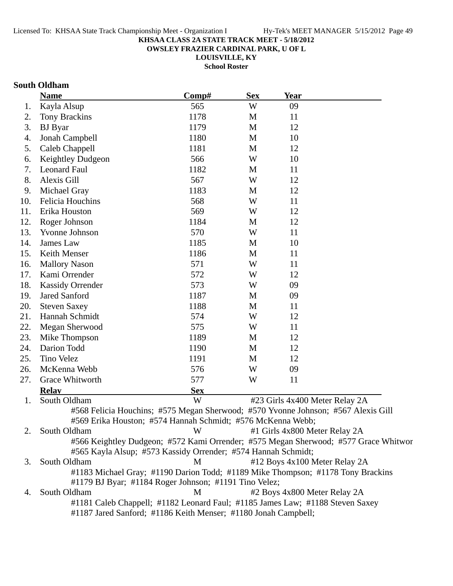**OWSLEY FRAZIER CARDINAL PARK, U OF L**

**LOUISVILLE, KY**

**School Roster**

## **South Oldham**

|     | <b>Name</b>                                                                       | Comp#      | <b>Sex</b> | <b>Year</b> |                                                                                     |
|-----|-----------------------------------------------------------------------------------|------------|------------|-------------|-------------------------------------------------------------------------------------|
| 1.  | Kayla Alsup                                                                       | 565        | W          | 09          |                                                                                     |
| 2.  | <b>Tony Brackins</b>                                                              | 1178       | M          | 11          |                                                                                     |
| 3.  | <b>BJ</b> Byar                                                                    | 1179       | M          | 12          |                                                                                     |
| 4.  | Jonah Campbell                                                                    | 1180       | M          | 10          |                                                                                     |
| 5.  | Caleb Chappell                                                                    | 1181       | M          | 12          |                                                                                     |
| 6.  | Keightley Dudgeon                                                                 | 566        | W          | 10          |                                                                                     |
| 7.  | Leonard Faul                                                                      | 1182       | M          | 11          |                                                                                     |
| 8.  | Alexis Gill                                                                       | 567        | W          | 12          |                                                                                     |
| 9.  | Michael Gray                                                                      | 1183       | M          | 12          |                                                                                     |
| 10. | Felicia Houchins                                                                  | 568        | W          | 11          |                                                                                     |
| 11. | Erika Houston                                                                     | 569        | W          | 12          |                                                                                     |
| 12. | Roger Johnson                                                                     | 1184       | M          | 12          |                                                                                     |
| 13. | Yvonne Johnson                                                                    | 570        | W          | 11          |                                                                                     |
| 14. | James Law                                                                         | 1185       | M          | 10          |                                                                                     |
| 15. | Keith Menser                                                                      | 1186       | M          | 11          |                                                                                     |
| 16. | <b>Mallory Nason</b>                                                              | 571        | W          | 11          |                                                                                     |
| 17. | Kami Orrender                                                                     | 572        | W          | 12          |                                                                                     |
| 18. | <b>Kassidy Orrender</b>                                                           | 573        | W          | 09          |                                                                                     |
| 19. | <b>Jared Sanford</b>                                                              | 1187       | M          | 09          |                                                                                     |
| 20. | <b>Steven Saxey</b>                                                               | 1188       | M          | 11          |                                                                                     |
| 21. | Hannah Schmidt                                                                    | 574        | W          | 12          |                                                                                     |
| 22. | Megan Sherwood                                                                    | 575        | W          | 11          |                                                                                     |
| 23. | Mike Thompson                                                                     | 1189       | M          | 12          |                                                                                     |
| 24. | Darion Todd                                                                       | 1190       | M          | 12          |                                                                                     |
| 25. | <b>Tino Velez</b>                                                                 | 1191       | M          | 12          |                                                                                     |
| 26. | McKenna Webb                                                                      | 576        | W          | 09          |                                                                                     |
| 27. | Grace Whitworth                                                                   | 577        | W          | 11          |                                                                                     |
|     | <b>Relay</b>                                                                      | <b>Sex</b> |            |             |                                                                                     |
| 1.  | South Oldham                                                                      | W          |            |             | #23 Girls 4x400 Meter Relay 2A                                                      |
|     | #568 Felicia Houchins; #575 Megan Sherwood; #570 Yvonne Johnson; #567 Alexis Gill |            |            |             |                                                                                     |
|     | #569 Erika Houston; #574 Hannah Schmidt; #576 McKenna Webb;                       |            |            |             |                                                                                     |
| 2.  | South Oldham                                                                      | W          |            |             | #1 Girls 4x800 Meter Relay 2A                                                       |
|     |                                                                                   |            |            |             | #566 Keightley Dudgeon; #572 Kami Orrender; #575 Megan Sherwood; #577 Grace Whitwor |
|     | #565 Kayla Alsup; #573 Kassidy Orrender; #574 Hannah Schmidt;                     |            |            |             |                                                                                     |
| 3.  | South Oldham                                                                      | M          |            |             | #12 Boys 4x100 Meter Relay 2A                                                       |
|     | #1183 Michael Gray; #1190 Darion Todd; #1189 Mike Thompson; #1178 Tony Brackins   |            |            |             |                                                                                     |
|     | #1179 BJ Byar; #1184 Roger Johnson; #1191 Tino Velez;                             |            |            |             |                                                                                     |
| 4.  | South Oldham                                                                      | М          |            |             | #2 Boys 4x800 Meter Relay 2A                                                        |
|     | #1181 Caleb Chappell; #1182 Leonard Faul; #1185 James Law; #1188 Steven Saxey     |            |            |             |                                                                                     |
|     | #1187 Jared Sanford; #1186 Keith Menser; #1180 Jonah Campbell;                    |            |            |             |                                                                                     |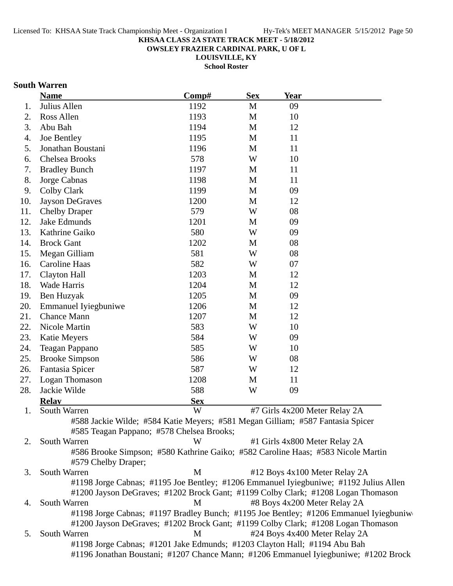**OWSLEY FRAZIER CARDINAL PARK, U OF L**

**LOUISVILLE, KY**

**School Roster**

## **South Warren**

|     | <b>Name</b>                                                                      | Comp#      | <b>Sex</b> | Year |                                                                                       |
|-----|----------------------------------------------------------------------------------|------------|------------|------|---------------------------------------------------------------------------------------|
| 1.  | Julius Allen                                                                     | 1192       | M          | 09   |                                                                                       |
| 2.  | Ross Allen                                                                       | 1193       | M          | 10   |                                                                                       |
| 3.  | Abu Bah                                                                          | 1194       | M          | 12   |                                                                                       |
| 4.  | Joe Bentley                                                                      | 1195       | M          | 11   |                                                                                       |
| 5.  | Jonathan Boustani                                                                | 1196       | M          | 11   |                                                                                       |
| 6.  | Chelsea Brooks                                                                   | 578        | W          | 10   |                                                                                       |
| 7.  | <b>Bradley Bunch</b>                                                             | 1197       | M          | 11   |                                                                                       |
| 8.  | Jorge Cabnas                                                                     | 1198       | M          | 11   |                                                                                       |
| 9.  | <b>Colby Clark</b>                                                               | 1199       | M          | 09   |                                                                                       |
| 10. | <b>Jayson DeGraves</b>                                                           | 1200       | M          | 12   |                                                                                       |
| 11. | <b>Chelby Draper</b>                                                             | 579        | W          | 08   |                                                                                       |
| 12. | Jake Edmunds                                                                     | 1201       | M          | 09   |                                                                                       |
| 13. | Kathrine Gaiko                                                                   | 580        | W          | 09   |                                                                                       |
| 14. | <b>Brock Gant</b>                                                                | 1202       | M          | 08   |                                                                                       |
| 15. | Megan Gilliam                                                                    | 581        | W          | 08   |                                                                                       |
| 16. | Caroline Haas                                                                    | 582        | W          | 07   |                                                                                       |
| 17. | Clayton Hall                                                                     | 1203       | M          | 12   |                                                                                       |
| 18. | Wade Harris                                                                      | 1204       | M          | 12   |                                                                                       |
| 19. | Ben Huzyak                                                                       | 1205       | M          | 09   |                                                                                       |
| 20. | <b>Emmanuel Iyiegbuniwe</b>                                                      | 1206       | M          | 12   |                                                                                       |
| 21. | <b>Chance Mann</b>                                                               | 1207       | M          | 12   |                                                                                       |
| 22. | Nicole Martin                                                                    | 583        | W          | 10   |                                                                                       |
| 23. | Katie Meyers                                                                     | 584        | W          | 09   |                                                                                       |
| 24. | Teagan Pappano                                                                   | 585        | W          | 10   |                                                                                       |
| 25. | <b>Brooke Simpson</b>                                                            | 586        | W          | 08   |                                                                                       |
| 26. | Fantasia Spicer                                                                  | 587        | W          | 12   |                                                                                       |
| 27. | Logan Thomason                                                                   | 1208       | M          | 11   |                                                                                       |
| 28. | Jackie Wilde                                                                     | 588        | W          | 09   |                                                                                       |
|     | <b>Relav</b>                                                                     | <b>Sex</b> |            |      |                                                                                       |
| 1.  | South Warren                                                                     | W          |            |      | #7 Girls 4x200 Meter Relay 2A                                                         |
|     | #588 Jackie Wilde; #584 Katie Meyers; #581 Megan Gilliam; #587 Fantasia Spicer   |            |            |      |                                                                                       |
|     | #585 Teagan Pappano; #578 Chelsea Brooks;                                        |            |            |      |                                                                                       |
| 2.  | South Warren                                                                     | W          |            |      | #1 Girls 4x800 Meter Relay 2A                                                         |
|     | #586 Brooke Simpson; #580 Kathrine Gaiko; #582 Caroline Haas; #583 Nicole Martin |            |            |      |                                                                                       |
|     | #579 Chelby Draper;                                                              |            |            |      |                                                                                       |
| 3.  | South Warren                                                                     | M          |            |      | #12 Boys 4x100 Meter Relay 2A                                                         |
|     |                                                                                  |            |            |      | #1198 Jorge Cabnas; #1195 Joe Bentley; #1206 Emmanuel Iyiegbuniwe; #1192 Julius Allen |
|     | #1200 Jayson DeGraves; #1202 Brock Gant; #1199 Colby Clark; #1208 Logan Thomason |            |            |      |                                                                                       |
| 4.  | South Warren                                                                     | M          |            |      | #8 Boys 4x200 Meter Relay 2A                                                          |
|     |                                                                                  |            |            |      | #1198 Jorge Cabnas; #1197 Bradley Bunch; #1195 Joe Bentley; #1206 Emmanuel Iyiegbuniw |
|     | #1200 Jayson DeGraves; #1202 Brock Gant; #1199 Colby Clark; #1208 Logan Thomason |            |            |      |                                                                                       |
| 5.  | South Warren                                                                     | M          |            |      | #24 Boys 4x400 Meter Relay 2A                                                         |
|     | #1198 Jorge Cabnas; #1201 Jake Edmunds; #1203 Clayton Hall; #1194 Abu Bah        |            |            |      |                                                                                       |
|     |                                                                                  |            |            |      | #1196 Jonathan Boustani; #1207 Chance Mann; #1206 Emmanuel Iyiegbuniwe; #1202 Brock   |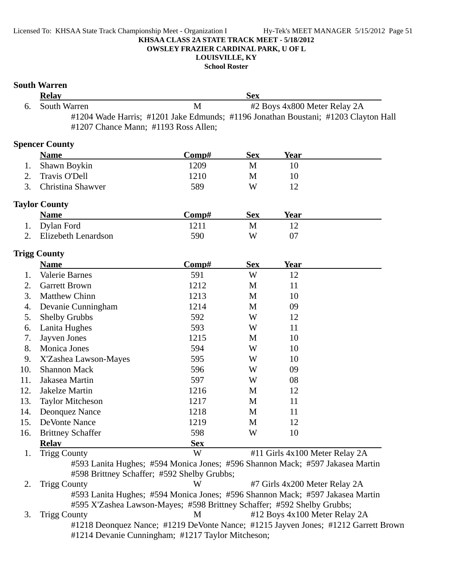**OWSLEY FRAZIER CARDINAL PARK, U OF L**

# **LOUISVILLE, KY**

**School Roster**

|     | <b>South Warren</b><br><b>Relay</b>                                                                                                                      |              | <b>Sex</b> |                                |  |
|-----|----------------------------------------------------------------------------------------------------------------------------------------------------------|--------------|------------|--------------------------------|--|
| 6.  | South Warren                                                                                                                                             | $\mathbf{M}$ |            | #2 Boys 4x800 Meter Relay 2A   |  |
|     | #1204 Wade Harris; #1201 Jake Edmunds; #1196 Jonathan Boustani; #1203 Clayton Hall<br>#1207 Chance Mann; #1193 Ross Allen;                               |              |            |                                |  |
|     | <b>Spencer County</b>                                                                                                                                    |              |            |                                |  |
|     | <b>Name</b>                                                                                                                                              | Comp#        | <b>Sex</b> | <b>Year</b>                    |  |
| 1.  | Shawn Boykin                                                                                                                                             | 1209         | M          | 10                             |  |
| 2.  | Travis O'Dell                                                                                                                                            | 1210         | M          | 10                             |  |
| 3.  | Christina Shawver                                                                                                                                        | 589          | W          | 12                             |  |
|     | <b>Taylor County</b>                                                                                                                                     |              |            |                                |  |
|     | <b>Name</b>                                                                                                                                              | Comp#        | <b>Sex</b> | <b>Year</b>                    |  |
| 1.  | Dylan Ford                                                                                                                                               | 1211         | M          | 12                             |  |
| 2.  | Elizebeth Lenardson                                                                                                                                      | 590          | W          | 07                             |  |
|     | <b>Trigg County</b>                                                                                                                                      |              |            |                                |  |
|     | <b>Name</b>                                                                                                                                              | Comp#        | <b>Sex</b> | <b>Year</b>                    |  |
| 1.  | Valerie Barnes                                                                                                                                           | 591          | W          | 12                             |  |
| 2.  | <b>Garrett Brown</b>                                                                                                                                     | 1212         | M          | 11                             |  |
| 3.  | <b>Matthew Chinn</b>                                                                                                                                     | 1213         | M          | 10                             |  |
| 4.  | Devanie Cunningham                                                                                                                                       | 1214         | M          | 09                             |  |
| 5.  | <b>Shelby Grubbs</b>                                                                                                                                     | 592          | W          | 12                             |  |
| 6.  | Lanita Hughes                                                                                                                                            | 593          | W          | 11                             |  |
| 7.  | Jayven Jones                                                                                                                                             | 1215         | M          | 10                             |  |
| 8.  | Monica Jones                                                                                                                                             | 594          | W          | 10                             |  |
| 9.  | X'Zashea Lawson-Mayes                                                                                                                                    | 595          | W          | 10                             |  |
| 10. | <b>Shannon Mack</b>                                                                                                                                      | 596          | W          | 09                             |  |
| 11. | Jakasea Martin                                                                                                                                           | 597          | W          | 08                             |  |
| 12. | Jakelze Martin                                                                                                                                           | 1216         | M          | 12                             |  |
| 13. | <b>Taylor Mitcheson</b>                                                                                                                                  | 1217         | M          | 11                             |  |
| 14. | Deonquez Nance                                                                                                                                           | 1218         | M          | 11                             |  |
| 15. | DeVonte Nance                                                                                                                                            | 1219         | M          | 12                             |  |
| 16. | <b>Brittney Schaffer</b>                                                                                                                                 | 598          | W          | 10                             |  |
|     | <b>Relay</b>                                                                                                                                             | <b>Sex</b>   |            |                                |  |
| 1.  | <b>Trigg County</b><br>#593 Lanita Hughes; #594 Monica Jones; #596 Shannon Mack; #597 Jakasea Martin<br>#598 Brittney Schaffer; #592 Shelby Grubbs;      | W            |            | #11 Girls 4x100 Meter Relay 2A |  |
| 2.  | <b>Trigg County</b>                                                                                                                                      | W            |            | #7 Girls 4x200 Meter Relay 2A  |  |
|     | #593 Lanita Hughes; #594 Monica Jones; #596 Shannon Mack; #597 Jakasea Martin<br>#595 X'Zashea Lawson-Mayes; #598 Brittney Schaffer; #592 Shelby Grubbs; |              |            |                                |  |
| 3.  | <b>Trigg County</b>                                                                                                                                      | M            |            | #12 Boys 4x100 Meter Relay 2A  |  |
|     | #1218 Deonquez Nance; #1219 DeVonte Nance; #1215 Jayven Jones; #1212 Garrett Brown<br>#1214 Devanie Cunningham; #1217 Taylor Mitcheson;                  |              |            |                                |  |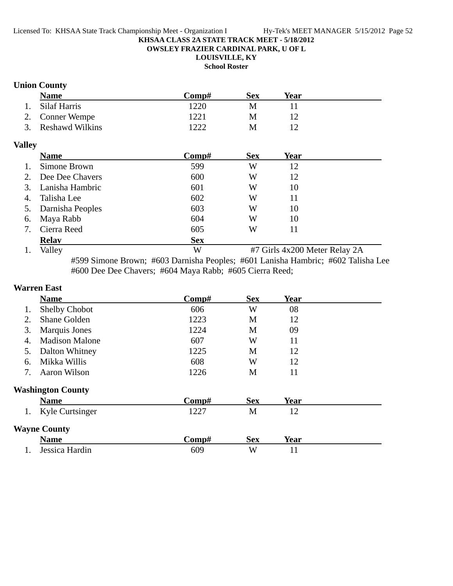**OWSLEY FRAZIER CARDINAL PARK, U OF L**

# **LOUISVILLE, KY**

**School Roster**

# **Union County**

|               | <b>Name</b>            | Comp#      | <b>Sex</b> | <b>Year</b>                   |  |
|---------------|------------------------|------------|------------|-------------------------------|--|
|               | Silaf Harris           | 1220       | M          | 11                            |  |
| 2.            | <b>Conner Wempe</b>    | 1221       | M          | 12                            |  |
| 3.            | <b>Reshawd Wilkins</b> | 1222       | M          | 12                            |  |
| <b>Valley</b> |                        |            |            |                               |  |
|               | <b>Name</b>            | Comp#      | <b>Sex</b> | <b>Year</b>                   |  |
| 1.            | Simone Brown           | 599        | W          | 12                            |  |
| 2.            | Dee Dee Chavers        | 600        | W          | 12                            |  |
| 3.            | Lanisha Hambric        | 601        | W          | 10                            |  |
| 4.            | Talisha Lee            | 602        | W          | 11                            |  |
| 5.            | Darnisha Peoples       | 603        | W          | 10                            |  |
| 6.            | Maya Rabb              | 604        | W          | 10                            |  |
| 7.            | Cierra Reed            | 605        | W          | 11                            |  |
|               | <b>Relav</b>           | <b>Sex</b> |            |                               |  |
| 1.            | Valley                 | W          |            | #7 Girls 4x200 Meter Relay 2A |  |

#599 Simone Brown; #603 Darnisha Peoples; #601 Lanisha Hambric; #602 Talisha Lee #600 Dee Dee Chavers; #604 Maya Rabb; #605 Cierra Reed;

## **Warren East**

|    | <b>Name</b>              | Comp# | <b>Sex</b> | Year        |  |
|----|--------------------------|-------|------------|-------------|--|
| 1. | Shelby Chobot            | 606   | W          | 08          |  |
| 2. | Shane Golden             | 1223  | M          | 12          |  |
| 3. | <b>Marquis Jones</b>     | 1224  | M          | 09          |  |
| 4. | <b>Madison Malone</b>    | 607   | W          | 11          |  |
| 5. | Dalton Whitney           | 1225  | M          | 12          |  |
| 6. | Mikka Willis             | 608   | W          | 12          |  |
| 7. | Aaron Wilson             | 1226  | M          | 11          |  |
|    | <b>Washington County</b> |       |            |             |  |
|    | <b>Name</b>              | Comp# | <b>Sex</b> | <b>Year</b> |  |
| 1. | Kyle Curtsinger          | 1227  | M          | 12          |  |
|    | <b>Wayne County</b>      |       |            |             |  |
|    | <b>Name</b>              | Comp# | <b>Sex</b> | <b>Year</b> |  |
|    | Jessica Hardin           | 609   | W          | 11          |  |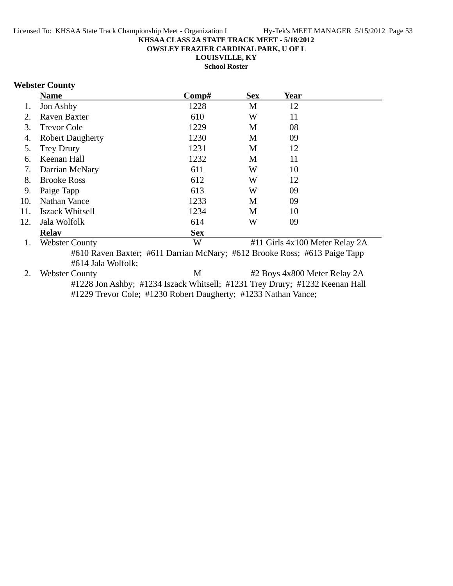**OWSLEY FRAZIER CARDINAL PARK, U OF L**

**LOUISVILLE, KY**

**School Roster**

# **Webster County**

|     | <b>Name</b>             | Comp#      | <b>Sex</b> | Year                           |  |
|-----|-------------------------|------------|------------|--------------------------------|--|
| 1.  | Jon Ashby               | 1228       | M          | 12                             |  |
| 2.  | <b>Raven Baxter</b>     | 610        | W          | 11                             |  |
| 3.  | <b>Trevor Cole</b>      | 1229       | M          | 08                             |  |
| 4.  | <b>Robert Daugherty</b> | 1230       | M          | 09                             |  |
| 5.  | <b>Trey Drury</b>       | 1231       | M          | 12                             |  |
| 6.  | Keenan Hall             | 1232       | M          | 11                             |  |
| 7.  | Darrian McNary          | 611        | W          | 10                             |  |
| 8.  | <b>Brooke Ross</b>      | 612        | W          | 12                             |  |
| 9.  | Paige Tapp              | 613        | W          | 09                             |  |
| 10. | <b>Nathan Vance</b>     | 1233       | M          | 09                             |  |
| 11. | <b>Iszack Whitsell</b>  | 1234       | M          | 10                             |  |
| 12. | Jala Wolfolk            | 614        | W          | 09                             |  |
|     | <b>Relay</b>            | <b>Sex</b> |            |                                |  |
| 1.  | <b>Webster County</b>   | W          |            | #11 Girls 4x100 Meter Relay 2A |  |

#610 Raven Baxter; #611 Darrian McNary; #612 Brooke Ross; #613 Paige Tapp #614 Jala Wolfolk;

2. Webster County M #2 Boys 4x800 Meter Relay 2A #1228 Jon Ashby; #1234 Iszack Whitsell; #1231 Trey Drury; #1232 Keenan Hall #1229 Trevor Cole; #1230 Robert Daugherty; #1233 Nathan Vance;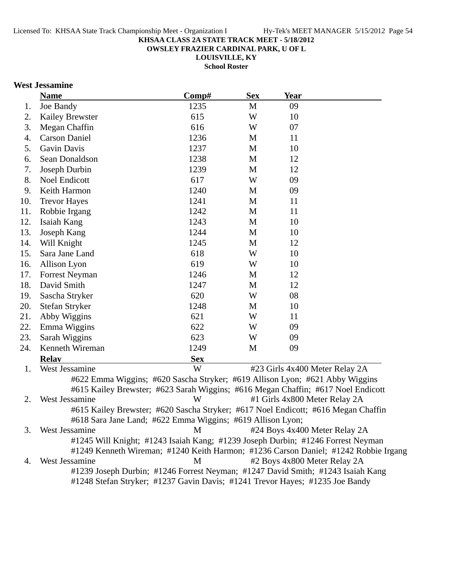**OWSLEY FRAZIER CARDINAL PARK, U OF L**

**LOUISVILLE, KY School Roster**

# **West Jessamine**

|     | <b>Name</b>                                                                         | Comp#      | <b>Sex</b> | <b>Year</b>                   |                                |  |
|-----|-------------------------------------------------------------------------------------|------------|------------|-------------------------------|--------------------------------|--|
| 1.  | Joe Bandy                                                                           | 1235       | M          | 09                            |                                |  |
| 2.  | <b>Kailey Brewster</b>                                                              | 615        | W          | 10                            |                                |  |
| 3.  | Megan Chaffin                                                                       | 616        | W          | 07                            |                                |  |
| 4.  | <b>Carson Daniel</b>                                                                | 1236       | M          | 11                            |                                |  |
| 5.  | Gavin Davis                                                                         | 1237       | M          | 10                            |                                |  |
| 6.  | Sean Donaldson                                                                      | 1238       | M          | 12                            |                                |  |
| 7.  | Joseph Durbin                                                                       | 1239       | M          | 12                            |                                |  |
| 8.  | <b>Noel Endicott</b>                                                                | 617        | W          | 09                            |                                |  |
| 9.  | Keith Harmon                                                                        | 1240       | M          | 09                            |                                |  |
| 10. | <b>Trevor Hayes</b>                                                                 | 1241       | M          | 11                            |                                |  |
| 11. | Robbie Irgang                                                                       | 1242       | M          | 11                            |                                |  |
| 12. | Isaiah Kang                                                                         | 1243       | M          | 10                            |                                |  |
| 13. | Joseph Kang                                                                         | 1244       | M          | 10                            |                                |  |
| 14. | Will Knight                                                                         | 1245       | M          | 12                            |                                |  |
| 15. | Sara Jane Land                                                                      | 618        | W          | 10                            |                                |  |
| 16. | Allison Lyon                                                                        | 619        | W          | 10                            |                                |  |
| 17. | <b>Forrest Neyman</b>                                                               | 1246       | M          | 12                            |                                |  |
| 18. | David Smith                                                                         | 1247       | M          | 12                            |                                |  |
| 19. | Sascha Stryker                                                                      | 620        | W          | 08                            |                                |  |
| 20. | Stefan Stryker                                                                      | 1248       | M          | 10                            |                                |  |
| 21. | Abby Wiggins                                                                        | 621        | W          | 11                            |                                |  |
| 22. | Emma Wiggins                                                                        | 622        | W          | 09                            |                                |  |
| 23. | Sarah Wiggins                                                                       | 623        | W          | 09                            |                                |  |
| 24. | Kenneth Wireman                                                                     | 1249       | M          | 09                            |                                |  |
|     | <b>Relav</b>                                                                        | <b>Sex</b> |            |                               |                                |  |
| 1.  | West Jessamine                                                                      | W          |            |                               | #23 Girls 4x400 Meter Relay 2A |  |
|     | #622 Emma Wiggins; #620 Sascha Stryker; #619 Allison Lyon; #621 Abby Wiggins        |            |            |                               |                                |  |
|     | #615 Kailey Brewster; #623 Sarah Wiggins; #616 Megan Chaffin; #617 Noel Endicott    |            |            |                               |                                |  |
| 2.  | West Jessamine                                                                      | W          |            | #1 Girls 4x800 Meter Relay 2A |                                |  |
|     | #615 Kailey Brewster; #620 Sascha Stryker; #617 Noel Endicott; #616 Megan Chaffin   |            |            |                               |                                |  |
|     | #618 Sara Jane Land; #622 Emma Wiggins; #619 Allison Lyon;                          |            |            |                               |                                |  |
| 3.  | West Jessamine                                                                      | M          |            |                               | #24 Boys 4x400 Meter Relay 2A  |  |
|     | #1245 Will Knight; #1243 Isaiah Kang; #1239 Joseph Durbin; #1246 Forrest Neyman     |            |            |                               |                                |  |
|     | #1249 Kenneth Wireman; #1240 Keith Harmon; #1236 Carson Daniel; #1242 Robbie Irgang |            |            |                               |                                |  |
| 4.  | West Jessamine                                                                      | M          |            | #2 Boys 4x800 Meter Relay 2A  |                                |  |
|     | #1239 Joseph Durbin; #1246 Forrest Neyman; #1247 David Smith; #1243 Isaiah Kang     |            |            |                               |                                |  |
|     | #1248 Stefan Stryker; #1237 Gavin Davis; #1241 Trevor Hayes; #1235 Joe Bandy        |            |            |                               |                                |  |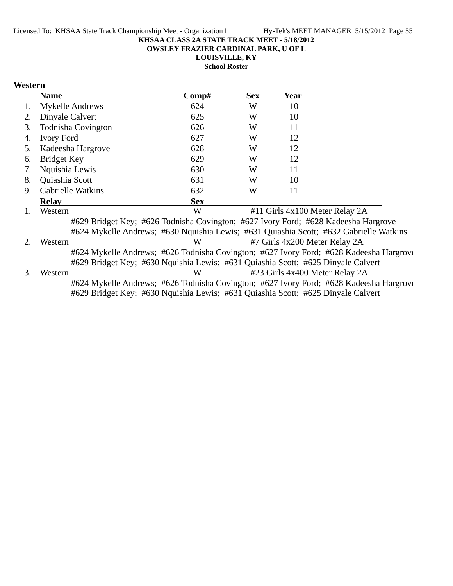**OWSLEY FRAZIER CARDINAL PARK, U OF L**

**LOUISVILLE, KY**

**School Roster**

## **Western**

|             | <b>Name</b>                                                                        | Comp#      | <b>Sex</b> | Year |                                                                                        |  |
|-------------|------------------------------------------------------------------------------------|------------|------------|------|----------------------------------------------------------------------------------------|--|
|             | <b>Mykelle Andrews</b>                                                             | 624        | W          | 10   |                                                                                        |  |
| 2.          | Dinyale Calvert                                                                    | 625        | W          | 10   |                                                                                        |  |
| 3.          | <b>Todnisha Covington</b>                                                          | 626        | W          | 11   |                                                                                        |  |
| 4.          | <b>Ivory Ford</b>                                                                  | 627        | W          | 12   |                                                                                        |  |
| 5.          | Kadeesha Hargrove                                                                  | 628        | W          | 12   |                                                                                        |  |
| 6.          | <b>Bridget Key</b>                                                                 | 629        | W          | 12   |                                                                                        |  |
| 7.          | Nquishia Lewis                                                                     | 630        | W          | 11   |                                                                                        |  |
| 8.          | Quiashia Scott                                                                     | 631        | W          | 10   |                                                                                        |  |
| 9.          | <b>Gabrielle Watkins</b>                                                           | 632        | W          | 11   |                                                                                        |  |
|             | <b>Relav</b>                                                                       | <b>Sex</b> |            |      |                                                                                        |  |
|             | Western                                                                            | W          |            |      | #11 Girls 4x100 Meter Relay 2A                                                         |  |
|             | #629 Bridget Key; #626 Todnisha Covington; #627 Ivory Ford; #628 Kadeesha Hargrove |            |            |      |                                                                                        |  |
|             |                                                                                    |            |            |      | #624 Mykelle Andrews; #630 Nguishia Lewis; #631 Quiashia Scott; #632 Gabrielle Watkins |  |
| $2_{\cdot}$ | Western                                                                            | W          |            |      | #7 Girls 4x200 Meter Relay 2A                                                          |  |
|             |                                                                                    |            |            |      | #624 Mykelle Andrews; #626 Todnisha Covington; #627 Ivory Ford; #628 Kadeesha Hargrovo |  |
|             | #629 Bridget Key; #630 Nquishia Lewis; #631 Quiashia Scott; #625 Dinyale Calvert   |            |            |      |                                                                                        |  |
| 3.          | Western                                                                            | W          |            |      | #23 Girls 4x400 Meter Relay 2A                                                         |  |
|             |                                                                                    |            |            |      | #624 Mykelle Andrews; #626 Todnisha Covington; #627 Ivory Ford; #628 Kadeesha Hargrove |  |
|             | #629 Bridget Key; #630 Nquishia Lewis; #631 Quiashia Scott; #625 Dinyale Calvert   |            |            |      |                                                                                        |  |